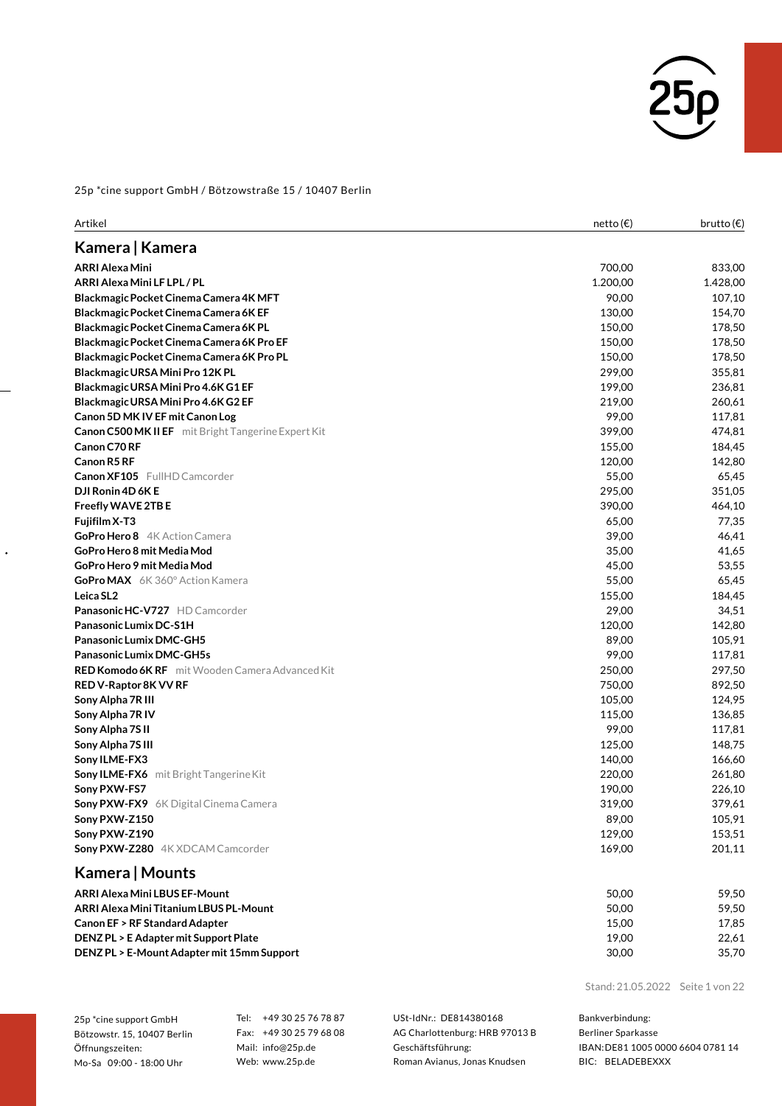

| Artikel                                                    | netto (€) | brutto $(\epsilon)$ |
|------------------------------------------------------------|-----------|---------------------|
| Kamera   Kamera                                            |           |                     |
| ARRI Alexa Mini                                            | 700,00    | 833,00              |
| ARRI Alexa Mini LF LPL / PL                                | 1.200,00  | 1.428,00            |
| Blackmagic Pocket Cinema Camera 4K MFT                     | 90,00     | 107,10              |
| Blackmagic Pocket Cinema Camera 6K EF                      | 130,00    | 154,70              |
| Blackmagic Pocket Cinema Camera 6K PL                      | 150,00    | 178,50              |
| Blackmagic Pocket Cinema Camera 6K Pro EF                  | 150,00    | 178,50              |
| Blackmagic Pocket Cinema Camera 6K Pro PL                  | 150,00    | 178,50              |
| Blackmagic URSA Mini Pro 12K PL                            | 299,00    | 355,81              |
| Blackmagic URSA Mini Pro 4.6K G1 EF                        | 199,00    | 236,81              |
| Blackmagic URSA Mini Pro 4.6K G2 EF                        | 219,00    | 260,61              |
| Canon 5D MK IV EF mit Canon Log                            | 99,00     | 117,81              |
| <b>Canon C500 MK II EF</b> mit Bright Tangerine Expert Kit | 399,00    | 474,81              |
| Canon C70 RF                                               | 155,00    | 184,45              |
| Canon R5 RF                                                | 120,00    | 142,80              |
| <b>Canon XF105</b> FullHD Camcorder                        | 55,00     | 65,45               |
| DJI Ronin 4D 6K E                                          | 295,00    | 351,05              |
| Freefly WAVE 2TB E                                         | 390,00    | 464,10              |
| Fujifilm X-T3                                              | 65,00     | 77,35               |
| GoPro Hero 8 4K Action Camera                              | 39,00     | 46,41               |
| GoPro Hero 8 mit Media Mod                                 | 35,00     | 41,65               |
| GoPro Hero 9 mit Media Mod                                 | 45,00     | 53,55               |
| <b>GoPro MAX</b> 6K 360° Action Kamera                     | 55,00     | 65,45               |
| Leica SL2                                                  | 155,00    | 184,45              |
| <b>Panasonic HC-V727</b> HD Camcorder                      | 29,00     | 34,51               |
| Panasonic Lumix DC-S1H                                     | 120,00    | 142,80              |
| Panasonic Lumix DMC-GH5                                    | 89,00     | 105,91              |
| <b>Panasonic Lumix DMC-GH5s</b>                            | 99,00     | 117,81              |
| <b>RED Komodo 6K RF</b> mit Wooden Camera Advanced Kit     | 250,00    | 297,50              |
| RED V-Raptor 8K VV RF                                      | 750,00    | 892,50              |
| Sony Alpha 7R III                                          | 105,00    | 124,95              |
| Sony Alpha 7R IV                                           | 115,00    | 136,85              |
| Sony Alpha 7S II                                           | 99,00     | 117,81              |
| Sony Alpha 7S III                                          | 125,00    | 148,75              |
| Sony ILME-FX3                                              | 140,00    | 166,60              |
| <b>Sony ILME-FX6</b> mit Bright Tangerine Kit              | 220,00    | 261,80              |
| Sony PXW-FS7                                               | 190,00    | 226,10              |
| Sony PXW-FX9 6K Digital Cinema Camera                      | 319,00    | 379,61              |
| Sony PXW-Z150                                              | 89,00     | 105,91              |
| Sony PXW-Z190                                              | 129,00    | 153,51              |
| Sony PXW-Z280 4K XDCAM Camcorder                           | 169,00    | 201,11              |
| Kamera   Mounts                                            |           |                     |
| ARRI Alexa Mini LBUS EF-Mount                              | 50,00     | 59,50               |
| ARRI Alexa Mini Titanium LBUS PL-Mount                     | 50,00     | 59,50               |
| Canon EF > RF Standard Adapter                             | 15,00     | 17,85               |

**DENZ PL > E Adapter mit SupportPlate** 19,00 22,61 **DENZ PL > E-Mount Adapter mit 15mm Support** 30,00 35,70

Stand: 21.05.2022 Seite 1 von 22

25p \*cine support GmbH Bötzowstr. 15, 10407 Berlin Öffnungszeiten: Mo-Sa 09:00 - 18:00 Uhr

 $\ddot{\phantom{0}}$ 

Tel: +49 30 25 76 78 87 Fax: +49 30 25 79 68 08 Mail: info@25p.de Web: www.25p.de

USt-IdNr.: DE814380168 AG Charlottenburg: HRB 97013 B Geschäftsführung: Roman Avianus, Jonas Knudsen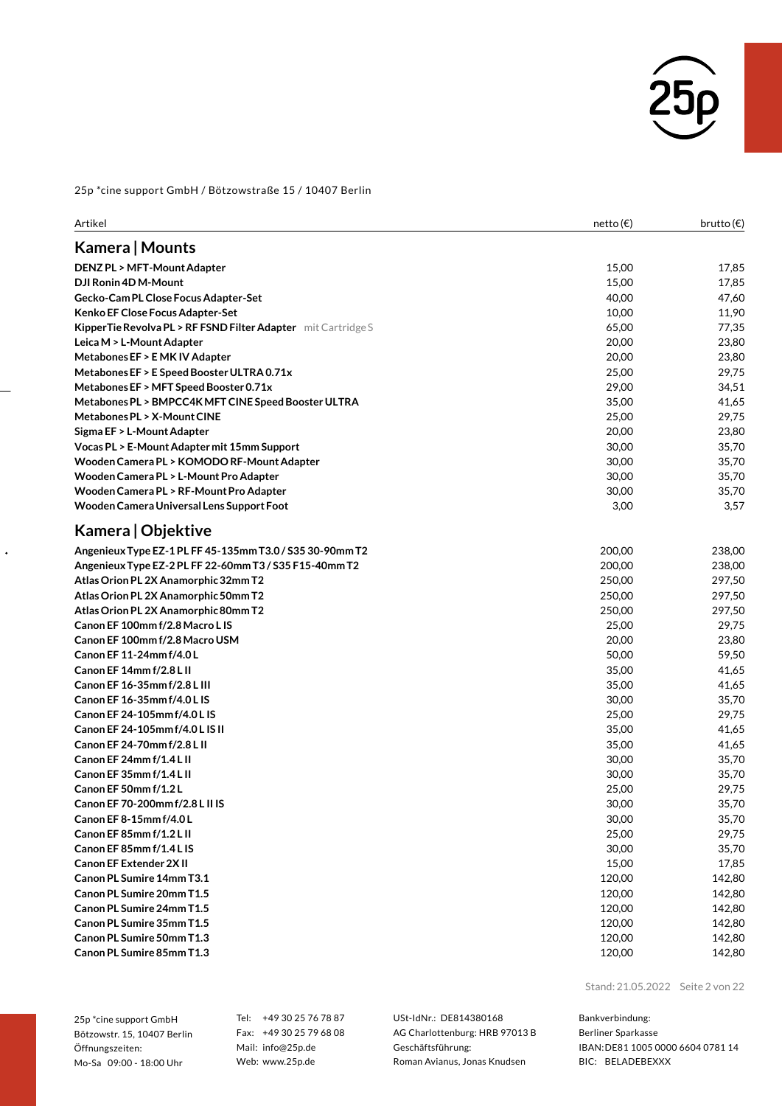

| Kamera   Mounts<br><b>DENZ PL &gt; MFT-Mount Adapter</b><br>15,00<br>DJI Ronin 4D M-Mount<br>15,00<br>Gecko-Cam PL Close Focus Adapter-Set<br>40,00<br>Kenko EF Close Focus Adapter-Set<br>10,00<br>KipperTie Revolva PL > RF FSND Filter Adapter mit Cartridge S<br>65,00<br>77,35<br>Leica M > L-Mount Adapter<br>20,00<br>23,80<br>Metabones EF > EMK IV Adapter<br>20,00<br>23,80<br>Metabones EF > E Speed Booster ULTRA 0.71x<br>25,00<br>29,75<br>Metabones EF > MFT Speed Booster 0.71x<br>29,00<br>34,51<br>Metabones PL > BMPCC4K MFT CINE Speed Booster ULTRA<br>35,00<br>41,65<br>Metabones PL > X-Mount CINE<br>25,00<br>29,75<br>Sigma EF > L-Mount Adapter<br>20,00<br>23,80<br>Vocas PL > E-Mount Adapter mit 15mm Support<br>30,00<br>35,70<br>Wooden Camera PL > KOMODO RF-Mount Adapter<br>30,00<br>35,70<br>Wooden Camera PL > L-Mount Pro Adapter<br>30,00<br>35,70<br>Wooden Camera PL > RF-Mount Pro Adapter<br>30,00<br>35,70<br>Wooden Camera Universal Lens Support Foot<br>3,00<br>3,57<br>Kamera   Objektive<br>200,00<br>Angenieux Type EZ-1 PL FF 45-135mm T3.0 / S35 30-90mm T2<br>238,00<br>Angenieux Type EZ-2 PL FF 22-60mm T3 / S35 F15-40mm T2<br>200,00<br>238,00<br>Atlas Orion PL 2X Anamorphic 32mm T2<br>250,00<br>297,50<br>Atlas Orion PL 2X Anamorphic 50mm T2<br>250,00<br>297,50<br>Atlas Orion PL 2X Anamorphic 80mm T2<br>250,00<br>297,50<br>Canon EF 100mm f/2.8 Macro L IS<br>25,00<br>29,75<br>Canon EF 100mm f/2.8 Macro USM<br>20,00<br>23,80<br>Canon EF 11-24mm f/4.0L<br>50,00<br>59,50<br>Canon EF 14mm f/2.8 L II<br>35,00<br>Canon EF 16-35mm f/2.8 L III<br>35,00<br>41,65<br>Canon EF 16-35mm f/4.0 L IS<br>30,00<br>Canon EF 24-105mm f/4.0 L IS<br>25,00<br>29,75<br>Canon EF 24-105mm f/4.0 L IS II<br>35,00<br>41,65<br>Canon EF 24-70mm f/2.8 L II<br>35,00<br>Canon EF 24mm f/1.4 L II<br>30,00<br>Canon EF 35mm f/1.4 L II<br>30,00<br>Canon EF 50mm f/1.2L<br>25,00<br>29,75<br>Canon EF 70-200mm f/2.8 L II IS<br>30,00<br>Canon EF8-15mm f/4.0L<br>30,00<br>25,00<br>Canon EF 85mm f/1.2 L II<br>Canon EF 85mm f/1.4 L IS<br>30,00<br><b>Canon EF Extender 2XII</b><br>15,00<br>Canon PL Sumire 14mm T3.1<br>120,00<br>Canon PL Sumire 20mm T1.5<br>120,00<br>Canon PL Sumire 24mm T1.5<br>120,00<br>142,80<br>Canon PL Sumire 35mm T1.5<br>120,00<br>142,80<br>Canon PL Sumire 50mm T1.3<br>120,00<br>142,80<br>Canon PL Sumire 85mm T1.3<br>120,00 | Artikel | netto $(\epsilon)$ | brutto $(\epsilon)$ |
|------------------------------------------------------------------------------------------------------------------------------------------------------------------------------------------------------------------------------------------------------------------------------------------------------------------------------------------------------------------------------------------------------------------------------------------------------------------------------------------------------------------------------------------------------------------------------------------------------------------------------------------------------------------------------------------------------------------------------------------------------------------------------------------------------------------------------------------------------------------------------------------------------------------------------------------------------------------------------------------------------------------------------------------------------------------------------------------------------------------------------------------------------------------------------------------------------------------------------------------------------------------------------------------------------------------------------------------------------------------------------------------------------------------------------------------------------------------------------------------------------------------------------------------------------------------------------------------------------------------------------------------------------------------------------------------------------------------------------------------------------------------------------------------------------------------------------------------------------------------------------------------------------------------------------------------------------------------------------------------------------------------------------------------------------------------------------------------------------------------------------------------------------------------------------------------------------------------------------------------------------------------------------------------------------------------------------------------------------------------------------------------------------------------------------|---------|--------------------|---------------------|
|                                                                                                                                                                                                                                                                                                                                                                                                                                                                                                                                                                                                                                                                                                                                                                                                                                                                                                                                                                                                                                                                                                                                                                                                                                                                                                                                                                                                                                                                                                                                                                                                                                                                                                                                                                                                                                                                                                                                                                                                                                                                                                                                                                                                                                                                                                                                                                                                                              |         |                    |                     |
|                                                                                                                                                                                                                                                                                                                                                                                                                                                                                                                                                                                                                                                                                                                                                                                                                                                                                                                                                                                                                                                                                                                                                                                                                                                                                                                                                                                                                                                                                                                                                                                                                                                                                                                                                                                                                                                                                                                                                                                                                                                                                                                                                                                                                                                                                                                                                                                                                              |         |                    | 17,85               |
|                                                                                                                                                                                                                                                                                                                                                                                                                                                                                                                                                                                                                                                                                                                                                                                                                                                                                                                                                                                                                                                                                                                                                                                                                                                                                                                                                                                                                                                                                                                                                                                                                                                                                                                                                                                                                                                                                                                                                                                                                                                                                                                                                                                                                                                                                                                                                                                                                              |         |                    | 17,85               |
|                                                                                                                                                                                                                                                                                                                                                                                                                                                                                                                                                                                                                                                                                                                                                                                                                                                                                                                                                                                                                                                                                                                                                                                                                                                                                                                                                                                                                                                                                                                                                                                                                                                                                                                                                                                                                                                                                                                                                                                                                                                                                                                                                                                                                                                                                                                                                                                                                              |         |                    | 47,60               |
|                                                                                                                                                                                                                                                                                                                                                                                                                                                                                                                                                                                                                                                                                                                                                                                                                                                                                                                                                                                                                                                                                                                                                                                                                                                                                                                                                                                                                                                                                                                                                                                                                                                                                                                                                                                                                                                                                                                                                                                                                                                                                                                                                                                                                                                                                                                                                                                                                              |         |                    | 11,90               |
|                                                                                                                                                                                                                                                                                                                                                                                                                                                                                                                                                                                                                                                                                                                                                                                                                                                                                                                                                                                                                                                                                                                                                                                                                                                                                                                                                                                                                                                                                                                                                                                                                                                                                                                                                                                                                                                                                                                                                                                                                                                                                                                                                                                                                                                                                                                                                                                                                              |         |                    |                     |
|                                                                                                                                                                                                                                                                                                                                                                                                                                                                                                                                                                                                                                                                                                                                                                                                                                                                                                                                                                                                                                                                                                                                                                                                                                                                                                                                                                                                                                                                                                                                                                                                                                                                                                                                                                                                                                                                                                                                                                                                                                                                                                                                                                                                                                                                                                                                                                                                                              |         |                    |                     |
|                                                                                                                                                                                                                                                                                                                                                                                                                                                                                                                                                                                                                                                                                                                                                                                                                                                                                                                                                                                                                                                                                                                                                                                                                                                                                                                                                                                                                                                                                                                                                                                                                                                                                                                                                                                                                                                                                                                                                                                                                                                                                                                                                                                                                                                                                                                                                                                                                              |         |                    |                     |
|                                                                                                                                                                                                                                                                                                                                                                                                                                                                                                                                                                                                                                                                                                                                                                                                                                                                                                                                                                                                                                                                                                                                                                                                                                                                                                                                                                                                                                                                                                                                                                                                                                                                                                                                                                                                                                                                                                                                                                                                                                                                                                                                                                                                                                                                                                                                                                                                                              |         |                    |                     |
|                                                                                                                                                                                                                                                                                                                                                                                                                                                                                                                                                                                                                                                                                                                                                                                                                                                                                                                                                                                                                                                                                                                                                                                                                                                                                                                                                                                                                                                                                                                                                                                                                                                                                                                                                                                                                                                                                                                                                                                                                                                                                                                                                                                                                                                                                                                                                                                                                              |         |                    |                     |
|                                                                                                                                                                                                                                                                                                                                                                                                                                                                                                                                                                                                                                                                                                                                                                                                                                                                                                                                                                                                                                                                                                                                                                                                                                                                                                                                                                                                                                                                                                                                                                                                                                                                                                                                                                                                                                                                                                                                                                                                                                                                                                                                                                                                                                                                                                                                                                                                                              |         |                    |                     |
|                                                                                                                                                                                                                                                                                                                                                                                                                                                                                                                                                                                                                                                                                                                                                                                                                                                                                                                                                                                                                                                                                                                                                                                                                                                                                                                                                                                                                                                                                                                                                                                                                                                                                                                                                                                                                                                                                                                                                                                                                                                                                                                                                                                                                                                                                                                                                                                                                              |         |                    |                     |
|                                                                                                                                                                                                                                                                                                                                                                                                                                                                                                                                                                                                                                                                                                                                                                                                                                                                                                                                                                                                                                                                                                                                                                                                                                                                                                                                                                                                                                                                                                                                                                                                                                                                                                                                                                                                                                                                                                                                                                                                                                                                                                                                                                                                                                                                                                                                                                                                                              |         |                    |                     |
|                                                                                                                                                                                                                                                                                                                                                                                                                                                                                                                                                                                                                                                                                                                                                                                                                                                                                                                                                                                                                                                                                                                                                                                                                                                                                                                                                                                                                                                                                                                                                                                                                                                                                                                                                                                                                                                                                                                                                                                                                                                                                                                                                                                                                                                                                                                                                                                                                              |         |                    |                     |
|                                                                                                                                                                                                                                                                                                                                                                                                                                                                                                                                                                                                                                                                                                                                                                                                                                                                                                                                                                                                                                                                                                                                                                                                                                                                                                                                                                                                                                                                                                                                                                                                                                                                                                                                                                                                                                                                                                                                                                                                                                                                                                                                                                                                                                                                                                                                                                                                                              |         |                    |                     |
|                                                                                                                                                                                                                                                                                                                                                                                                                                                                                                                                                                                                                                                                                                                                                                                                                                                                                                                                                                                                                                                                                                                                                                                                                                                                                                                                                                                                                                                                                                                                                                                                                                                                                                                                                                                                                                                                                                                                                                                                                                                                                                                                                                                                                                                                                                                                                                                                                              |         |                    |                     |
|                                                                                                                                                                                                                                                                                                                                                                                                                                                                                                                                                                                                                                                                                                                                                                                                                                                                                                                                                                                                                                                                                                                                                                                                                                                                                                                                                                                                                                                                                                                                                                                                                                                                                                                                                                                                                                                                                                                                                                                                                                                                                                                                                                                                                                                                                                                                                                                                                              |         |                    |                     |
|                                                                                                                                                                                                                                                                                                                                                                                                                                                                                                                                                                                                                                                                                                                                                                                                                                                                                                                                                                                                                                                                                                                                                                                                                                                                                                                                                                                                                                                                                                                                                                                                                                                                                                                                                                                                                                                                                                                                                                                                                                                                                                                                                                                                                                                                                                                                                                                                                              |         |                    |                     |
|                                                                                                                                                                                                                                                                                                                                                                                                                                                                                                                                                                                                                                                                                                                                                                                                                                                                                                                                                                                                                                                                                                                                                                                                                                                                                                                                                                                                                                                                                                                                                                                                                                                                                                                                                                                                                                                                                                                                                                                                                                                                                                                                                                                                                                                                                                                                                                                                                              |         |                    |                     |
|                                                                                                                                                                                                                                                                                                                                                                                                                                                                                                                                                                                                                                                                                                                                                                                                                                                                                                                                                                                                                                                                                                                                                                                                                                                                                                                                                                                                                                                                                                                                                                                                                                                                                                                                                                                                                                                                                                                                                                                                                                                                                                                                                                                                                                                                                                                                                                                                                              |         |                    |                     |
|                                                                                                                                                                                                                                                                                                                                                                                                                                                                                                                                                                                                                                                                                                                                                                                                                                                                                                                                                                                                                                                                                                                                                                                                                                                                                                                                                                                                                                                                                                                                                                                                                                                                                                                                                                                                                                                                                                                                                                                                                                                                                                                                                                                                                                                                                                                                                                                                                              |         |                    |                     |
|                                                                                                                                                                                                                                                                                                                                                                                                                                                                                                                                                                                                                                                                                                                                                                                                                                                                                                                                                                                                                                                                                                                                                                                                                                                                                                                                                                                                                                                                                                                                                                                                                                                                                                                                                                                                                                                                                                                                                                                                                                                                                                                                                                                                                                                                                                                                                                                                                              |         |                    |                     |
|                                                                                                                                                                                                                                                                                                                                                                                                                                                                                                                                                                                                                                                                                                                                                                                                                                                                                                                                                                                                                                                                                                                                                                                                                                                                                                                                                                                                                                                                                                                                                                                                                                                                                                                                                                                                                                                                                                                                                                                                                                                                                                                                                                                                                                                                                                                                                                                                                              |         |                    |                     |
|                                                                                                                                                                                                                                                                                                                                                                                                                                                                                                                                                                                                                                                                                                                                                                                                                                                                                                                                                                                                                                                                                                                                                                                                                                                                                                                                                                                                                                                                                                                                                                                                                                                                                                                                                                                                                                                                                                                                                                                                                                                                                                                                                                                                                                                                                                                                                                                                                              |         |                    |                     |
|                                                                                                                                                                                                                                                                                                                                                                                                                                                                                                                                                                                                                                                                                                                                                                                                                                                                                                                                                                                                                                                                                                                                                                                                                                                                                                                                                                                                                                                                                                                                                                                                                                                                                                                                                                                                                                                                                                                                                                                                                                                                                                                                                                                                                                                                                                                                                                                                                              |         |                    |                     |
|                                                                                                                                                                                                                                                                                                                                                                                                                                                                                                                                                                                                                                                                                                                                                                                                                                                                                                                                                                                                                                                                                                                                                                                                                                                                                                                                                                                                                                                                                                                                                                                                                                                                                                                                                                                                                                                                                                                                                                                                                                                                                                                                                                                                                                                                                                                                                                                                                              |         |                    |                     |
|                                                                                                                                                                                                                                                                                                                                                                                                                                                                                                                                                                                                                                                                                                                                                                                                                                                                                                                                                                                                                                                                                                                                                                                                                                                                                                                                                                                                                                                                                                                                                                                                                                                                                                                                                                                                                                                                                                                                                                                                                                                                                                                                                                                                                                                                                                                                                                                                                              |         |                    |                     |
|                                                                                                                                                                                                                                                                                                                                                                                                                                                                                                                                                                                                                                                                                                                                                                                                                                                                                                                                                                                                                                                                                                                                                                                                                                                                                                                                                                                                                                                                                                                                                                                                                                                                                                                                                                                                                                                                                                                                                                                                                                                                                                                                                                                                                                                                                                                                                                                                                              |         |                    |                     |
|                                                                                                                                                                                                                                                                                                                                                                                                                                                                                                                                                                                                                                                                                                                                                                                                                                                                                                                                                                                                                                                                                                                                                                                                                                                                                                                                                                                                                                                                                                                                                                                                                                                                                                                                                                                                                                                                                                                                                                                                                                                                                                                                                                                                                                                                                                                                                                                                                              |         |                    | 41,65               |
|                                                                                                                                                                                                                                                                                                                                                                                                                                                                                                                                                                                                                                                                                                                                                                                                                                                                                                                                                                                                                                                                                                                                                                                                                                                                                                                                                                                                                                                                                                                                                                                                                                                                                                                                                                                                                                                                                                                                                                                                                                                                                                                                                                                                                                                                                                                                                                                                                              |         |                    |                     |
|                                                                                                                                                                                                                                                                                                                                                                                                                                                                                                                                                                                                                                                                                                                                                                                                                                                                                                                                                                                                                                                                                                                                                                                                                                                                                                                                                                                                                                                                                                                                                                                                                                                                                                                                                                                                                                                                                                                                                                                                                                                                                                                                                                                                                                                                                                                                                                                                                              |         |                    | 35,70               |
|                                                                                                                                                                                                                                                                                                                                                                                                                                                                                                                                                                                                                                                                                                                                                                                                                                                                                                                                                                                                                                                                                                                                                                                                                                                                                                                                                                                                                                                                                                                                                                                                                                                                                                                                                                                                                                                                                                                                                                                                                                                                                                                                                                                                                                                                                                                                                                                                                              |         |                    |                     |
|                                                                                                                                                                                                                                                                                                                                                                                                                                                                                                                                                                                                                                                                                                                                                                                                                                                                                                                                                                                                                                                                                                                                                                                                                                                                                                                                                                                                                                                                                                                                                                                                                                                                                                                                                                                                                                                                                                                                                                                                                                                                                                                                                                                                                                                                                                                                                                                                                              |         |                    |                     |
|                                                                                                                                                                                                                                                                                                                                                                                                                                                                                                                                                                                                                                                                                                                                                                                                                                                                                                                                                                                                                                                                                                                                                                                                                                                                                                                                                                                                                                                                                                                                                                                                                                                                                                                                                                                                                                                                                                                                                                                                                                                                                                                                                                                                                                                                                                                                                                                                                              |         |                    | 41,65               |
|                                                                                                                                                                                                                                                                                                                                                                                                                                                                                                                                                                                                                                                                                                                                                                                                                                                                                                                                                                                                                                                                                                                                                                                                                                                                                                                                                                                                                                                                                                                                                                                                                                                                                                                                                                                                                                                                                                                                                                                                                                                                                                                                                                                                                                                                                                                                                                                                                              |         |                    | 35,70               |
|                                                                                                                                                                                                                                                                                                                                                                                                                                                                                                                                                                                                                                                                                                                                                                                                                                                                                                                                                                                                                                                                                                                                                                                                                                                                                                                                                                                                                                                                                                                                                                                                                                                                                                                                                                                                                                                                                                                                                                                                                                                                                                                                                                                                                                                                                                                                                                                                                              |         |                    | 35,70               |
|                                                                                                                                                                                                                                                                                                                                                                                                                                                                                                                                                                                                                                                                                                                                                                                                                                                                                                                                                                                                                                                                                                                                                                                                                                                                                                                                                                                                                                                                                                                                                                                                                                                                                                                                                                                                                                                                                                                                                                                                                                                                                                                                                                                                                                                                                                                                                                                                                              |         |                    |                     |
|                                                                                                                                                                                                                                                                                                                                                                                                                                                                                                                                                                                                                                                                                                                                                                                                                                                                                                                                                                                                                                                                                                                                                                                                                                                                                                                                                                                                                                                                                                                                                                                                                                                                                                                                                                                                                                                                                                                                                                                                                                                                                                                                                                                                                                                                                                                                                                                                                              |         |                    | 35,70               |
|                                                                                                                                                                                                                                                                                                                                                                                                                                                                                                                                                                                                                                                                                                                                                                                                                                                                                                                                                                                                                                                                                                                                                                                                                                                                                                                                                                                                                                                                                                                                                                                                                                                                                                                                                                                                                                                                                                                                                                                                                                                                                                                                                                                                                                                                                                                                                                                                                              |         |                    | 35,70               |
|                                                                                                                                                                                                                                                                                                                                                                                                                                                                                                                                                                                                                                                                                                                                                                                                                                                                                                                                                                                                                                                                                                                                                                                                                                                                                                                                                                                                                                                                                                                                                                                                                                                                                                                                                                                                                                                                                                                                                                                                                                                                                                                                                                                                                                                                                                                                                                                                                              |         |                    | 29,75               |
|                                                                                                                                                                                                                                                                                                                                                                                                                                                                                                                                                                                                                                                                                                                                                                                                                                                                                                                                                                                                                                                                                                                                                                                                                                                                                                                                                                                                                                                                                                                                                                                                                                                                                                                                                                                                                                                                                                                                                                                                                                                                                                                                                                                                                                                                                                                                                                                                                              |         |                    | 35,70               |
|                                                                                                                                                                                                                                                                                                                                                                                                                                                                                                                                                                                                                                                                                                                                                                                                                                                                                                                                                                                                                                                                                                                                                                                                                                                                                                                                                                                                                                                                                                                                                                                                                                                                                                                                                                                                                                                                                                                                                                                                                                                                                                                                                                                                                                                                                                                                                                                                                              |         |                    | 17,85               |
|                                                                                                                                                                                                                                                                                                                                                                                                                                                                                                                                                                                                                                                                                                                                                                                                                                                                                                                                                                                                                                                                                                                                                                                                                                                                                                                                                                                                                                                                                                                                                                                                                                                                                                                                                                                                                                                                                                                                                                                                                                                                                                                                                                                                                                                                                                                                                                                                                              |         |                    | 142,80              |
|                                                                                                                                                                                                                                                                                                                                                                                                                                                                                                                                                                                                                                                                                                                                                                                                                                                                                                                                                                                                                                                                                                                                                                                                                                                                                                                                                                                                                                                                                                                                                                                                                                                                                                                                                                                                                                                                                                                                                                                                                                                                                                                                                                                                                                                                                                                                                                                                                              |         |                    | 142,80              |
|                                                                                                                                                                                                                                                                                                                                                                                                                                                                                                                                                                                                                                                                                                                                                                                                                                                                                                                                                                                                                                                                                                                                                                                                                                                                                                                                                                                                                                                                                                                                                                                                                                                                                                                                                                                                                                                                                                                                                                                                                                                                                                                                                                                                                                                                                                                                                                                                                              |         |                    |                     |
|                                                                                                                                                                                                                                                                                                                                                                                                                                                                                                                                                                                                                                                                                                                                                                                                                                                                                                                                                                                                                                                                                                                                                                                                                                                                                                                                                                                                                                                                                                                                                                                                                                                                                                                                                                                                                                                                                                                                                                                                                                                                                                                                                                                                                                                                                                                                                                                                                              |         |                    |                     |
|                                                                                                                                                                                                                                                                                                                                                                                                                                                                                                                                                                                                                                                                                                                                                                                                                                                                                                                                                                                                                                                                                                                                                                                                                                                                                                                                                                                                                                                                                                                                                                                                                                                                                                                                                                                                                                                                                                                                                                                                                                                                                                                                                                                                                                                                                                                                                                                                                              |         |                    |                     |
|                                                                                                                                                                                                                                                                                                                                                                                                                                                                                                                                                                                                                                                                                                                                                                                                                                                                                                                                                                                                                                                                                                                                                                                                                                                                                                                                                                                                                                                                                                                                                                                                                                                                                                                                                                                                                                                                                                                                                                                                                                                                                                                                                                                                                                                                                                                                                                                                                              |         |                    | 142,80              |

25p \*cine support GmbH Bötzowstr. 15, 10407 Berlin Öffnungszeiten: Mo-Sa 09:00 - 18:00 Uhr

 $\ddot{\phantom{0}}$ 

Tel: +49 30 25 76 78 87 Fax: +49 30 25 79 68 08 Mail: info@25p.de Web: www.25p.de

USt-IdNr.: DE814380168 AG Charlottenburg: HRB 97013 B Geschäftsführung: Roman Avianus, Jonas Knudsen

Stand: 21.05.2022 Seite 2 von 22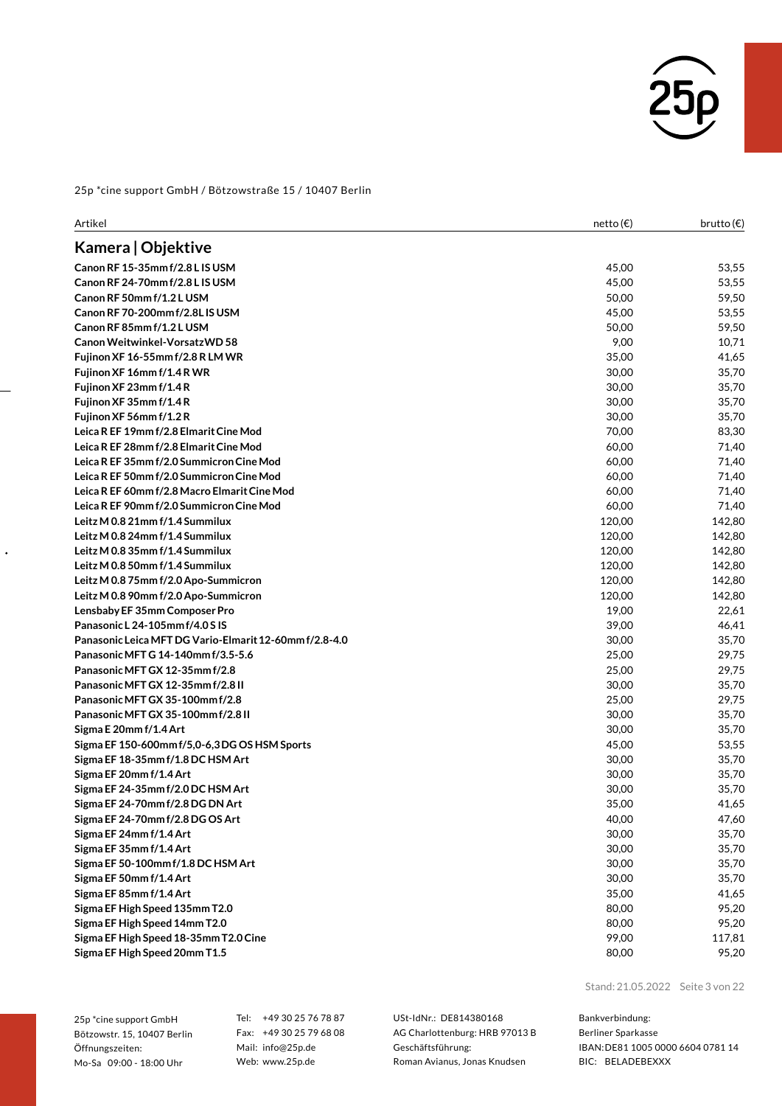

| Artikel                                                | netto (€) | brutto $(\epsilon)$ |
|--------------------------------------------------------|-----------|---------------------|
| Kamera   Objektive                                     |           |                     |
| Canon RF 15-35mm f/2.8 L IS USM                        | 45,00     | 53,55               |
| Canon RF 24-70mm f/2.8 L IS USM                        | 45,00     | 53,55               |
| Canon RF 50mm f/1.2 L USM                              | 50,00     | 59,50               |
| Canon RF 70-200mm f/2.8L IS USM                        | 45,00     | 53,55               |
| Canon RF 85mm f/1.2LUSM                                | 50,00     | 59,50               |
| Canon Weitwinkel-Vorsatz WD 58                         | 9,00      | 10,71               |
| Fujinon XF 16-55mm f/2.8 R LM WR                       | 35,00     | 41,65               |
| Fujinon XF 16mm f/1.4R WR                              | 30,00     | 35,70               |
| Fujinon XF 23mm f/1.4R                                 | 30,00     | 35,70               |
| Fujinon XF 35mm f/1.4R                                 | 30,00     | 35,70               |
| Fujinon XF 56mm f/1.2R                                 | 30,00     | 35,70               |
| Leica R EF 19mm f/2.8 Elmarit Cine Mod                 | 70,00     | 83,30               |
| Leica R EF 28mm f/2.8 Elmarit Cine Mod                 | 60,00     | 71,40               |
| Leica R EF 35mm f/2.0 Summicron Cine Mod               | 60,00     | 71,40               |
| Leica R EF 50mm f/2.0 Summicron Cine Mod               | 60,00     | 71,40               |
| Leica R EF 60mm f/2.8 Macro Elmarit Cine Mod           | 60,00     | 71,40               |
| Leica R EF 90mm f/2.0 Summicron Cine Mod               | 60,00     | 71,40               |
| Leitz M 0.8 21mm f/1.4 Summilux                        | 120,00    | 142,80              |
| Leitz M 0.8 24mm f/1.4 Summilux                        | 120,00    | 142,80              |
| Leitz M 0.8 35mm f/1.4 Summilux                        | 120,00    | 142,80              |
| Leitz M 0.8 50mm f/1.4 Summilux                        | 120,00    | 142,80              |
| Leitz M 0.8 75mm f/2.0 Apo-Summicron                   | 120,00    | 142,80              |
| Leitz M 0.8 90mm f/2.0 Apo-Summicron                   | 120,00    | 142,80              |
| Lensbaby EF 35mm Composer Pro                          | 19,00     | 22,61               |
| Panasonic L 24-105mm f/4.0 S IS                        | 39,00     | 46,41               |
| Panasonic Leica MFT DG Vario-Elmarit 12-60mm f/2.8-4.0 | 30,00     | 35,70               |
| Panasonic MFT G 14-140mm f/3.5-5.6                     | 25,00     | 29,75               |
| Panasonic MFT GX 12-35mm f/2.8                         | 25,00     | 29,75               |
| Panasonic MFT GX 12-35mm f/2.8 II                      | 30,00     | 35,70               |
| Panasonic MFT GX 35-100mm f/2.8                        | 25,00     | 29,75               |
| Panasonic MFT GX 35-100mm f/2.8 II                     | 30,00     | 35,70               |
| Sigma E 20mm f/1.4 Art                                 | 30,00     | 35,70               |
| Sigma EF 150-600mm f/5,0-6,3DG OS HSM Sports           | 45,00     | 53,55               |
| Sigma EF 18-35mm f/1.8 DC HSM Art                      | 30,00     | 35,70               |
| Sigma EF 20mm f/1.4 Art                                | 30,00     | 35,70               |
| Sigma EF 24-35mm f/2.0 DC HSM Art                      | 30,00     | 35,70               |
| Sigma EF 24-70mm f/2.8 DG DN Art                       | 35,00     | 41,65               |
| Sigma EF 24-70mm f/2.8 DG OS Art                       | 40,00     | 47,60               |
| Sigma EF 24mm f/1.4 Art                                | 30,00     | 35,70               |
| Sigma EF 35mm f/1.4 Art                                | 30,00     | 35,70               |
| Sigma EF 50-100mm f/1.8 DC HSM Art                     | 30,00     | 35,70               |
| Sigma EF 50mm f/1.4 Art                                | 30,00     | 35,70               |
| Sigma EF 85mm f/1.4 Art                                | 35,00     | 41,65               |
| Sigma EF High Speed 135mm T2.0                         | 80,00     | 95,20               |
| Sigma EF High Speed 14mm T2.0                          | 80,00     | 95,20               |
| Sigma EF High Speed 18-35mm T2.0 Cine                  | 99,00     | 117,81              |
| Sigma EF High Speed 20mm T1.5                          | 80,00     | 95,20               |

25p \*cine support GmbH Bötzowstr. 15, 10407 Berlin Öffnungszeiten: Mo-Sa 09:00 - 18:00 Uhr

 $\ddot{\phantom{0}}$ 

Tel: +49 30 25 76 78 87 Fax: +49 30 25 79 68 08 Mail: info@25p.de Web: www.25p.de

USt-IdNr.: DE814380168 AG Charlottenburg: HRB 97013 B Geschäftsführung: Roman Avianus, Jonas Knudsen

Stand: 21.05.2022 Seite 3 von 22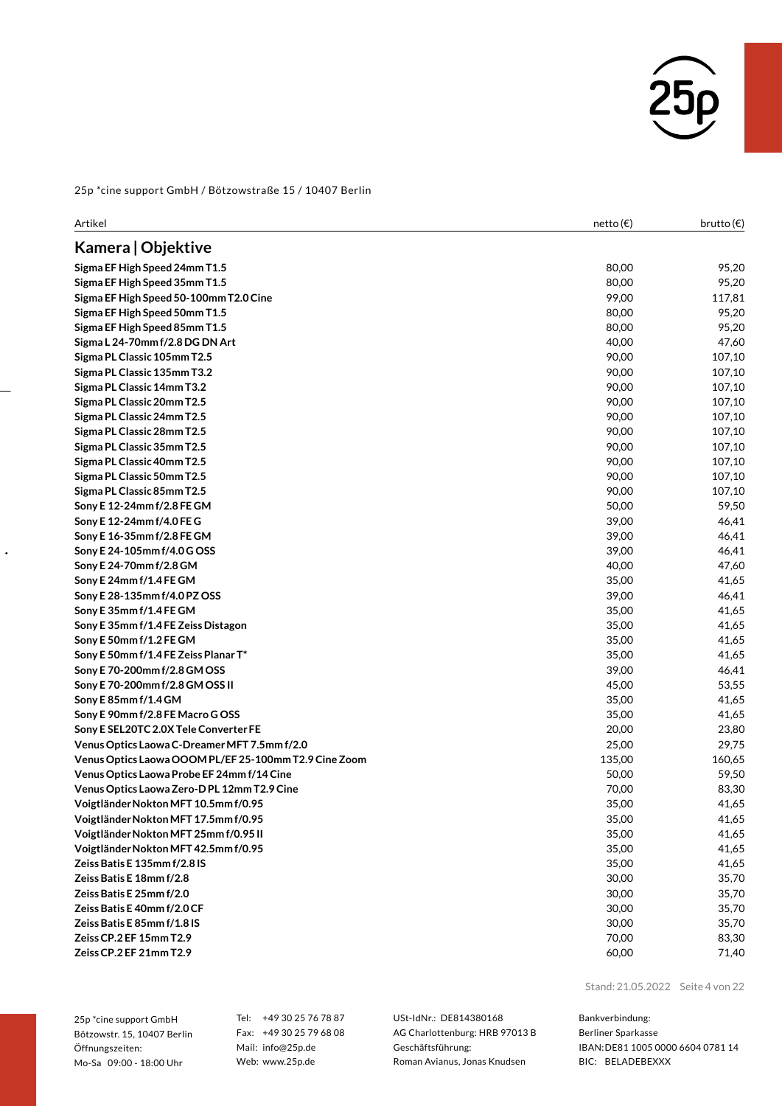

| Artikel                                               | netto (€) | brutto(€) |
|-------------------------------------------------------|-----------|-----------|
| Kamera   Objektive                                    |           |           |
| Sigma EF High Speed 24mm T1.5                         | 80,00     | 95,20     |
| Sigma EF High Speed 35mm T1.5                         | 80,00     | 95,20     |
| Sigma EF High Speed 50-100mm T2.0 Cine                | 99,00     | 117,81    |
| Sigma EF High Speed 50mm T1.5                         | 80,00     | 95,20     |
| Sigma EF High Speed 85mm T1.5                         | 80,00     | 95,20     |
| Sigma L 24-70mm f/2.8 DG DN Art                       | 40,00     | 47,60     |
| Sigma PL Classic 105mm T2.5                           | 90,00     | 107,10    |
| Sigma PL Classic 135mm T3.2                           | 90,00     | 107,10    |
| Sigma PL Classic 14mm T3.2                            | 90,00     | 107,10    |
| Sigma PL Classic 20mm T2.5                            | 90,00     | 107,10    |
| Sigma PL Classic 24mm T2.5                            | 90,00     | 107,10    |
| Sigma PL Classic 28mm T2.5                            | 90,00     | 107,10    |
| Sigma PL Classic 35mm T2.5                            | 90,00     | 107,10    |
| Sigma PL Classic 40mm T2.5                            | 90,00     | 107,10    |
| Sigma PL Classic 50mm T2.5                            | 90,00     | 107,10    |
| Sigma PL Classic 85mm T2.5                            | 90,00     | 107,10    |
| Sony E 12-24mm f/2.8 FE GM                            | 50,00     | 59,50     |
| Sony E 12-24mm f/4.0 FE G                             | 39,00     | 46,41     |
| Sony E 16-35mm f/2.8 FE GM                            | 39,00     | 46,41     |
| Sony E 24-105mm f/4.0 G OSS                           | 39,00     | 46,41     |
| Sony E 24-70mm f/2.8 GM                               | 40,00     | 47,60     |
| Sony E 24mm f/1.4 FE GM                               | 35,00     | 41,65     |
| Sony E 28-135mm f/4.0 PZ OSS                          | 39,00     | 46,41     |
| Sony E 35mm f/1.4 FE GM                               | 35,00     | 41,65     |
| Sony E 35mm f/1.4 FE Zeiss Distagon                   | 35,00     | 41,65     |
| Sony E 50mm f/1.2 FE GM                               | 35,00     | 41,65     |
| Sony E 50mm f/1.4 FE Zeiss Planar T*                  | 35,00     | 41,65     |
| Sony E 70-200mm f/2.8 GM OSS                          | 39,00     | 46,41     |
| Sony E 70-200mm f/2.8 GM OSS II                       | 45,00     | 53,55     |
| Sony E 85mm f/1.4 GM                                  | 35,00     | 41,65     |
| Sony E 90mm f/2.8 FE Macro G OSS                      | 35,00     | 41,65     |
| Sony E SEL20TC 2.0X Tele Converter FE                 | 20,00     | 23,80     |
| Venus Optics Laowa C-Dreamer MFT 7.5mm f/2.0          | 25,00     | 29,75     |
| Venus Optics Laowa OOOM PL/EF 25-100mm T2.9 Cine Zoom | 135,00    | 160,65    |
| Venus Optics Laowa Probe EF 24mm f/14 Cine            | 50,00     | 59,50     |
| Venus Optics Laowa Zero-DPL 12mm T2.9 Cine            | 70,00     | 83,30     |
| Voigtländer Nokton MFT 10.5mm f/0.95                  | 35,00     | 41,65     |
| Voigtländer Nokton MFT 17.5mm f/0.95                  | 35,00     | 41,65     |
| Voigtländer Nokton MFT 25mm f/0.95 II                 | 35,00     | 41,65     |
| Voigtländer Nokton MFT 42.5mm f/0.95                  | 35,00     | 41,65     |
| Zeiss Batis E 135mm f/2.8 IS                          | 35,00     | 41,65     |
| Zeiss Batis E 18mm f/2.8                              | 30,00     | 35,70     |
| Zeiss Batis E 25mm f/2.0                              | 30,00     | 35,70     |
| Zeiss Batis E 40mm f/2.0 CF                           | 30,00     | 35,70     |
| Zeiss Batis E 85mm f/1.8 IS                           | 30,00     | 35,70     |
| Zeiss CP.2 EF 15mm T2.9                               | 70,00     | 83,30     |
| Zeiss CP.2 EF 21mm T2.9                               | 60,00     | 71,40     |

25p \*cine support GmbH Bötzowstr. 15, 10407 Berlin Öffnungszeiten: Mo-Sa 09:00 - 18:00 Uhr

 $\ddot{\phantom{0}}$ 

Tel: +49 30 25 76 78 87 Fax: +49 30 25 79 68 08 Mail: info@25p.de Web: www.25p.de

USt-IdNr.: DE814380168 AG Charlottenburg: HRB 97013 B Geschäftsführung: Roman Avianus, Jonas Knudsen

Stand: 21.05.2022 Seite 4 von 22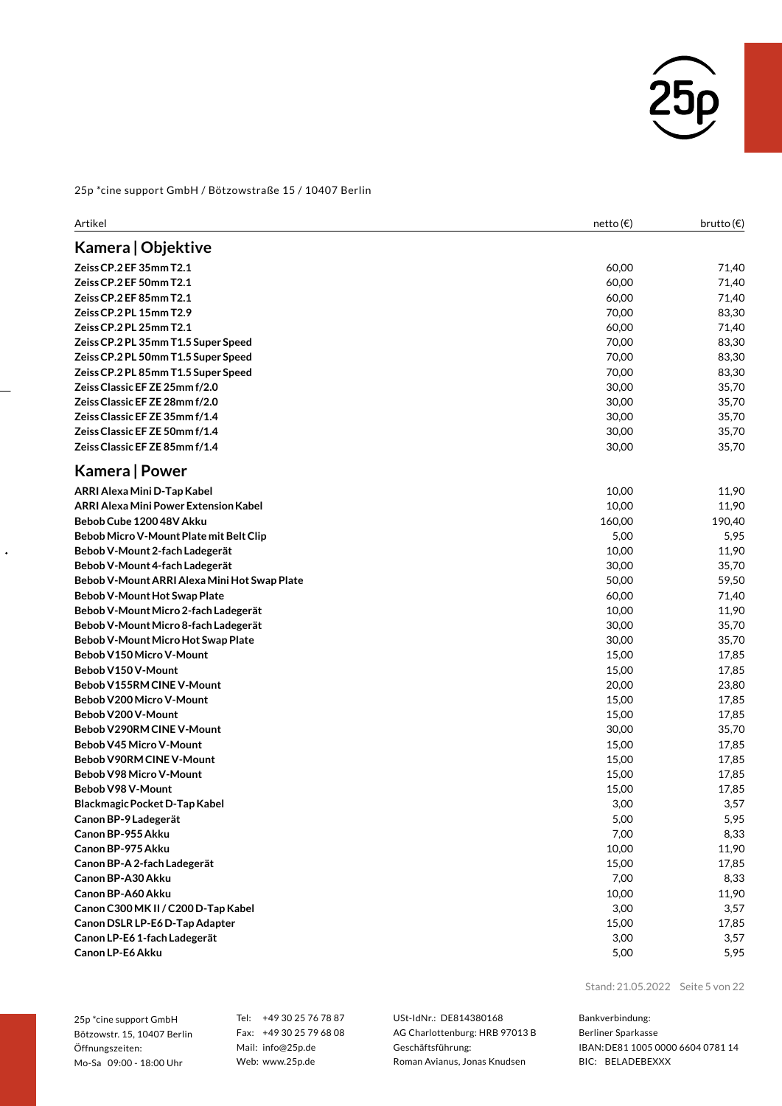

| Artikel                                      | netto (€) | brutto $(\epsilon)$ |
|----------------------------------------------|-----------|---------------------|
| Kamera   Objektive                           |           |                     |
| Zeiss CP.2 EF 35mm T2.1                      | 60,00     | 71,40               |
| Zeiss CP.2 EF 50mm T2.1                      | 60,00     | 71,40               |
| Zeiss CP.2 EF 85mm T2.1                      | 60,00     | 71,40               |
| Zeiss CP.2 PL 15mm T2.9                      | 70,00     | 83,30               |
| Zeiss CP.2 PL 25mm T2.1                      | 60,00     | 71,40               |
| Zeiss CP.2 PL 35mm T1.5 Super Speed          | 70,00     | 83,30               |
| Zeiss CP.2 PL 50mm T1.5 Super Speed          | 70,00     | 83,30               |
| Zeiss CP.2 PL 85mm T1.5 Super Speed          | 70,00     | 83,30               |
| Zeiss Classic EF ZE 25mm f/2.0               | 30,00     | 35,70               |
| Zeiss Classic EF ZE 28mm f/2.0               | 30,00     | 35,70               |
| Zeiss Classic EF ZE 35mm f/1.4               | 30,00     | 35,70               |
| Zeiss Classic EF ZE 50mm f/1.4               | 30,00     | 35,70               |
| Zeiss Classic EF ZE 85mm f/1.4               | 30,00     | 35,70               |
| Kamera   Power                               |           |                     |
| ARRI Alexa Mini D-Tap Kabel                  | 10,00     | 11,90               |
| ARRI Alexa Mini Power Extension Kabel        | 10,00     | 11,90               |
| Bebob Cube 1200 48V Akku                     | 160,00    | 190,40              |
| Bebob Micro V-Mount Plate mit Belt Clip      | 5,00      | 5,95                |
| Bebob V-Mount 2-fach Ladegerät               | 10,00     | 11,90               |
| Bebob V-Mount 4-fach Ladegerät               | 30,00     | 35,70               |
| Bebob V-Mount ARRI Alexa Mini Hot Swap Plate | 50,00     | 59,50               |
| Bebob V-Mount Hot Swap Plate                 | 60,00     | 71,40               |
| Bebob V-Mount Micro 2-fach Ladegerät         | 10,00     | 11,90               |
| Bebob V-Mount Micro 8-fach Ladegerät         | 30,00     | 35,70               |
| Bebob V-Mount Micro Hot Swap Plate           | 30,00     | 35,70               |
| Bebob V150 Micro V-Mount                     | 15,00     | 17,85               |
| Bebob V150 V-Mount                           | 15,00     | 17,85               |
| Bebob V155RM CINE V-Mount                    | 20,00     | 23,80               |
| Bebob V200 Micro V-Mount                     | 15,00     | 17,85               |
| Bebob V200 V-Mount                           | 15,00     | 17,85               |
| Bebob V290RM CINE V-Mount                    | 30,00     | 35,70               |
| Bebob V45 Micro V-Mount                      | 15,00     | 17,85               |
| Bebob V90RM CINE V-Mount                     | 15,00     | 17,85               |
| Bebob V98 Micro V-Mount                      | 15,00     | 17,85               |
| Bebob V98 V-Mount                            | 15,00     | 17,85               |
| Blackmagic Pocket D-Tap Kabel                | 3,00      | 3,57                |
| Canon BP-9 Ladegerät                         | 5,00      | 5,95                |
| Canon BP-955 Akku                            | 7,00      | 8,33                |
| Canon BP-975 Akku                            | 10,00     | 11,90               |
| Canon BP-A 2-fach Ladegerät                  | 15,00     | 17,85               |
| Canon BP-A30 Akku                            | 7,00      | 8,33                |
| Canon BP-A60 Akku                            | 10,00     | 11,90               |
| Canon C300 MK II / C200 D-Tap Kabel          | 3,00      | 3,57                |
| Canon DSLR LP-E6 D-Tap Adapter               | 15,00     | 17,85               |
| Canon LP-E6 1-fach Ladegerät                 | 3,00      | 3,57                |
| Canon LP-E6 Akku                             | 5,00      | 5,95                |

25p \*cine support GmbH Bötzowstr. 15, 10407 Berlin Öffnungszeiten: Mo-Sa 09:00 - 18:00 Uhr

 $\ddot{\phantom{0}}$ 

Tel: +49 30 25 76 78 87 Fax: +49 30 25 79 68 08 Mail: info@25p.de Web: www.25p.de

USt-IdNr.: DE814380168 AG Charlottenburg: HRB 97013 B Geschäftsführung: Roman Avianus, Jonas Knudsen

Stand: 21.05.2022 Seite 5 von 22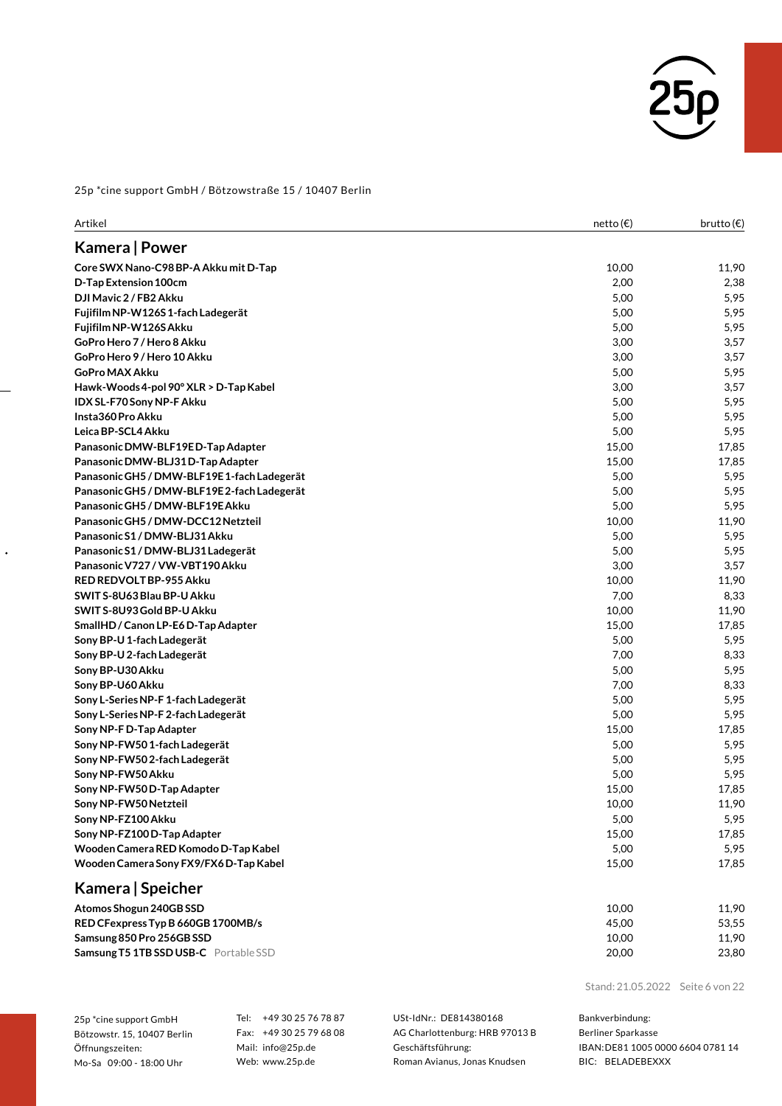

| Artikel                                     | netto (€) | brutto(€) |
|---------------------------------------------|-----------|-----------|
| Kamera   Power                              |           |           |
| Core SWX Nano-C98 BP-A Akku mit D-Tap       | 10,00     | 11,90     |
| D-Tap Extension 100cm                       | 2,00      | 2,38      |
| DJI Mavic 2 / FB2 Akku                      | 5,00      | 5,95      |
| Fujifilm NP-W126S1-fach Ladegerät           | 5,00      | 5,95      |
| Fujifilm NP-W126S Akku                      | 5,00      | 5,95      |
| GoPro Hero 7 / Hero 8 Akku                  | 3,00      | 3,57      |
| GoPro Hero 9 / Hero 10 Akku                 | 3,00      | 3,57      |
| <b>GoPro MAX Akku</b>                       | 5,00      | 5,95      |
| Hawk-Woods 4-pol 90° XLR > D-Tap Kabel      | 3,00      | 3,57      |
| IDX SL-F70 Sony NP-F Akku                   | 5,00      | 5,95      |
| Insta360 Pro Akku                           | 5,00      | 5,95      |
| Leica BP-SCL4 Akku                          | 5,00      | 5,95      |
| Panasonic DMW-BLF19ED-Tap Adapter           | 15,00     | 17,85     |
| Panasonic DMW-BLJ31D-Tap Adapter            | 15,00     | 17,85     |
| Panasonic GH5 / DMW-BLF19E 1-fach Ladegerät | 5,00      | 5,95      |
| Panasonic GH5 / DMW-BLF19E2-fach Ladegerät  | 5,00      | 5,95      |
| Panasonic GH5 / DMW-BLF19E Akku             | 5,00      | 5,95      |
| Panasonic GH5 / DMW-DCC12 Netzteil          | 10,00     | 11,90     |
| Panasonic S1 / DMW-BLJ31 Akku               | 5,00      | 5,95      |
| Panasonic S1 / DMW-BLJ31 Ladegerät          | 5,00      | 5,95      |
| Panasonic V727 / VW-VBT190 Akku             | 3,00      | 3,57      |
| RED REDVOLT BP-955 Akku                     | 10,00     | 11,90     |
| SWIT S-8U63 Blau BP-U Akku                  | 7,00      | 8,33      |
| SWIT S-8U93 Gold BP-U Akku                  | 10,00     | 11,90     |
| SmallHD / Canon LP-E6 D-Tap Adapter         | 15,00     | 17,85     |
| Sony BP-U 1-fach Ladegerät                  | 5,00      | 5,95      |
| Sony BP-U 2-fach Ladegerät                  | 7,00      | 8,33      |
| Sony BP-U30 Akku                            | 5,00      | 5,95      |
| Sony BP-U60 Akku                            | 7,00      | 8,33      |
| Sony L-Series NP-F 1-fach Ladegerät         | 5,00      | 5,95      |
| Sony L-Series NP-F 2-fach Ladegerät         | 5,00      | 5,95      |
| Sony NP-F D-Tap Adapter                     | 15,00     | 17,85     |
| Sony NP-FW50 1-fach Ladegerät               | 5,00      | 5,95      |
| Sony NP-FW502-fach Ladegerät                | 5,00      | 5,95      |
| Sony NP-FW50 Akku                           | 5,00      | 5,95      |
| Sony NP-FW50 D-Tap Adapter                  | 15,00     | 17,85     |
| Sony NP-FW50 Netzteil                       | 10,00     | 11,90     |
| Sony NP-FZ100 Akku                          | 5,00      | 5,95      |
| Sony NP-FZ100D-Tap Adapter                  | 15,00     | 17,85     |
| Wooden Camera RED Komodo D-Tap Kabel        | 5,00      | 5,95      |
| Wooden Camera Sony FX9/FX6D-Tap Kabel       | 15,00     | 17,85     |
| Kamera   Speicher                           |           |           |
| Atomos Shogun 240GB SSD                     | 10,00     | 11,90     |
| RED CFexpress Typ B 660GB 1700MB/s          | 45,00     | 53,55     |
| Samsung 850 Pro 256GB SSD                   | 10,00     | 11,90     |

**SamsungT5 1TB SSD USB-C** PortableSSD 20,00 23,80

Stand: 21.05.2022 Seite 6 von 22

25p \*cine support GmbH Bötzowstr. 15, 10407 Berlin Öffnungszeiten: Mo-Sa 09:00 - 18:00 Uhr

 $\ddot{\phantom{0}}$ 

Tel: +49 30 25 76 78 87 Fax: +49 30 25 79 68 08 Mail: info@25p.de Web: www.25p.de

USt-IdNr.: DE814380168 AG Charlottenburg: HRB 97013 B Geschäftsführung: Roman Avianus, Jonas Knudsen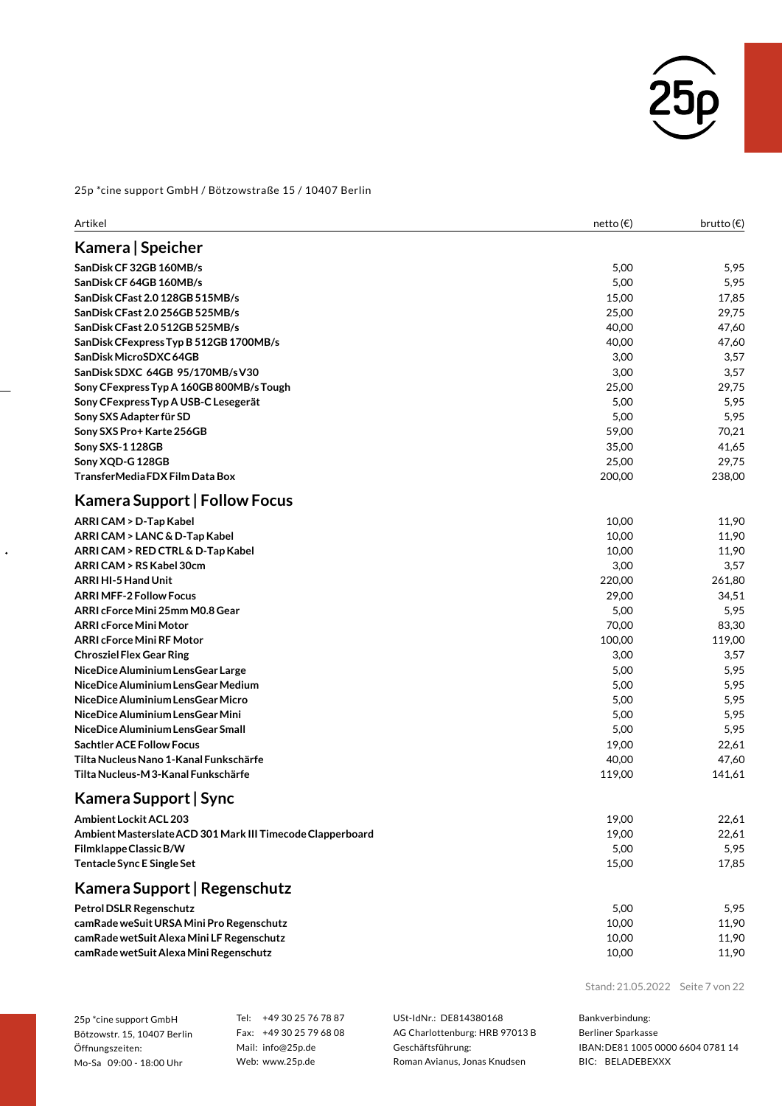

| Artikel                                                    | netto (€) | brutto $(\epsilon)$ |
|------------------------------------------------------------|-----------|---------------------|
| Kamera   Speicher                                          |           |                     |
| SanDisk CF 32GB 160MB/s                                    | 5,00      | 5,95                |
| SanDisk CF 64GB 160MB/s                                    | 5,00      | 5,95                |
| SanDisk CFast 2.0 128GB 515MB/s                            | 15,00     | 17,85               |
| SanDisk CFast 2.0 256GB 525MB/s                            | 25,00     | 29,75               |
| SanDisk CFast 2.0 512GB 525MB/s                            | 40,00     | 47,60               |
| SanDisk CFexpress Typ B 512GB 1700MB/s                     | 40,00     | 47,60               |
| SanDisk MicroSDXC 64GB                                     | 3,00      | 3,57                |
| SanDisk SDXC 64GB 95/170MB/sV30                            | 3,00      | 3,57                |
| Sony CFexpress Typ A 160GB 800MB/s Tough                   | 25,00     | 29,75               |
| Sony CFexpress Typ A USB-C Lesegerät                       | 5,00      | 5,95                |
| Sony SXS Adapter für SD                                    | 5,00      | 5,95                |
| Sony SXS Pro+ Karte 256GB                                  | 59,00     | 70,21               |
| Sony SXS-1 128GB                                           | 35,00     | 41,65               |
| Sony XQD-G 128GB                                           | 25,00     | 29,75               |
| TransferMedia FDX Film Data Box                            | 200,00    | 238,00              |
| <b>Kamera Support   Follow Focus</b>                       |           |                     |
| ARRI CAM > D-Tap Kabel                                     | 10,00     | 11,90               |
| ARRI CAM > LANC & D-Tap Kabel                              | 10,00     | 11,90               |
| ARRI CAM > RED CTRL & D-Tap Kabel                          | 10,00     | 11,90               |
| ARRI CAM > RS Kabel 30cm                                   | 3,00      | 3,57                |
| ARRI HI-5 Hand Unit                                        | 220,00    | 261,80              |
| <b>ARRI MFF-2 Follow Focus</b>                             | 29,00     | 34,51               |
| ARRI cForce Mini 25mm M0.8 Gear                            | 5,00      | 5,95                |
| <b>ARRI cForce Mini Motor</b>                              | 70,00     | 83,30               |
| <b>ARRI cForce Mini RF Motor</b>                           | 100,00    | 119,00              |
| <b>Chrosziel Flex Gear Ring</b>                            | 3,00      | 3,57                |
| NiceDice Aluminium LensGear Large                          | 5,00      | 5,95                |
| NiceDice Aluminium LensGear Medium                         | 5,00      | 5,95                |
| NiceDice Aluminium LensGear Micro                          | 5,00      | 5,95                |
| NiceDice Aluminium LensGear Mini                           | 5,00      | 5,95                |
| NiceDice Aluminium LensGear Small                          | 5,00      | 5,95                |
| <b>Sachtler ACE Follow Focus</b>                           | 19,00     | 22,61               |
| Tilta Nucleus Nano 1-Kanal Funkschärfe                     | 40,00     | 47,60               |
| Tilta Nucleus-M 3-Kanal Funkschärfe                        | 119,00    | 141,61              |
| Kamera Support   Sync                                      |           |                     |
| Ambient Lockit ACL 203                                     | 19,00     | 22,61               |
| Ambient Masterslate ACD 301 Mark III Timecode Clapperboard | 19,00     | 22,61               |
| Filmklappe Classic B/W                                     | 5,00      | 5,95                |
| Tentacle Sync E Single Set                                 | 15,00     | 17,85               |
| Kamera Support   Regenschutz                               |           |                     |
| Petrol DSLR Regenschutz                                    | 5,00      | 5,95                |
| camRade weSuit URSA Mini Pro Regenschutz                   | 10,00     | 11,90               |
| camRade wetSuit Alexa Mini LF Regenschutz                  | 10,00     | 11,90               |
| camRade wetSuit Alexa Mini Regenschutz                     | 10,00     | 11,90               |
|                                                            |           |                     |

25p \*cine support GmbH Bötzowstr. 15, 10407 Berlin Öffnungszeiten: Mo-Sa 09:00 - 18:00 Uhr

 $\ddot{\phantom{0}}$ 

Tel: +49 30 25 76 78 87 Fax: +49 30 25 79 68 08 Mail: info@25p.de Web: www.25p.de

USt-IdNr.: DE814380168 AG Charlottenburg: HRB 97013 B Geschäftsführung: Roman Avianus, Jonas Knudsen

Stand: 21.05.2022 Seite 7 von 22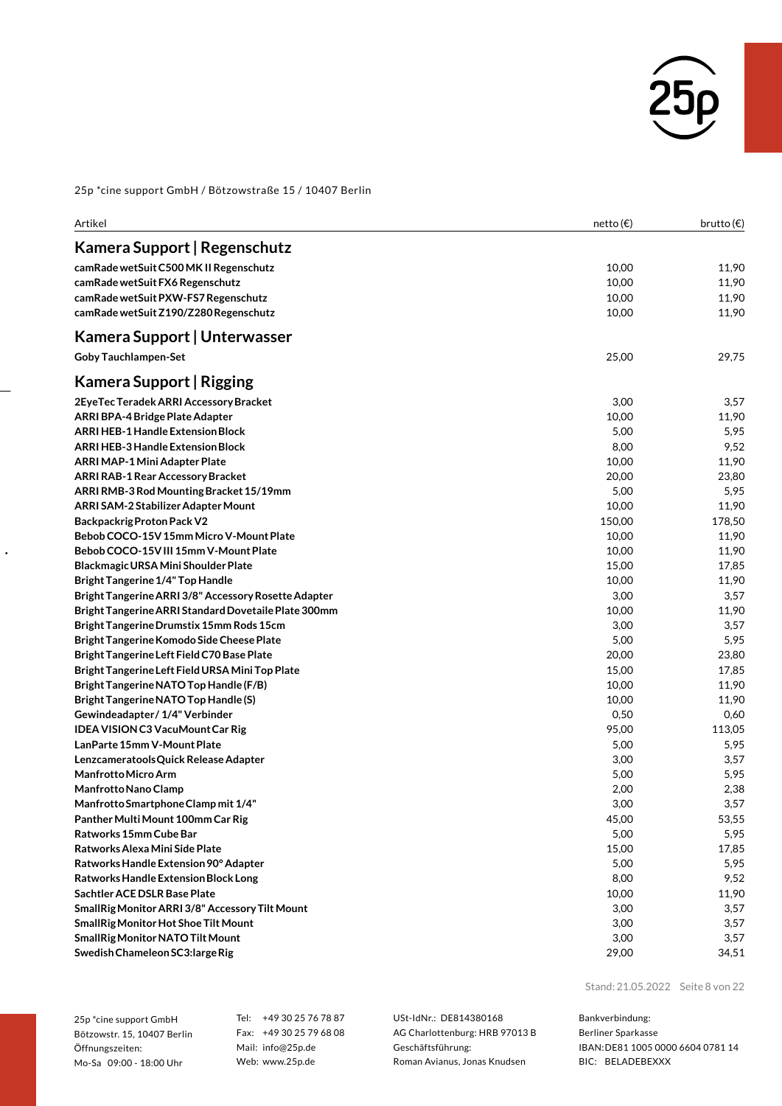

| Artikel                                              | netto (€) | brutto $(\epsilon)$ |
|------------------------------------------------------|-----------|---------------------|
| Kamera Support   Regenschutz                         |           |                     |
| camRade wetSuit C500 MK II Regenschutz               | 10,00     | 11,90               |
| camRade wetSuit FX6 Regenschutz                      | 10,00     | 11,90               |
| camRade wetSuit PXW-FS7 Regenschutz                  | 10,00     | 11,90               |
| camRade wetSuit Z190/Z280 Regenschutz                | 10,00     | 11,90               |
| Kamera Support   Unterwasser                         |           |                     |
| <b>Goby Tauchlampen-Set</b>                          | 25,00     | 29,75               |
| Kamera Support   Rigging                             |           |                     |
| 2EyeTec Teradek ARRI Accessory Bracket               | 3,00      | 3,57                |
| ARRI BPA-4 Bridge Plate Adapter                      | 10,00     | 11,90               |
| ARRI HEB-1 Handle Extension Block                    | 5,00      | 5,95                |
| ARRI HEB-3 Handle Extension Block                    | 8,00      | 9,52                |
| ARRI MAP-1 Mini Adapter Plate                        | 10,00     | 11,90               |
| <b>ARRI RAB-1 Rear Accessory Bracket</b>             | 20,00     | 23,80               |
| ARRI RMB-3 Rod Mounting Bracket 15/19mm              | 5,00      | 5,95                |
| ARRI SAM-2 Stabilizer Adapter Mount                  | 10,00     | 11,90               |
| <b>Backpackrig Proton Pack V2</b>                    | 150,00    | 178,50              |
| Bebob COCO-15V 15mm Micro V-Mount Plate              | 10,00     | 11,90               |
| Bebob COCO-15V III 15mm V-Mount Plate                | 10,00     | 11,90               |
| Blackmagic URSA Mini Shoulder Plate                  | 15,00     | 17,85               |
| <b>Bright Tangerine 1/4" Top Handle</b>              | 10,00     | 11,90               |
| Bright Tangerine ARRI 3/8" Accessory Rosette Adapter | 3,00      | 3,57                |
| Bright Tangerine ARRI Standard Dovetaile Plate 300mm | 10,00     | 11,90               |
| Bright Tangerine Drumstix 15mm Rods 15cm             | 3,00      | 3,57                |
| Bright Tangerine Komodo Side Cheese Plate            | 5,00      | 5,95                |
| Bright Tangerine Left Field C70 Base Plate           | 20,00     | 23,80               |
| Bright Tangerine Left Field URSA Mini Top Plate      | 15,00     | 17,85               |
| Bright Tangerine NATO Top Handle (F/B)               | 10,00     | 11,90               |
| Bright Tangerine NATO Top Handle (S)                 | 10,00     | 11,90               |
| Gewindeadapter / 1/4" Verbinder                      | 0,50      | 0,60                |
| <b>IDEA VISION C3 VacuMount Car Rig</b>              | 95,00     | 113,05              |
| LanParte 15mm V-Mount Plate                          | 5,00      | 5,95                |
| Lenzcameratools Quick Release Adapter                | 3,00      | 3,57                |
| <b>Manfrotto Micro Arm</b>                           | 5,00      | 5,95                |
| Manfrotto Nano Clamp                                 | 2,00      | 2,38                |
| Manfrotto Smartphone Clamp mit 1/4"                  | 3,00      | 3,57                |
| Panther Multi Mount 100mm Car Rig                    | 45,00     | 53,55               |
| Ratworks 15mm Cube Bar                               | 5,00      | 5,95                |
| Ratworks Alexa Mini Side Plate                       | 15,00     | 17,85               |
| Ratworks Handle Extension 90° Adapter                | 5,00      | 5,95                |
| Ratworks Handle Extension Block Long                 | 8,00      | 9,52                |
| Sachtler ACE DSLR Base Plate                         | 10,00     | 11,90               |
| SmallRig Monitor ARRI 3/8" Accessory Tilt Mount      | 3,00      | 3,57                |
| SmallRig Monitor Hot Shoe Tilt Mount                 | 3,00      | 3,57                |
| SmallRig Monitor NATO Tilt Mount                     | 3,00      | 3,57                |
| Swedish Chameleon SC3: large Rig                     | 29,00     | 34,51               |

25p \*cine support GmbH Bötzowstr. 15, 10407 Berlin Öffnungszeiten: Mo-Sa 09:00 - 18:00 Uhr

 $\ddot{\phantom{0}}$ 

Tel: +49 30 25 76 78 87 Fax: +49 30 25 79 68 08 Mail: info@25p.de Web: www.25p.de

USt-IdNr.: DE814380168 AG Charlottenburg: HRB 97013 B Geschäftsführung: Roman Avianus, Jonas Knudsen

Stand: 21.05.2022 Seite 8 von 22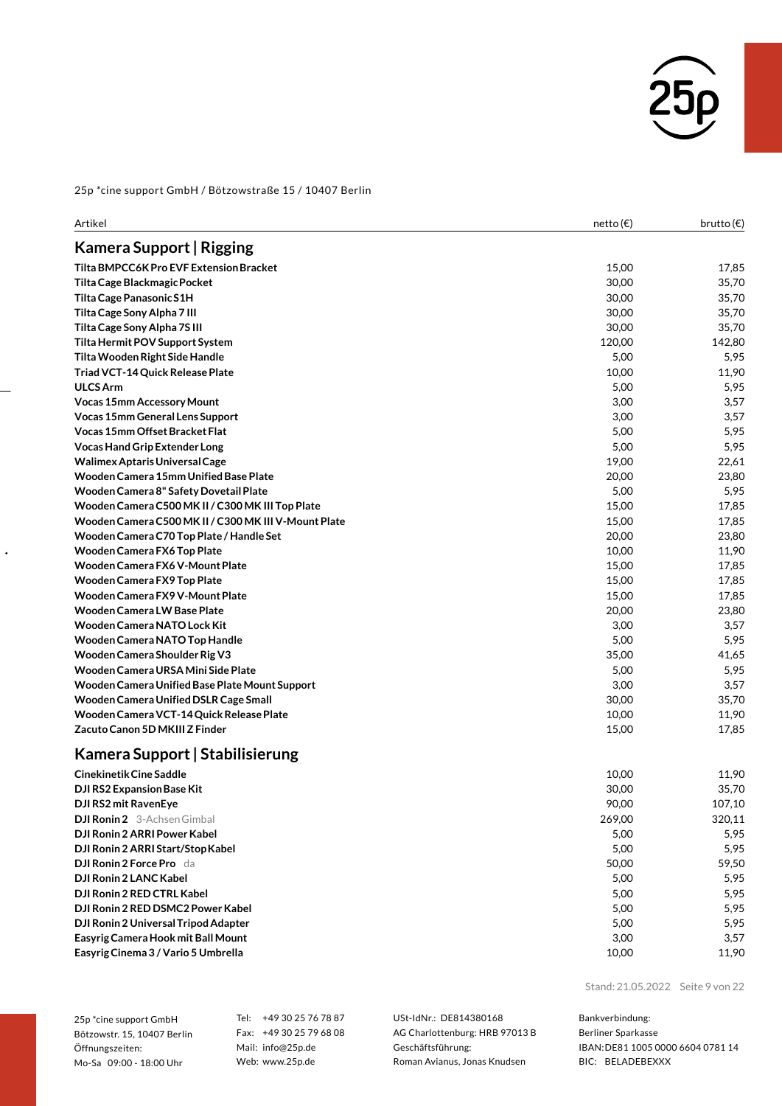

| Artikel                                              | netto (€) | brutto $(\epsilon)$ |
|------------------------------------------------------|-----------|---------------------|
| Kamera Support   Rigging                             |           |                     |
| Tilta BMPCC6K Pro EVF Extension Bracket              | 15,00     | 17,85               |
| Tilta Cage Blackmagic Pocket                         | 30,00     | 35,70               |
| Tilta Cage Panasonic S1H                             | 30,00     | 35,70               |
| Tilta Cage Sony Alpha 7 III                          | 30,00     | 35,70               |
| Tilta Cage Sony Alpha 7S III                         | 30,00     | 35,70               |
| Tilta Hermit POV Support System                      | 120,00    | 142,80              |
| Tilta Wooden Right Side Handle                       | 5,00      | 5,95                |
| Triad VCT-14 Quick Release Plate                     | 10,00     | 11,90               |
| <b>ULCS Arm</b>                                      | 5,00      | 5,95                |
| Vocas 15mm Accessory Mount                           | 3,00      | 3,57                |
| Vocas 15mm General Lens Support                      | 3,00      | 3,57                |
| <b>Vocas 15mm Offset Bracket Flat</b>                | 5,00      | 5,95                |
| Vocas Hand Grip Extender Long                        | 5,00      | 5,95                |
| Walimex Aptaris Universal Cage                       | 19,00     | 22,61               |
| Wooden Camera 15mm Unified Base Plate                | 20,00     | 23,80               |
| Wooden Camera 8" Safety Dovetail Plate               | 5,00      | 5,95                |
| Wooden Camera C500 MK II / C300 MK III Top Plate     | 15,00     | 17,85               |
| Wooden Camera C500 MK II / C300 MK III V-Mount Plate | 15,00     | 17,85               |
| Wooden Camera C70 Top Plate / Handle Set             | 20,00     | 23,80               |
| Wooden Camera FX6 Top Plate                          | 10,00     | 11,90               |
| Wooden Camera FX6 V-Mount Plate                      | 15,00     | 17,85               |
| Wooden Camera FX9 Top Plate                          | 15,00     | 17,85               |
| Wooden Camera FX9 V-Mount Plate                      | 15,00     | 17,85               |
| <b>Wooden Camera LW Base Plate</b>                   | 20,00     | 23,80               |
| Wooden Camera NATO Lock Kit                          | 3,00      | 3,57                |
| Wooden Camera NATO Top Handle                        | 5,00      | 5,95                |
| Wooden Camera Shoulder Rig V3                        | 35,00     | 41,65               |
| Wooden Camera URSA Mini Side Plate                   | 5,00      | 5,95                |
| Wooden Camera Unified Base Plate Mount Support       | 3,00      | 3,57                |
| Wooden Camera Unified DSLR Cage Small                | 30,00     | 35,70               |
| Wooden Camera VCT-14 Quick Release Plate             | 10,00     | 11,90               |
| Zacuto Canon 5D MKIII Z Finder                       | 15,00     | 17,85               |
| Kamera Support   Stabilisierung                      |           |                     |
| Cinekinetik Cine Saddle                              | 10,00     | 11,90               |
| DJI RS2 Expansion Base Kit                           | 30,00     | 35,70               |
| DJI RS2 mit RavenEye                                 | 90,00     | 107,10              |
| <b>DJI Ronin 2</b> 3-Achsen Gimbal                   | 269,00    | 320,11              |
| DJI Ronin 2 ARRI Power Kabel                         | 5,00      | 5,95                |
| DJI Ronin 2 ARRI Start/Stop Kabel                    | 5,00      | 5,95                |
| <b>DJI Ronin 2 Force Pro</b> da                      | 50,00     | 59,50               |
| DJI Ronin 2 LANC Kabel                               | 5,00      | 5,95                |
| DJI Ronin 2 RED CTRL Kabel                           | 5,00      | 5,95                |
| DJI Ronin 2 RED DSMC2 Power Kabel                    | 5,00      | 5,95                |
| DJI Ronin 2 Universal Tripod Adapter                 | 5,00      | 5,95                |
| Easyrig Camera Hook mit Ball Mount                   | 3,00      | 3,57                |

25p \*cine support GmbH Bötzowstr. 15, 10407 Berlin Öffnungszeiten: Mo-Sa 09:00 - 18:00 Uhr

 $\ddot{\phantom{0}}$ 

Tel: +49 30 25 76 78 87 Fax: +49 30 25 79 68 08 Mail: info@25p.de Web: www.25p.de

USt-IdNr.: DE814380168 AG Charlottenburg: HRB 97013 B Geschäftsführung: Roman Avianus, Jonas Knudsen

**EasyrigCinema 3 / Vario 5 Umbrella** 10,00 11,90

Stand: 21.05.2022 Seite 9 von 22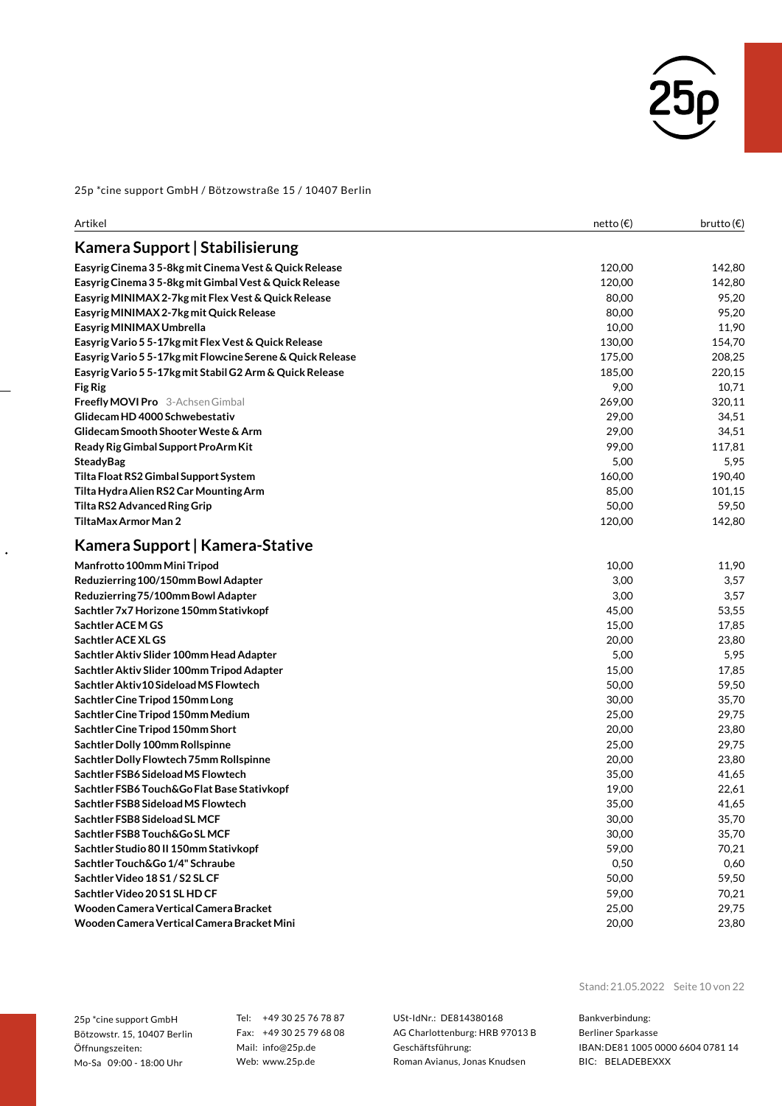

| Artikel                                                    | netto (€) | brutto $(\epsilon)$ |
|------------------------------------------------------------|-----------|---------------------|
| Kamera Support   Stabilisierung                            |           |                     |
| Easyrig Cinema 3 5-8kg mit Cinema Vest & Quick Release     | 120,00    | 142,80              |
| Easyrig Cinema 3 5-8kg mit Gimbal Vest & Quick Release     | 120,00    | 142,80              |
| Easyrig MINIMAX 2-7kg mit Flex Vest & Quick Release        | 80,00     | 95,20               |
| Easyrig MINIMAX 2-7kg mit Quick Release                    | 80,00     | 95,20               |
| Easyrig MINIMAX Umbrella                                   | 10,00     | 11,90               |
| Easyrig Vario 5 5-17kg mit Flex Vest & Quick Release       | 130,00    | 154,70              |
| Easyrig Vario 5 5-17kg mit Flowcine Serene & Quick Release | 175,00    | 208,25              |
| Easyrig Vario 5 5-17kg mit Stabil G2 Arm & Quick Release   | 185,00    | 220,15              |
| <b>Fig Rig</b>                                             | 9,00      | 10,71               |
| <b>Freefly MOVI Pro</b> 3-Achsen Gimbal                    | 269,00    | 320,11              |
| Glidecam HD 4000 Schwebestativ                             | 29,00     | 34,51               |
| Glidecam Smooth Shooter Weste & Arm                        | 29,00     | 34,51               |
| Ready Rig Gimbal Support ProArm Kit                        | 99,00     | 117,81              |
| <b>SteadyBag</b>                                           | 5,00      | 5,95                |
| Tilta Float RS2 Gimbal Support System                      | 160,00    | 190,40              |
| Tilta Hydra Alien RS2 Car Mounting Arm                     | 85,00     | 101,15              |
| Tilta RS2 Advanced Ring Grip                               | 50,00     | 59,50               |
| TiltaMax Armor Man 2                                       | 120,00    | 142,80              |
| Kamera Support   Kamera-Stative                            |           |                     |
| Manfrotto 100mm Mini Tripod                                | 10,00     | 11,90               |
| Reduzierring 100/150mm Bowl Adapter                        | 3,00      | 3,57                |
| Reduzierring 75/100mm Bowl Adapter                         | 3,00      | 3,57                |
| Sachtler 7x7 Horizone 150mm Stativkopf                     | 45,00     | 53,55               |
| Sachtler ACE M GS                                          | 15,00     | 17,85               |
| Sachtler ACE XL GS                                         | 20,00     | 23,80               |
| Sachtler Aktiv Slider 100mm Head Adapter                   | 5,00      | 5,95                |
| Sachtler Aktiv Slider 100mm Tripod Adapter                 | 15,00     | 17,85               |
| Sachtler Aktiv 10 Sideload MS Flowtech                     | 50,00     | 59,50               |
| Sachtler Cine Tripod 150mm Long                            | 30,00     | 35,70               |
| Sachtler Cine Tripod 150mm Medium                          | 25,00     | 29,75               |
| Sachtler Cine Tripod 150mm Short                           | 20,00     | 23,80               |
| Sachtler Dolly 100mm Rollspinne                            | 25,00     | 29,75               |
| Sachtler Dolly Flowtech 75mm Rollspinne                    | 20,00     | 23,80               |
| Sachtler FSB6 Sideload MS Flowtech                         | 35,00     | 41,65               |
| Sachtler FSB6 Touch&Go Flat Base Stativkopf                | 19,00     | 22,61               |
| Sachtler FSB8 Sideload MS Flowtech                         | 35,00     | 41,65               |
| Sachtler FSB8 Sideload SL MCF                              | 30,00     | 35,70               |
| Sachtler FSB8 Touch&Go SL MCF                              | 30,00     | 35,70               |
| Sachtler Studio 80 II 150mm Stativkopf                     | 59,00     | 70,21               |
| Sachtler Touch&Go 1/4" Schraube                            | 0,50      | 0,60                |
| Sachtler Video 18 S1 / S2 SL CF                            | 50,00     | 59,50               |
| Sachtler Video 20 S1 SL HD CF                              | 59,00     | 70,21               |
| Wooden Camera Vertical Camera Bracket                      | 25,00     | 29,75               |
| Wooden Camera Vertical Camera Bracket Mini                 | 20,00     | 23,80               |
|                                                            |           |                     |

25p \*cine support GmbH Bötzowstr. 15, 10407 Berlin Öffnungszeiten: Mo-Sa 09:00 - 18:00 Uhr

 $\ddot{\phantom{0}}$ 

Tel: +49 30 25 76 78 87 Fax: +49 30 25 79 68 08 Mail: info@25p.de Web: www.25p.de

USt-IdNr.: DE814380168 AG Charlottenburg: HRB 97013 B Geschäftsführung: Roman Avianus, Jonas Knudsen

Stand: 21.05.2022 Seite 10 von 22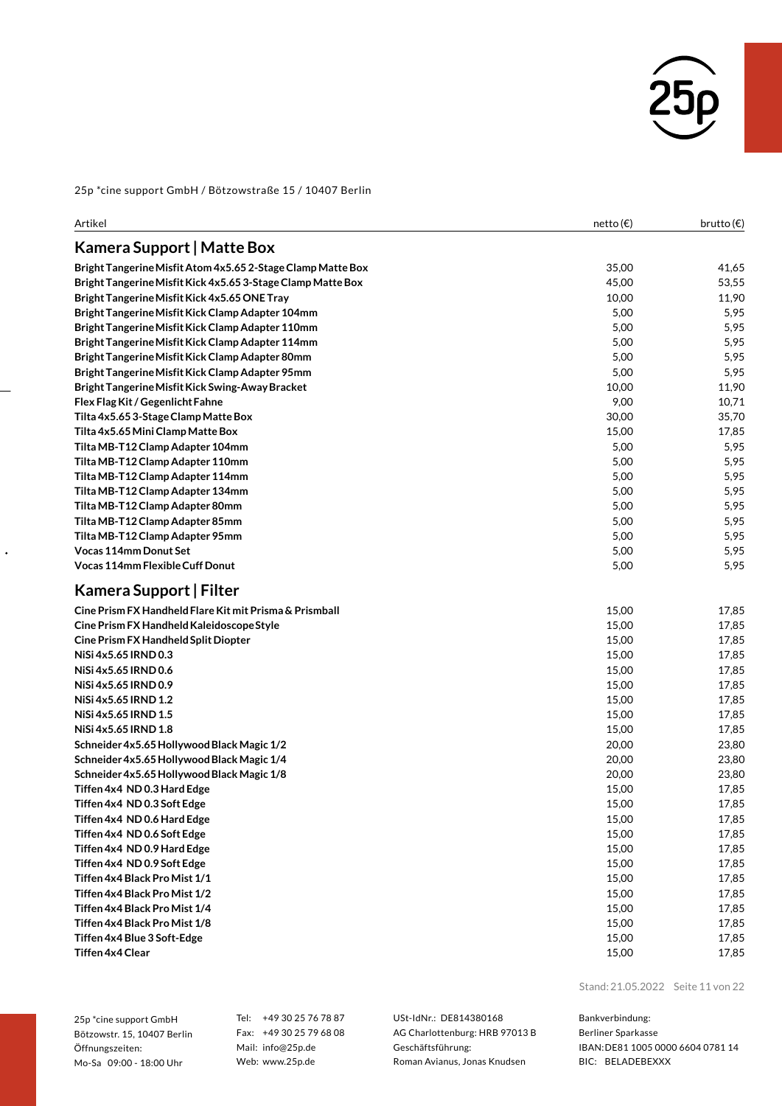

| Artikel                                                     | netto (€) | brutto $(\epsilon)$ |
|-------------------------------------------------------------|-----------|---------------------|
| Kamera Support   Matte Box                                  |           |                     |
| Bright Tangerine Misfit Atom 4x5.65 2-Stage Clamp Matte Box | 35,00     | 41,65               |
| Bright Tangerine Misfit Kick 4x5.65 3-Stage Clamp Matte Box | 45,00     | 53,55               |
| Bright Tangerine Misfit Kick 4x5.65 ONE Tray                | 10,00     | 11,90               |
| Bright Tangerine Misfit Kick Clamp Adapter 104mm            | 5,00      | 5,95                |
| Bright Tangerine Misfit Kick Clamp Adapter 110mm            | 5,00      | 5,95                |
| Bright Tangerine Misfit Kick Clamp Adapter 114mm            | 5,00      | 5,95                |
| Bright Tangerine Misfit Kick Clamp Adapter 80mm             | 5,00      | 5,95                |
| Bright Tangerine Misfit Kick Clamp Adapter 95mm             | 5,00      | 5,95                |
| Bright Tangerine Misfit Kick Swing-Away Bracket             | 10,00     | 11,90               |
| Flex Flag Kit / Gegenlicht Fahne                            | 9,00      | 10,71               |
| Tilta 4x5.653-Stage Clamp Matte Box                         | 30,00     | 35,70               |
| Tilta 4x5.65 Mini Clamp Matte Box                           | 15,00     | 17,85               |
| Tilta MB-T12 Clamp Adapter 104mm                            | 5,00      | 5,95                |
| Tilta MB-T12 Clamp Adapter 110mm                            | 5,00      | 5,95                |
| Tilta MB-T12 Clamp Adapter 114mm                            | 5,00      | 5,95                |
| Tilta MB-T12 Clamp Adapter 134mm                            | 5,00      | 5,95                |
| Tilta MB-T12 Clamp Adapter 80mm                             | 5,00      | 5,95                |
| Tilta MB-T12 Clamp Adapter 85mm                             | 5,00      | 5,95                |
| Tilta MB-T12 Clamp Adapter 95mm                             | 5,00      | 5,95                |
| <b>Vocas 114mm Donut Set</b>                                | 5,00      | 5,95                |
| Vocas 114mm Flexible Cuff Donut                             | 5,00      | 5,95                |
| Kamera Support   Filter                                     |           |                     |
| Cine Prism FX Handheld Flare Kit mit Prisma & Prismball     | 15,00     | 17,85               |
| Cine Prism FX Handheld Kaleidoscope Style                   | 15,00     | 17,85               |
| Cine Prism FX Handheld Split Diopter                        | 15,00     | 17,85               |
| NiSi 4x5.65 IRND 0.3                                        | 15,00     | 17,85               |
| NiSi 4x5.65 IRND 0.6                                        | 15,00     | 17,85               |
| NiSi 4x5.65 IRND 0.9                                        | 15,00     | 17,85               |
| NiSi 4x5.65 IRND 1.2                                        | 15,00     | 17,85               |
| NiSi 4x5.65 IRND 1.5                                        | 15,00     | 17,85               |
| NiSi 4x5.65 IRND 1.8                                        | 15,00     | 17,85               |
| Schneider 4x5.65 Hollywood Black Magic 1/2                  | 20,00     | 23,80               |
| Schneider 4x5.65 Hollywood Black Magic 1/4                  | 20,00     | 23,80               |
| Schneider 4x5.65 Hollywood Black Magic 1/8                  | 20,00     | 23,80               |
| Tiffen 4x4 ND 0.3 Hard Edge                                 | 15,00     | 17,85               |
| Tiffen 4x4  ND 0.3 Soft Edge                                | 15,00     | 17,85               |
| Tiffen 4x4 ND 0.6 Hard Edge                                 | 15,00     | 17,85               |
| Tiffen 4x4 ND 0.6 Soft Edge                                 | 15,00     | 17,85               |
| Tiffen 4x4 ND 0.9 Hard Edge                                 | 15,00     | 17,85               |
| Tiffen 4x4 ND 0.9 Soft Edge                                 | 15,00     | 17,85               |
| Tiffen 4x4 Black Pro Mist 1/1                               | 15,00     | 17,85               |
| Tiffen 4x4 Black Pro Mist 1/2                               | 15,00     | 17,85               |
| Tiffen 4x4 Black Pro Mist 1/4                               | 15,00     | 17,85               |
| Tiffen 4x4 Black Pro Mist 1/8                               | 15,00     | 17,85               |
| Tiffen 4x4 Blue 3 Soft-Edge                                 | 15,00     | 17,85               |
| Tiffen 4x4 Clear                                            | 15,00     | 17,85               |

25p \*cine support GmbH Bötzowstr. 15, 10407 Berlin Öffnungszeiten: Mo-Sa 09:00 - 18:00 Uhr

 $\ddot{\phantom{0}}$ 

Tel: +49 30 25 76 78 87 Fax: +49 30 25 79 68 08 Mail: info@25p.de Web: www.25p.de

USt-IdNr.: DE814380168 AG Charlottenburg: HRB 97013 B Geschäftsführung: Roman Avianus, Jonas Knudsen

Stand: 21.05.2022 Seite 11 von 22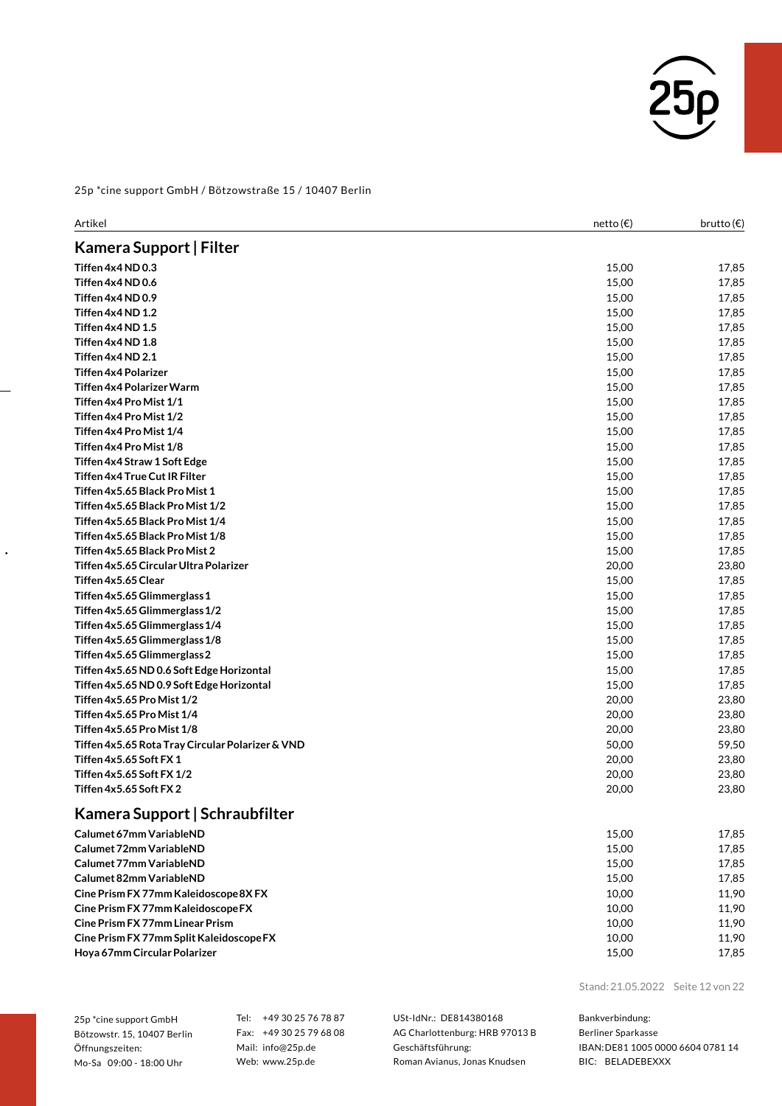

| Artikel                                          | netto (€) | brutto $(\epsilon)$ |
|--------------------------------------------------|-----------|---------------------|
| Kamera Support   Filter                          |           |                     |
| Tiffen 4x4 ND 0.3                                | 15,00     | 17,85               |
| Tiffen 4x4 ND 0.6                                | 15,00     | 17,85               |
| Tiffen 4x4 ND 0.9                                | 15,00     | 17,85               |
| Tiffen 4x4 ND 1.2                                | 15,00     | 17,85               |
| Tiffen 4x4 ND 1.5                                | 15,00     | 17,85               |
| Tiffen 4x4 ND 1.8                                | 15,00     | 17,85               |
| Tiffen 4x4 ND 2.1                                | 15,00     | 17,85               |
| Tiffen 4x4 Polarizer                             | 15,00     | 17,85               |
| Tiffen 4x4 Polarizer Warm                        | 15,00     | 17,85               |
| Tiffen 4x4 Pro Mist 1/1                          | 15,00     | 17,85               |
| Tiffen 4x4 Pro Mist 1/2                          | 15,00     | 17,85               |
| Tiffen 4x4 Pro Mist 1/4                          | 15,00     | 17,85               |
| Tiffen 4x4 Pro Mist 1/8                          | 15,00     | 17,85               |
| Tiffen 4x4 Straw 1 Soft Edge                     | 15,00     | 17,85               |
| Tiffen 4x4 True Cut IR Filter                    | 15,00     | 17,85               |
| Tiffen 4x5.65 Black Pro Mist 1                   | 15,00     | 17,85               |
| Tiffen 4x5.65 Black Pro Mist 1/2                 | 15,00     | 17,85               |
| Tiffen 4x5.65 Black Pro Mist 1/4                 | 15,00     | 17,85               |
| Tiffen 4x5.65 Black Pro Mist 1/8                 | 15,00     | 17,85               |
| Tiffen 4x5.65 Black Pro Mist 2                   | 15,00     | 17,85               |
| Tiffen 4x5.65 Circular Ultra Polarizer           | 20,00     | 23,80               |
| Tiffen 4x5.65 Clear                              | 15,00     | 17,85               |
| Tiffen 4x5.65 Glimmerglass 1                     | 15,00     | 17,85               |
| Tiffen 4x5.65 Glimmerglass 1/2                   | 15,00     | 17,85               |
| Tiffen 4x5.65 Glimmerglass 1/4                   | 15,00     | 17,85               |
| Tiffen 4x5.65 Glimmerglass 1/8                   | 15,00     | 17,85               |
| Tiffen 4x5.65 Glimmerglass 2                     | 15,00     | 17,85               |
| Tiffen 4x5.65 ND 0.6 Soft Edge Horizontal        | 15,00     | 17,85               |
| Tiffen 4x5.65 ND 0.9 Soft Edge Horizontal        | 15,00     | 17,85               |
| Tiffen 4x5.65 Pro Mist 1/2                       | 20,00     | 23,80               |
| Tiffen 4x5.65 Pro Mist 1/4                       | 20,00     | 23,80               |
| Tiffen 4x5.65 Pro Mist 1/8                       | 20,00     | 23,80               |
| Tiffen 4x5.65 Rota Tray Circular Polarizer & VND | 50,00     | 59,50               |
| Tiffen 4x5.65 Soft FX 1                          | 20,00     | 23,80               |
| Tiffen 4x5.65 Soft FX 1/2                        | 20,00     | 23,80               |
| Tiffen 4x5.65 Soft FX 2                          | 20,00     | 23,80               |
| Kamera Support   Schraubfilter                   |           |                     |
| Calumet 67mm VariableND                          | 15,00     | 17,85               |
| Calumet 72mm VariableND                          | 15,00     | 17,85               |
| Calumet 77mm VariableND                          | 15,00     | 17,85               |
| Calumet 82mm VariableND                          | 15,00     | 17,85               |
| Cine Prism FX 77mm Kaleidoscope 8X FX            | 10,00     | 11,90               |
| Cine Prism FX 77mm Kaleidoscope FX               | 10,00     | 11,90               |

**Cine Prism FX 77mm LinearPrism** 10,00 11,90 **Cine Prism FX 77mm SplitKaleidoscopeFX** 10,00 11,90 **Hoya 67mm CircularPolarizer** 15,00 17,85

25p \*cine support GmbH Bötzowstr. 15, 10407 Berlin Öffnungszeiten: Mo-Sa 09:00 - 18:00 Uhr

 $\ddot{\phantom{0}}$ 

Tel: +49 30 25 76 78 87 Fax: +49 30 25 79 68 08 Mail: info@25p.de Web: www.25p.de

USt-IdNr.: DE814380168 AG Charlottenburg: HRB 97013 B Geschäftsführung: Roman Avianus, Jonas Knudsen

Stand: 21.05.2022 Seite 12 von 22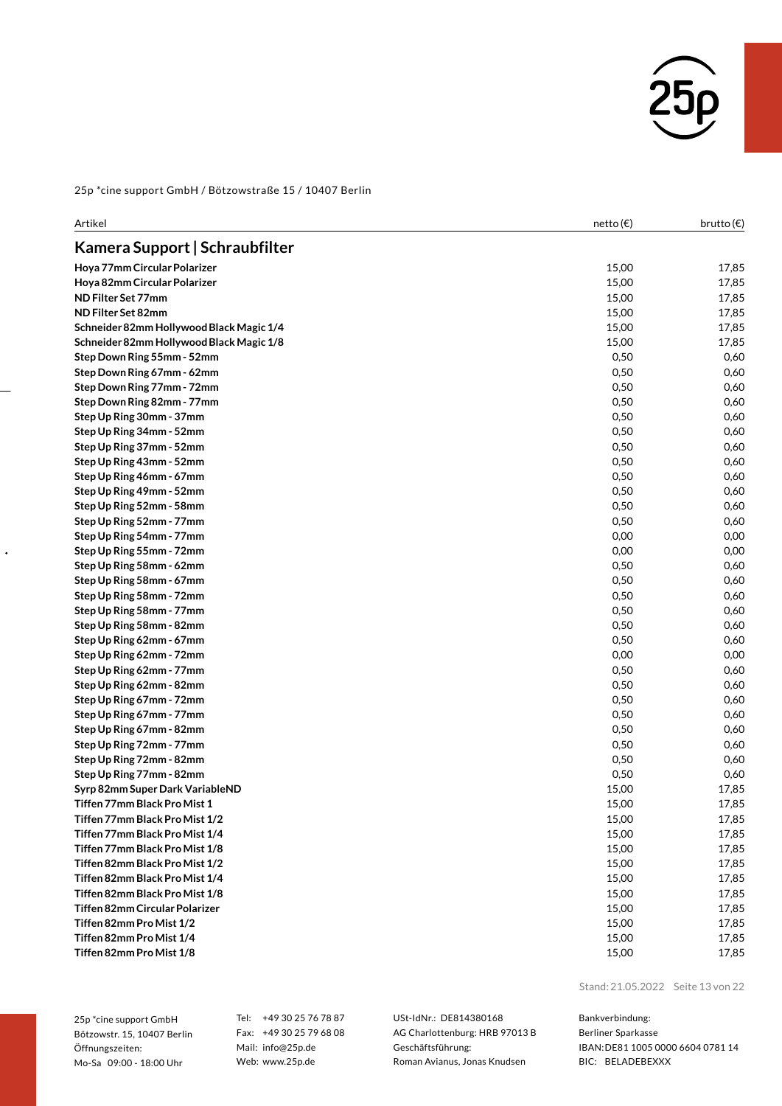

| Artikel                                  | netto (€) | brutto $(\epsilon)$ |
|------------------------------------------|-----------|---------------------|
| Kamera Support   Schraubfilter           |           |                     |
| Hoya 77mm Circular Polarizer             | 15,00     | 17,85               |
| Hoya 82mm Circular Polarizer             | 15,00     | 17,85               |
| ND Filter Set 77mm                       | 15,00     | 17,85               |
| ND Filter Set 82mm                       | 15,00     | 17,85               |
| Schneider 82mm Hollywood Black Magic 1/4 | 15,00     | 17,85               |
| Schneider 82mm Hollywood Black Magic 1/8 | 15,00     | 17,85               |
| Step Down Ring 55mm - 52mm               | 0,50      | 0,60                |
| Step Down Ring 67mm - 62mm               | 0,50      | 0,60                |
| Step Down Ring 77mm - 72mm               | 0,50      | 0,60                |
| Step Down Ring 82mm - 77mm               | 0,50      | 0,60                |
| Step Up Ring 30mm - 37mm                 | 0,50      | 0,60                |
| Step Up Ring 34mm - 52mm                 | 0,50      | 0,60                |
| Step Up Ring 37mm - 52mm                 | 0,50      | 0,60                |
| Step Up Ring 43mm - 52mm                 | 0,50      | 0,60                |
| Step Up Ring 46mm - 67mm                 | 0,50      | 0,60                |
| Step Up Ring 49mm - 52mm                 | 0,50      | 0,60                |
| Step Up Ring 52mm - 58mm                 | 0,50      | 0,60                |
| Step Up Ring 52mm - 77mm                 | 0,50      | 0,60                |
| Step Up Ring 54mm - 77mm                 | 0,00      | 0,00                |
| Step Up Ring 55mm - 72mm                 | 0,00      | 0,00                |
| Step Up Ring 58mm - 62mm                 | 0,50      | 0,60                |
| Step Up Ring 58mm - 67mm                 | 0,50      | 0,60                |
| Step Up Ring 58mm - 72mm                 | 0,50      | 0,60                |
| Step Up Ring 58mm - 77mm                 | 0,50      | 0,60                |
| Step Up Ring 58mm - 82mm                 | 0,50      | 0,60                |
| Step Up Ring 62mm - 67mm                 | 0,50      | 0,60                |
| Step Up Ring 62mm - 72mm                 | 0,00      | 0,00                |
| Step Up Ring 62mm - 77mm                 | 0,50      | 0,60                |
| Step Up Ring 62mm - 82mm                 | 0,50      | 0,60                |
| Step Up Ring 67mm - 72mm                 | 0,50      | 0,60                |
| Step Up Ring 67mm - 77mm                 | 0,50      | 0,60                |
| Step Up Ring 67mm - 82mm                 | 0,50      | 0,60                |
| Step Up Ring 72mm - 77mm                 | 0,50      | 0,60                |
| Step Up Ring 72mm - 82mm                 | 0,50      | 0,60                |
| Step Up Ring 77mm - 82mm                 | 0,50      | 0,60                |
| Syrp 82mm Super Dark VariableND          | 15,00     | 17,85               |
| Tiffen 77mm Black Pro Mist 1             | 15,00     | 17,85               |
| Tiffen 77mm Black Pro Mist 1/2           | 15,00     | 17,85               |
| Tiffen 77mm Black Pro Mist 1/4           | 15,00     | 17,85               |
| Tiffen 77mm Black Pro Mist 1/8           | 15,00     | 17,85               |
| Tiffen 82mm Black Pro Mist 1/2           | 15,00     | 17,85               |
| Tiffen 82mm Black Pro Mist 1/4           | 15,00     | 17,85               |
| Tiffen 82mm Black Pro Mist 1/8           | 15,00     | 17,85               |
| Tiffen 82mm Circular Polarizer           | 15,00     | 17,85               |
| Tiffen 82mm Pro Mist 1/2                 | 15,00     | 17,85               |
| Tiffen 82mm Pro Mist 1/4                 | 15,00     | 17,85               |
| Tiffen 82mm Pro Mist 1/8                 | 15,00     | 17,85               |

25p \*cine support GmbH Bötzowstr. 15, 10407 Berlin Öffnungszeiten: Mo-Sa 09:00 - 18:00 Uhr

 $\ddot{\phantom{0}}$ 

Tel: +49 30 25 76 78 87 Fax: +49 30 25 79 68 08 Mail: info@25p.de Web: www.25p.de

USt-IdNr.: DE814380168 AG Charlottenburg: HRB 97013 B Geschäftsführung: Roman Avianus, Jonas Knudsen

Stand: 21.05.2022 Seite 13 von 22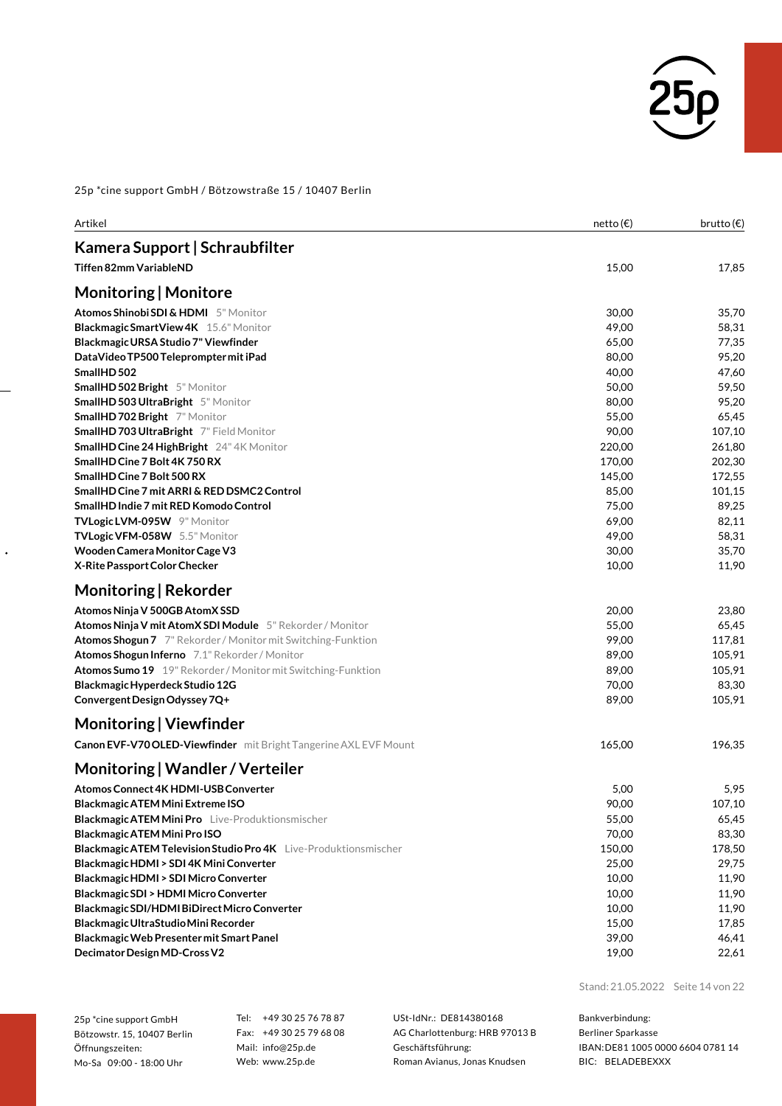

| Kamera Support   Schraubfilter<br><b>Tiffen 82mm VariableND</b><br>15,00<br>17,85<br>Monitoring   Monitore<br>Atomos Shinobi SDI & HDMI 5" Monitor<br>30,00<br>Blackmagic Smart View 4K 15.6" Monitor<br>49,00<br>58,31<br>Blackmagic URSA Studio 7" Viewfinder<br>65,00<br>77,35<br>95,20<br>DataVideo TP500 Teleprompter mit iPad<br>80,00<br>SmallHD 502<br>40,00<br>47,60<br>50,00<br>59,50<br><b>SmallHD 502 Bright</b> 5" Monitor<br>80,00<br><b>SmallHD 503 UltraBright</b> 5" Monitor<br>95,20<br>SmallHD 702 Bright 7" Monitor<br>55,00<br>65,45<br>SmallHD 703 UltraBright 7" Field Monitor<br>90,00<br>107,10<br>220,00<br><b>SmallHD Cine 24 HighBright</b> 24" 4K Monitor<br>SmallHD Cine 7 Bolt 4K 750 RX<br>170,00<br>202,30<br>SmallHD Cine 7 Bolt 500 RX<br>145,00<br>172,55<br>SmallHD Cine 7 mit ARRI & RED DSMC2 Control<br>85,00<br>101,15<br>SmallHD Indie 7 mit RED Komodo Control<br>75,00<br>89,25<br>TVLogic LVM-095W 9" Monitor<br>69,00<br>82,11<br>TVLogic VFM-058W 5.5" Monitor<br>49,00<br>58,31<br>Wooden Camera Monitor Cage V3<br>30,00<br>X-Rite Passport Color Checker<br>10,00<br>Monitoring   Rekorder<br>Atomos Ninja V 500GB AtomX SSD<br>20,00<br>Atomos Ninja V mit AtomX SDI Module 5" Rekorder / Monitor<br>55,00<br>65,45<br>99,00<br><b>Atomos Shogun 7</b> 7" Rekorder / Monitor mit Switching-Funktion<br>117,81<br>Atomos Shogun Inferno 7.1" Rekorder / Monitor<br>89,00<br>105,91<br>Atomos Sumo 19 19" Rekorder / Monitor mit Switching-Funktion<br>89,00<br>105,91<br>70,00<br>Blackmagic Hyperdeck Studio 12G<br>Convergent Design Odyssey 7Q+<br>89,00<br>105,91<br>Monitoring   Viewfinder<br>Canon EVF-V70 OLED-Viewfinder mit Bright Tangerine AXL EVF Mount<br>165,00<br>196,35<br>Monitoring   Wandler / Verteiler<br>5,95<br>Atomos Connect 4K HDMI-USB Converter<br>5,00<br>Blackmagic ATEM Mini Extreme ISO<br>90,00<br>55,00<br><b>Blackmagic ATEM Mini Pro</b> Live-Produktionsmischer<br>70,00<br>Blackmagic ATEM Mini Pro ISO<br>Blackmagic ATEM Television Studio Pro 4K Live-Produktionsmischer<br>150,00<br>Blackmagic HDMI > SDI 4K Mini Converter<br>25,00<br>Blackmagic HDMI > SDI Micro Converter<br>10,00<br>Blackmagic SDI > HDMI Micro Converter<br>10,00<br>Blackmagic SDI/HDMI BiDirect Micro Converter<br>10,00<br>Blackmagic UltraStudio Mini Recorder<br>15,00<br>Blackmagic Web Presenter mit Smart Panel<br>39,00<br>Decimator Design MD-Cross V2<br>19,00 | Artikel | netto(E) | brutto $(\epsilon)$ |
|------------------------------------------------------------------------------------------------------------------------------------------------------------------------------------------------------------------------------------------------------------------------------------------------------------------------------------------------------------------------------------------------------------------------------------------------------------------------------------------------------------------------------------------------------------------------------------------------------------------------------------------------------------------------------------------------------------------------------------------------------------------------------------------------------------------------------------------------------------------------------------------------------------------------------------------------------------------------------------------------------------------------------------------------------------------------------------------------------------------------------------------------------------------------------------------------------------------------------------------------------------------------------------------------------------------------------------------------------------------------------------------------------------------------------------------------------------------------------------------------------------------------------------------------------------------------------------------------------------------------------------------------------------------------------------------------------------------------------------------------------------------------------------------------------------------------------------------------------------------------------------------------------------------------------------------------------------------------------------------------------------------------------------------------------------------------------------------------------------------------------------------------------------------------------------------------------------------------------------------------------------------------------------------------------------------------------------------------------------------------------------------------------------------------------------------------|---------|----------|---------------------|
| 35,70<br>261,80<br>23,80<br>107,10<br>65,45<br>83,30<br>178,50<br>11,90<br>17,85                                                                                                                                                                                                                                                                                                                                                                                                                                                                                                                                                                                                                                                                                                                                                                                                                                                                                                                                                                                                                                                                                                                                                                                                                                                                                                                                                                                                                                                                                                                                                                                                                                                                                                                                                                                                                                                                                                                                                                                                                                                                                                                                                                                                                                                                                                                                                               |         |          |                     |
|                                                                                                                                                                                                                                                                                                                                                                                                                                                                                                                                                                                                                                                                                                                                                                                                                                                                                                                                                                                                                                                                                                                                                                                                                                                                                                                                                                                                                                                                                                                                                                                                                                                                                                                                                                                                                                                                                                                                                                                                                                                                                                                                                                                                                                                                                                                                                                                                                                                |         |          |                     |
|                                                                                                                                                                                                                                                                                                                                                                                                                                                                                                                                                                                                                                                                                                                                                                                                                                                                                                                                                                                                                                                                                                                                                                                                                                                                                                                                                                                                                                                                                                                                                                                                                                                                                                                                                                                                                                                                                                                                                                                                                                                                                                                                                                                                                                                                                                                                                                                                                                                |         |          |                     |
|                                                                                                                                                                                                                                                                                                                                                                                                                                                                                                                                                                                                                                                                                                                                                                                                                                                                                                                                                                                                                                                                                                                                                                                                                                                                                                                                                                                                                                                                                                                                                                                                                                                                                                                                                                                                                                                                                                                                                                                                                                                                                                                                                                                                                                                                                                                                                                                                                                                |         |          |                     |
|                                                                                                                                                                                                                                                                                                                                                                                                                                                                                                                                                                                                                                                                                                                                                                                                                                                                                                                                                                                                                                                                                                                                                                                                                                                                                                                                                                                                                                                                                                                                                                                                                                                                                                                                                                                                                                                                                                                                                                                                                                                                                                                                                                                                                                                                                                                                                                                                                                                |         |          |                     |
|                                                                                                                                                                                                                                                                                                                                                                                                                                                                                                                                                                                                                                                                                                                                                                                                                                                                                                                                                                                                                                                                                                                                                                                                                                                                                                                                                                                                                                                                                                                                                                                                                                                                                                                                                                                                                                                                                                                                                                                                                                                                                                                                                                                                                                                                                                                                                                                                                                                |         |          |                     |
|                                                                                                                                                                                                                                                                                                                                                                                                                                                                                                                                                                                                                                                                                                                                                                                                                                                                                                                                                                                                                                                                                                                                                                                                                                                                                                                                                                                                                                                                                                                                                                                                                                                                                                                                                                                                                                                                                                                                                                                                                                                                                                                                                                                                                                                                                                                                                                                                                                                |         |          |                     |
|                                                                                                                                                                                                                                                                                                                                                                                                                                                                                                                                                                                                                                                                                                                                                                                                                                                                                                                                                                                                                                                                                                                                                                                                                                                                                                                                                                                                                                                                                                                                                                                                                                                                                                                                                                                                                                                                                                                                                                                                                                                                                                                                                                                                                                                                                                                                                                                                                                                |         |          |                     |
|                                                                                                                                                                                                                                                                                                                                                                                                                                                                                                                                                                                                                                                                                                                                                                                                                                                                                                                                                                                                                                                                                                                                                                                                                                                                                                                                                                                                                                                                                                                                                                                                                                                                                                                                                                                                                                                                                                                                                                                                                                                                                                                                                                                                                                                                                                                                                                                                                                                |         |          |                     |
|                                                                                                                                                                                                                                                                                                                                                                                                                                                                                                                                                                                                                                                                                                                                                                                                                                                                                                                                                                                                                                                                                                                                                                                                                                                                                                                                                                                                                                                                                                                                                                                                                                                                                                                                                                                                                                                                                                                                                                                                                                                                                                                                                                                                                                                                                                                                                                                                                                                |         |          |                     |
|                                                                                                                                                                                                                                                                                                                                                                                                                                                                                                                                                                                                                                                                                                                                                                                                                                                                                                                                                                                                                                                                                                                                                                                                                                                                                                                                                                                                                                                                                                                                                                                                                                                                                                                                                                                                                                                                                                                                                                                                                                                                                                                                                                                                                                                                                                                                                                                                                                                |         |          |                     |
|                                                                                                                                                                                                                                                                                                                                                                                                                                                                                                                                                                                                                                                                                                                                                                                                                                                                                                                                                                                                                                                                                                                                                                                                                                                                                                                                                                                                                                                                                                                                                                                                                                                                                                                                                                                                                                                                                                                                                                                                                                                                                                                                                                                                                                                                                                                                                                                                                                                |         |          |                     |
|                                                                                                                                                                                                                                                                                                                                                                                                                                                                                                                                                                                                                                                                                                                                                                                                                                                                                                                                                                                                                                                                                                                                                                                                                                                                                                                                                                                                                                                                                                                                                                                                                                                                                                                                                                                                                                                                                                                                                                                                                                                                                                                                                                                                                                                                                                                                                                                                                                                |         |          |                     |
|                                                                                                                                                                                                                                                                                                                                                                                                                                                                                                                                                                                                                                                                                                                                                                                                                                                                                                                                                                                                                                                                                                                                                                                                                                                                                                                                                                                                                                                                                                                                                                                                                                                                                                                                                                                                                                                                                                                                                                                                                                                                                                                                                                                                                                                                                                                                                                                                                                                |         |          |                     |
|                                                                                                                                                                                                                                                                                                                                                                                                                                                                                                                                                                                                                                                                                                                                                                                                                                                                                                                                                                                                                                                                                                                                                                                                                                                                                                                                                                                                                                                                                                                                                                                                                                                                                                                                                                                                                                                                                                                                                                                                                                                                                                                                                                                                                                                                                                                                                                                                                                                |         |          |                     |
|                                                                                                                                                                                                                                                                                                                                                                                                                                                                                                                                                                                                                                                                                                                                                                                                                                                                                                                                                                                                                                                                                                                                                                                                                                                                                                                                                                                                                                                                                                                                                                                                                                                                                                                                                                                                                                                                                                                                                                                                                                                                                                                                                                                                                                                                                                                                                                                                                                                |         |          |                     |
|                                                                                                                                                                                                                                                                                                                                                                                                                                                                                                                                                                                                                                                                                                                                                                                                                                                                                                                                                                                                                                                                                                                                                                                                                                                                                                                                                                                                                                                                                                                                                                                                                                                                                                                                                                                                                                                                                                                                                                                                                                                                                                                                                                                                                                                                                                                                                                                                                                                |         |          |                     |
|                                                                                                                                                                                                                                                                                                                                                                                                                                                                                                                                                                                                                                                                                                                                                                                                                                                                                                                                                                                                                                                                                                                                                                                                                                                                                                                                                                                                                                                                                                                                                                                                                                                                                                                                                                                                                                                                                                                                                                                                                                                                                                                                                                                                                                                                                                                                                                                                                                                |         |          |                     |
|                                                                                                                                                                                                                                                                                                                                                                                                                                                                                                                                                                                                                                                                                                                                                                                                                                                                                                                                                                                                                                                                                                                                                                                                                                                                                                                                                                                                                                                                                                                                                                                                                                                                                                                                                                                                                                                                                                                                                                                                                                                                                                                                                                                                                                                                                                                                                                                                                                                |         |          |                     |
|                                                                                                                                                                                                                                                                                                                                                                                                                                                                                                                                                                                                                                                                                                                                                                                                                                                                                                                                                                                                                                                                                                                                                                                                                                                                                                                                                                                                                                                                                                                                                                                                                                                                                                                                                                                                                                                                                                                                                                                                                                                                                                                                                                                                                                                                                                                                                                                                                                                |         |          | 35,70               |
|                                                                                                                                                                                                                                                                                                                                                                                                                                                                                                                                                                                                                                                                                                                                                                                                                                                                                                                                                                                                                                                                                                                                                                                                                                                                                                                                                                                                                                                                                                                                                                                                                                                                                                                                                                                                                                                                                                                                                                                                                                                                                                                                                                                                                                                                                                                                                                                                                                                |         |          | 11,90               |
|                                                                                                                                                                                                                                                                                                                                                                                                                                                                                                                                                                                                                                                                                                                                                                                                                                                                                                                                                                                                                                                                                                                                                                                                                                                                                                                                                                                                                                                                                                                                                                                                                                                                                                                                                                                                                                                                                                                                                                                                                                                                                                                                                                                                                                                                                                                                                                                                                                                |         |          |                     |
|                                                                                                                                                                                                                                                                                                                                                                                                                                                                                                                                                                                                                                                                                                                                                                                                                                                                                                                                                                                                                                                                                                                                                                                                                                                                                                                                                                                                                                                                                                                                                                                                                                                                                                                                                                                                                                                                                                                                                                                                                                                                                                                                                                                                                                                                                                                                                                                                                                                |         |          |                     |
|                                                                                                                                                                                                                                                                                                                                                                                                                                                                                                                                                                                                                                                                                                                                                                                                                                                                                                                                                                                                                                                                                                                                                                                                                                                                                                                                                                                                                                                                                                                                                                                                                                                                                                                                                                                                                                                                                                                                                                                                                                                                                                                                                                                                                                                                                                                                                                                                                                                |         |          |                     |
|                                                                                                                                                                                                                                                                                                                                                                                                                                                                                                                                                                                                                                                                                                                                                                                                                                                                                                                                                                                                                                                                                                                                                                                                                                                                                                                                                                                                                                                                                                                                                                                                                                                                                                                                                                                                                                                                                                                                                                                                                                                                                                                                                                                                                                                                                                                                                                                                                                                |         |          |                     |
|                                                                                                                                                                                                                                                                                                                                                                                                                                                                                                                                                                                                                                                                                                                                                                                                                                                                                                                                                                                                                                                                                                                                                                                                                                                                                                                                                                                                                                                                                                                                                                                                                                                                                                                                                                                                                                                                                                                                                                                                                                                                                                                                                                                                                                                                                                                                                                                                                                                |         |          |                     |
|                                                                                                                                                                                                                                                                                                                                                                                                                                                                                                                                                                                                                                                                                                                                                                                                                                                                                                                                                                                                                                                                                                                                                                                                                                                                                                                                                                                                                                                                                                                                                                                                                                                                                                                                                                                                                                                                                                                                                                                                                                                                                                                                                                                                                                                                                                                                                                                                                                                |         |          |                     |
|                                                                                                                                                                                                                                                                                                                                                                                                                                                                                                                                                                                                                                                                                                                                                                                                                                                                                                                                                                                                                                                                                                                                                                                                                                                                                                                                                                                                                                                                                                                                                                                                                                                                                                                                                                                                                                                                                                                                                                                                                                                                                                                                                                                                                                                                                                                                                                                                                                                |         |          | 83,30               |
|                                                                                                                                                                                                                                                                                                                                                                                                                                                                                                                                                                                                                                                                                                                                                                                                                                                                                                                                                                                                                                                                                                                                                                                                                                                                                                                                                                                                                                                                                                                                                                                                                                                                                                                                                                                                                                                                                                                                                                                                                                                                                                                                                                                                                                                                                                                                                                                                                                                |         |          |                     |
|                                                                                                                                                                                                                                                                                                                                                                                                                                                                                                                                                                                                                                                                                                                                                                                                                                                                                                                                                                                                                                                                                                                                                                                                                                                                                                                                                                                                                                                                                                                                                                                                                                                                                                                                                                                                                                                                                                                                                                                                                                                                                                                                                                                                                                                                                                                                                                                                                                                |         |          |                     |
|                                                                                                                                                                                                                                                                                                                                                                                                                                                                                                                                                                                                                                                                                                                                                                                                                                                                                                                                                                                                                                                                                                                                                                                                                                                                                                                                                                                                                                                                                                                                                                                                                                                                                                                                                                                                                                                                                                                                                                                                                                                                                                                                                                                                                                                                                                                                                                                                                                                |         |          |                     |
|                                                                                                                                                                                                                                                                                                                                                                                                                                                                                                                                                                                                                                                                                                                                                                                                                                                                                                                                                                                                                                                                                                                                                                                                                                                                                                                                                                                                                                                                                                                                                                                                                                                                                                                                                                                                                                                                                                                                                                                                                                                                                                                                                                                                                                                                                                                                                                                                                                                |         |          |                     |
|                                                                                                                                                                                                                                                                                                                                                                                                                                                                                                                                                                                                                                                                                                                                                                                                                                                                                                                                                                                                                                                                                                                                                                                                                                                                                                                                                                                                                                                                                                                                                                                                                                                                                                                                                                                                                                                                                                                                                                                                                                                                                                                                                                                                                                                                                                                                                                                                                                                |         |          |                     |
|                                                                                                                                                                                                                                                                                                                                                                                                                                                                                                                                                                                                                                                                                                                                                                                                                                                                                                                                                                                                                                                                                                                                                                                                                                                                                                                                                                                                                                                                                                                                                                                                                                                                                                                                                                                                                                                                                                                                                                                                                                                                                                                                                                                                                                                                                                                                                                                                                                                |         |          |                     |
|                                                                                                                                                                                                                                                                                                                                                                                                                                                                                                                                                                                                                                                                                                                                                                                                                                                                                                                                                                                                                                                                                                                                                                                                                                                                                                                                                                                                                                                                                                                                                                                                                                                                                                                                                                                                                                                                                                                                                                                                                                                                                                                                                                                                                                                                                                                                                                                                                                                |         |          |                     |
|                                                                                                                                                                                                                                                                                                                                                                                                                                                                                                                                                                                                                                                                                                                                                                                                                                                                                                                                                                                                                                                                                                                                                                                                                                                                                                                                                                                                                                                                                                                                                                                                                                                                                                                                                                                                                                                                                                                                                                                                                                                                                                                                                                                                                                                                                                                                                                                                                                                |         |          |                     |
|                                                                                                                                                                                                                                                                                                                                                                                                                                                                                                                                                                                                                                                                                                                                                                                                                                                                                                                                                                                                                                                                                                                                                                                                                                                                                                                                                                                                                                                                                                                                                                                                                                                                                                                                                                                                                                                                                                                                                                                                                                                                                                                                                                                                                                                                                                                                                                                                                                                |         |          |                     |
|                                                                                                                                                                                                                                                                                                                                                                                                                                                                                                                                                                                                                                                                                                                                                                                                                                                                                                                                                                                                                                                                                                                                                                                                                                                                                                                                                                                                                                                                                                                                                                                                                                                                                                                                                                                                                                                                                                                                                                                                                                                                                                                                                                                                                                                                                                                                                                                                                                                |         |          | 29,75               |
|                                                                                                                                                                                                                                                                                                                                                                                                                                                                                                                                                                                                                                                                                                                                                                                                                                                                                                                                                                                                                                                                                                                                                                                                                                                                                                                                                                                                                                                                                                                                                                                                                                                                                                                                                                                                                                                                                                                                                                                                                                                                                                                                                                                                                                                                                                                                                                                                                                                |         |          | 11,90               |
|                                                                                                                                                                                                                                                                                                                                                                                                                                                                                                                                                                                                                                                                                                                                                                                                                                                                                                                                                                                                                                                                                                                                                                                                                                                                                                                                                                                                                                                                                                                                                                                                                                                                                                                                                                                                                                                                                                                                                                                                                                                                                                                                                                                                                                                                                                                                                                                                                                                |         |          | 11,90               |
|                                                                                                                                                                                                                                                                                                                                                                                                                                                                                                                                                                                                                                                                                                                                                                                                                                                                                                                                                                                                                                                                                                                                                                                                                                                                                                                                                                                                                                                                                                                                                                                                                                                                                                                                                                                                                                                                                                                                                                                                                                                                                                                                                                                                                                                                                                                                                                                                                                                |         |          |                     |
|                                                                                                                                                                                                                                                                                                                                                                                                                                                                                                                                                                                                                                                                                                                                                                                                                                                                                                                                                                                                                                                                                                                                                                                                                                                                                                                                                                                                                                                                                                                                                                                                                                                                                                                                                                                                                                                                                                                                                                                                                                                                                                                                                                                                                                                                                                                                                                                                                                                |         |          |                     |
|                                                                                                                                                                                                                                                                                                                                                                                                                                                                                                                                                                                                                                                                                                                                                                                                                                                                                                                                                                                                                                                                                                                                                                                                                                                                                                                                                                                                                                                                                                                                                                                                                                                                                                                                                                                                                                                                                                                                                                                                                                                                                                                                                                                                                                                                                                                                                                                                                                                |         |          | 46,41               |
|                                                                                                                                                                                                                                                                                                                                                                                                                                                                                                                                                                                                                                                                                                                                                                                                                                                                                                                                                                                                                                                                                                                                                                                                                                                                                                                                                                                                                                                                                                                                                                                                                                                                                                                                                                                                                                                                                                                                                                                                                                                                                                                                                                                                                                                                                                                                                                                                                                                |         |          | 22,61               |

Stand: 21.05.2022 Seite 14 von 22

25p \*cine support GmbH Bötzowstr. 15, 10407 Berlin Öffnungszeiten: Mo-Sa 09:00 - 18:00 Uhr

 $\ddot{\phantom{0}}$ 

Tel: +49 30 25 76 78 87 Fax: +49 30 25 79 68 08 Mail: info@25p.de Web: www.25p.de

USt-IdNr.: DE814380168 AG Charlottenburg: HRB 97013 B Geschäftsführung: Roman Avianus, Jonas Knudsen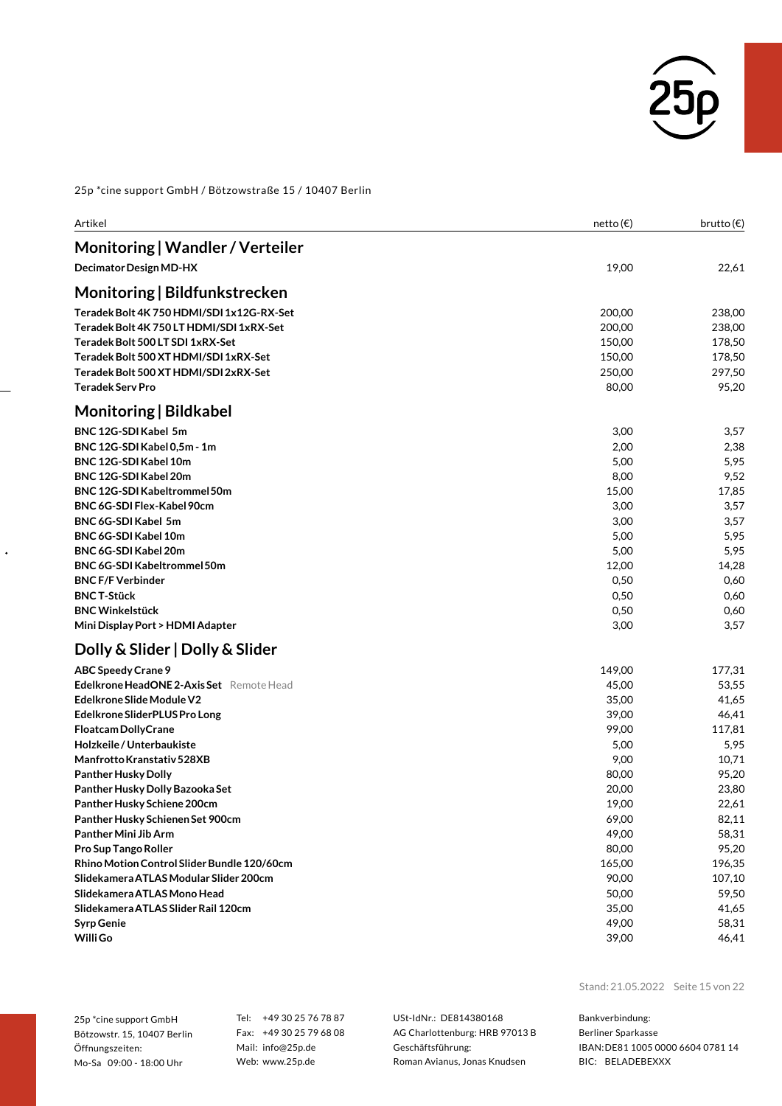

| Artikel                                                                                                                                                                                                                                                                                                                                                                                                                                                                                                                                                                         | netto (€)                                                                                                                                             | brutto $(\epsilon)$                                                                                                                                      |
|---------------------------------------------------------------------------------------------------------------------------------------------------------------------------------------------------------------------------------------------------------------------------------------------------------------------------------------------------------------------------------------------------------------------------------------------------------------------------------------------------------------------------------------------------------------------------------|-------------------------------------------------------------------------------------------------------------------------------------------------------|----------------------------------------------------------------------------------------------------------------------------------------------------------|
| Monitoring   Wandler / Verteiler                                                                                                                                                                                                                                                                                                                                                                                                                                                                                                                                                |                                                                                                                                                       |                                                                                                                                                          |
| Decimator Design MD-HX                                                                                                                                                                                                                                                                                                                                                                                                                                                                                                                                                          | 19,00                                                                                                                                                 | 22,61                                                                                                                                                    |
| Monitoring   Bildfunkstrecken                                                                                                                                                                                                                                                                                                                                                                                                                                                                                                                                                   |                                                                                                                                                       |                                                                                                                                                          |
| Teradek Bolt 4K 750 HDMI/SDI 1x12G-RX-Set<br>Teradek Bolt 4K 750 LT HDMI/SDI 1xRX-Set<br>Teradek Bolt 500 LT SDI 1xRX-Set<br>Teradek Bolt 500 XT HDMI/SDI 1xRX-Set<br>Teradek Bolt 500 XT HDMI/SDI 2xRX-Set<br><b>Teradek Serv Pro</b>                                                                                                                                                                                                                                                                                                                                          | 200,00<br>200,00<br>150,00<br>150,00<br>250,00<br>80,00                                                                                               | 238,00<br>238,00<br>178,50<br>178,50<br>297,50<br>95,20                                                                                                  |
| Monitoring   Bildkabel                                                                                                                                                                                                                                                                                                                                                                                                                                                                                                                                                          |                                                                                                                                                       |                                                                                                                                                          |
| BNC 12G-SDI Kabel 5m<br>BNC 12G-SDI Kabel 0,5m - 1m<br>BNC 12G-SDI Kabel 10m<br>BNC 12G-SDI Kabel 20m<br><b>BNC 12G-SDI Kabeltrommel 50m</b><br>BNC 6G-SDI Flex-Kabel 90cm<br>BNC 6G-SDI Kabel 5m<br>BNC 6G-SDI Kabel 10m<br>BNC 6G-SDI Kabel 20m<br>BNC 6G-SDI Kabeltrommel 50m<br><b>BNC F/F Verbinder</b><br><b>BNC T-Stück</b><br><b>BNC Winkelstück</b><br>Mini Display Port > HDMI Adapter                                                                                                                                                                                | 3,00<br>2,00<br>5,00<br>8,00<br>15,00<br>3,00<br>3,00<br>5,00<br>5,00<br>12,00<br>0,50<br>0,50<br>0,50<br>3,00                                        | 3,57<br>2,38<br>5,95<br>9,52<br>17,85<br>3,57<br>3,57<br>5,95<br>5,95<br>14,28<br>0,60<br>0,60<br>0,60<br>3,57                                           |
| Dolly & Slider   Dolly & Slider                                                                                                                                                                                                                                                                                                                                                                                                                                                                                                                                                 |                                                                                                                                                       |                                                                                                                                                          |
| <b>ABC Speedy Crane 9</b><br>Edelkrone HeadONE 2-Axis Set Remote Head<br>Edelkrone Slide Module V2<br>Edelkrone SliderPLUS Pro Long<br><b>Floatcam DollyCrane</b><br>Holzkeile / Unterbaukiste<br>Manfrotto Kranstativ 528XB<br><b>Panther Husky Dolly</b><br>Panther Husky Dolly Bazooka Set<br>Panther Husky Schiene 200cm<br>Panther Husky Schienen Set 900cm<br>Panther Mini Jib Arm<br>Pro Sup Tango Roller<br>Rhino Motion Control Slider Bundle 120/60cm<br>Slidekamera ATLAS Modular Slider 200cm<br>Slidekamera ATLAS Mono Head<br>Slidekamera ATLAS Slider Rail 120cm | 149,00<br>45,00<br>35,00<br>39,00<br>99,00<br>5,00<br>9,00<br>80,00<br>20,00<br>19,00<br>69,00<br>49,00<br>80,00<br>165,00<br>90,00<br>50,00<br>35,00 | 177,31<br>53,55<br>41,65<br>46,41<br>117,81<br>5,95<br>10,71<br>95,20<br>23,80<br>22,61<br>82,11<br>58,31<br>95,20<br>196,35<br>107,10<br>59,50<br>41,65 |
| <b>Syrp Genie</b><br>Willi Go                                                                                                                                                                                                                                                                                                                                                                                                                                                                                                                                                   | 49,00<br>39,00                                                                                                                                        | 58,31<br>46,41                                                                                                                                           |

25p \*cine support GmbH Bötzowstr. 15, 10407 Berlin Öffnungszeiten: Mo-Sa 09:00 - 18:00 Uhr

 $\ddot{\phantom{0}}$ 

Tel: +49 30 25 76 78 87 Fax: +49 30 25 79 68 08 Mail: info@25p.de Web: www.25p.de

USt-IdNr.: DE814380168 AG Charlottenburg: HRB 97013 B Geschäftsführung: Roman Avianus, Jonas Knudsen

Stand: 21.05.2022 Seite 15 von 22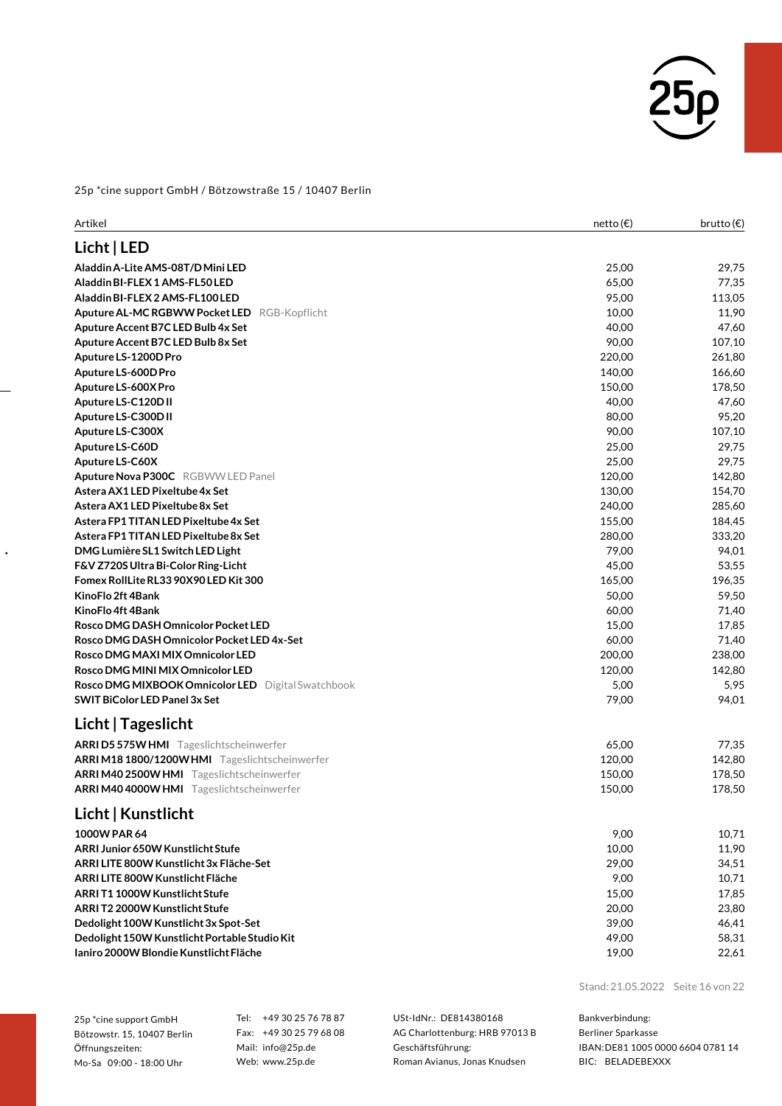

| Artikel                                                                                    | netto (€) | brutto $(\epsilon)$ |
|--------------------------------------------------------------------------------------------|-----------|---------------------|
| Licht   LED                                                                                |           |                     |
| Aladdin A-Lite AMS-08T/D Mini LED                                                          | 25,00     | 29,75               |
| Aladdin BI-FLEX 1 AMS-FL50 LED                                                             | 65,00     | 77,35               |
| Aladdin BI-FLEX 2 AMS-FL100 LED                                                            | 95,00     | 113,05              |
| Aputure AL-MC RGBWW Pocket LED RGB-Kopflicht                                               | 10,00     | 11,90               |
| Aputure Accent B7C LED Bulb 4x Set                                                         | 40,00     | 47,60               |
| Aputure Accent B7C LED Bulb 8x Set                                                         | 90,00     | 107,10              |
| Aputure LS-1200D Pro                                                                       | 220,00    | 261,80              |
| Aputure LS-600D Pro                                                                        | 140,00    | 166,60              |
| Aputure LS-600X Pro                                                                        | 150,00    | 178,50              |
| Aputure LS-C120D II                                                                        | 40,00     | 47,60               |
| Aputure LS-C300D II                                                                        | 80,00     | 95,20               |
| Aputure LS-C300X                                                                           | 90,00     | 107,10              |
| Aputure LS-C60D                                                                            | 25,00     | 29,75               |
| Aputure LS-C60X                                                                            | 25,00     | 29,75               |
| Aputure Nova P300C RGBWW LED Panel                                                         | 120,00    | 142,80              |
| Astera AX1 LED Pixeltube 4x Set                                                            | 130,00    | 154,70              |
| Astera AX1LED Pixeltube 8x Set                                                             | 240,00    | 285,60              |
| Astera FP1 TITAN LED Pixeltube 4x Set                                                      | 155,00    | 184,45              |
| Astera FP1 TITAN LED Pixeltube 8x Set                                                      | 280,00    | 333,20              |
| DMG Lumière SL1 Switch LED Light                                                           | 79,00     | 94,01               |
| F&V Z720S Ultra Bi-Color Ring-Licht                                                        | 45,00     | 53,55               |
| Fomex RollLite RL33 90X90 LED Kit 300                                                      | 165,00    | 196,35              |
| KinoFlo 2ft 4Bank                                                                          | 50,00     | 59,50               |
| KinoFlo 4ft 4Bank                                                                          | 60,00     | 71,40               |
| Rosco DMG DASH Omnicolor Pocket LED                                                        | 15,00     | 17,85               |
| Rosco DMG DASH Omnicolor Pocket LED 4x-Set                                                 | 60,00     | 71,40               |
| Rosco DMG MAXI MIX Omnicolor LED                                                           | 200,00    | 238,00              |
| Rosco DMG MINI MIX Omnicolor LED                                                           | 120,00    | 142,80              |
| Rosco DMG MIXBOOK Omnicolor LED Digital Swatchbook<br><b>SWIT BiColor LED Panel 3x Set</b> | 5,00      | 5,95                |
|                                                                                            | 79,00     | 94,01               |
| Licht   Tageslicht                                                                         |           |                     |
| ARRI D5 575W HMI Tageslichtscheinwerfer                                                    | 65,00     | 77,35               |
| ARRIM18 1800/1200WHMI Tageslichtscheinwerfer                                               | 120,00    | 142,80              |
| ARRIM402500WHMI Tageslichtscheinwerfer                                                     | 150,00    | 178,50              |
| ARRIM404000WHMI Tageslichtscheinwerfer                                                     | 150,00    | 178,50              |
| Licht   Kunstlicht                                                                         |           |                     |
| 1000W PAR 64                                                                               | 9,00      | 10,71               |
| ARRI Junior 650W Kunstlicht Stufe                                                          | 10,00     | 11,90               |
| ARRI LITE 800W Kunstlicht 3x Fläche-Set                                                    | 29,00     | 34,51               |
| ARRI LITE 800W Kunstlicht Fläche                                                           | 9,00      | 10,71               |
| ARRIT1 1000W Kunstlicht Stufe                                                              | 15,00     | 17,85               |
| ARRIT2 2000W Kunstlicht Stufe                                                              | 20,00     | 23,80               |
| Dedolight 100W Kunstlicht 3x Spot-Set                                                      | 39,00     | 46,41               |
| Dedolight 150W Kunstlicht Portable Studio Kit                                              | 49,00     | 58,31               |
| Ianiro 2000W Blondie Kunstlicht Fläche                                                     | 19,00     | 22,61               |

Stand: 21.05.2022 Seite 16 von 22

25p \*cine support GmbH Bötzowstr. 15, 10407 Berlin Öffnungszeiten: Mo-Sa 09:00 - 18:00 Uhr

 $\ddot{\phantom{0}}$ 

Tel: +49 30 25 76 78 87 Fax: +49 30 25 79 68 08 Mail: info@25p.de Web: www.25p.de

USt-IdNr.: DE814380168 AG Charlottenburg: HRB 97013 B Geschäftsführung: Roman Avianus, Jonas Knudsen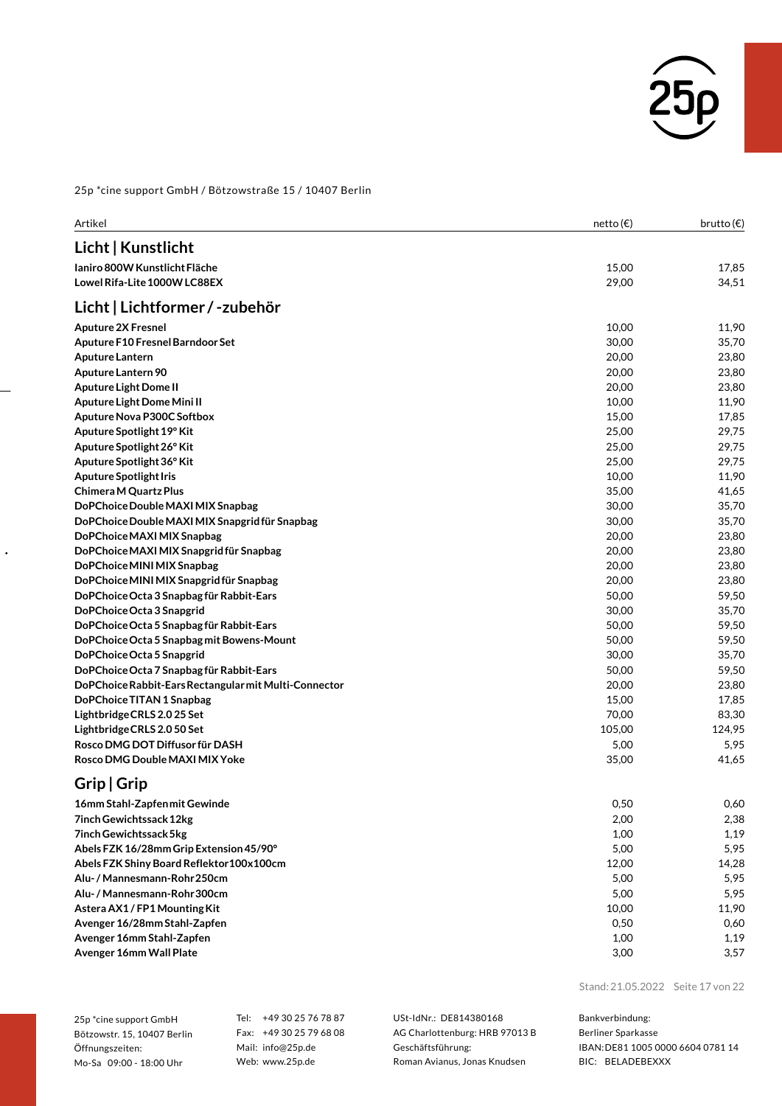

| Artikel                                               | netto (€) | brutto $(\epsilon)$ |
|-------------------------------------------------------|-----------|---------------------|
| Licht   Kunstlicht                                    |           |                     |
| Janiro 800W Kunstlicht Fläche                         | 15,00     | 17,85               |
| Lowel Rifa-Lite 1000W LC88EX                          | 29,00     | 34,51               |
| Licht   Lichtformer / -zubehör                        |           |                     |
| <b>Aputure 2X Fresnel</b>                             | 10,00     | 11,90               |
| Aputure F10 Fresnel Barndoor Set                      | 30,00     | 35,70               |
| Aputure Lantern                                       | 20,00     | 23,80               |
| Aputure Lantern 90                                    | 20,00     | 23,80               |
| Aputure Light Dome II                                 | 20,00     | 23,80               |
| Aputure Light Dome Mini II                            | 10,00     | 11,90               |
| Aputure Nova P300C Softbox                            | 15,00     | 17,85               |
| Aputure Spotlight 19° Kit                             | 25,00     | 29,75               |
| Aputure Spotlight 26° Kit                             | 25,00     | 29,75               |
| Aputure Spotlight 36° Kit                             | 25,00     | 29,75               |
| <b>Aputure Spotlight Iris</b>                         | 10,00     | 11,90               |
| Chimera M Quartz Plus                                 | 35,00     | 41,65               |
| DoPChoice Double MAXI MIX Snapbag                     | 30,00     | 35,70               |
| DoPChoice Double MAXI MIX Snapgrid für Snapbag        | 30,00     | 35,70               |
| DoPChoice MAXI MIX Snapbag                            | 20,00     | 23,80               |
| DoPChoice MAXI MIX Snapgrid für Snapbag               | 20,00     | 23,80               |
| DoPChoice MINI MIX Snapbag                            | 20,00     | 23,80               |
| DoPChoice MINI MIX Snapgrid für Snapbag               | 20,00     | 23,80               |
| DoPChoice Octa 3 Snapbag für Rabbit-Ears              | 50,00     | 59,50               |
| DoPChoice Octa 3 Snapgrid                             | 30,00     | 35,70               |
| DoPChoice Octa 5 Snapbag für Rabbit-Ears              | 50,00     | 59,50               |
| DoPChoice Octa 5 Snapbag mit Bowens-Mount             | 50,00     | 59,50               |
| DoPChoice Octa 5 Snapgrid                             | 30,00     | 35,70               |
| DoPChoice Octa 7 Snapbag für Rabbit-Ears              | 50,00     | 59,50               |
| DoPChoice Rabbit-Ears Rectangular mit Multi-Connector | 20,00     | 23,80               |
| DoPChoice TITAN 1 Snapbag                             | 15,00     | 17,85               |
| Lightbridge CRLS 2.0 25 Set                           | 70,00     | 83,30               |
| Lightbridge CRLS 2.0 50 Set                           | 105,00    | 124,95              |
| Rosco DMG DOT Diffusor für DASH                       | 5,00      | 5,95                |
| Rosco DMG Double MAXI MIX Yoke                        | 35,00     | 41,65               |
| Grip   Grip                                           |           |                     |
| 16mm Stahl-Zapfen mit Gewinde                         | 0,50      | 0,60                |
| 7inch Gewichtssack 12kg                               | 2,00      | 2,38                |
| 7inch Gewichtssack 5kg                                | 1,00      | 1,19                |
| Abels FZK 16/28mm Grip Extension 45/90°               | 5,00      | 5,95                |
| Abels FZK Shiny Board Reflektor 100x 100cm            | 12,00     | 14,28               |
| Alu- / Mannesmann-Rohr 250cm                          | 5,00      | 5,95                |
| Alu- / Mannesmann-Rohr 300cm                          | 5,00      | 5,95                |
| Astera AX1 / FP1 Mounting Kit                         | 10,00     | 11,90               |

**Avenger16/28mmStahl-Zapfen** 0,50 0,60 **Avenger 16mm Stahl-Zapfen** 1,19 **Avenger 16mm Wall Plate** 3,57

 $\ddot{\phantom{0}}$ 

Stand: 21.05.2022 Seite 17 von 22

25p \*cine support GmbH Bötzowstr. 15, 10407 Berlin Öffnungszeiten: Mo-Sa 09:00 - 18:00 Uhr

Tel: +49 30 25 76 78 87 Fax: +49 30 25 79 68 08 Mail: info@25p.de Web: www.25p.de

USt-IdNr.: DE814380168 AG Charlottenburg: HRB 97013 B Geschäftsführung: Roman Avianus, Jonas Knudsen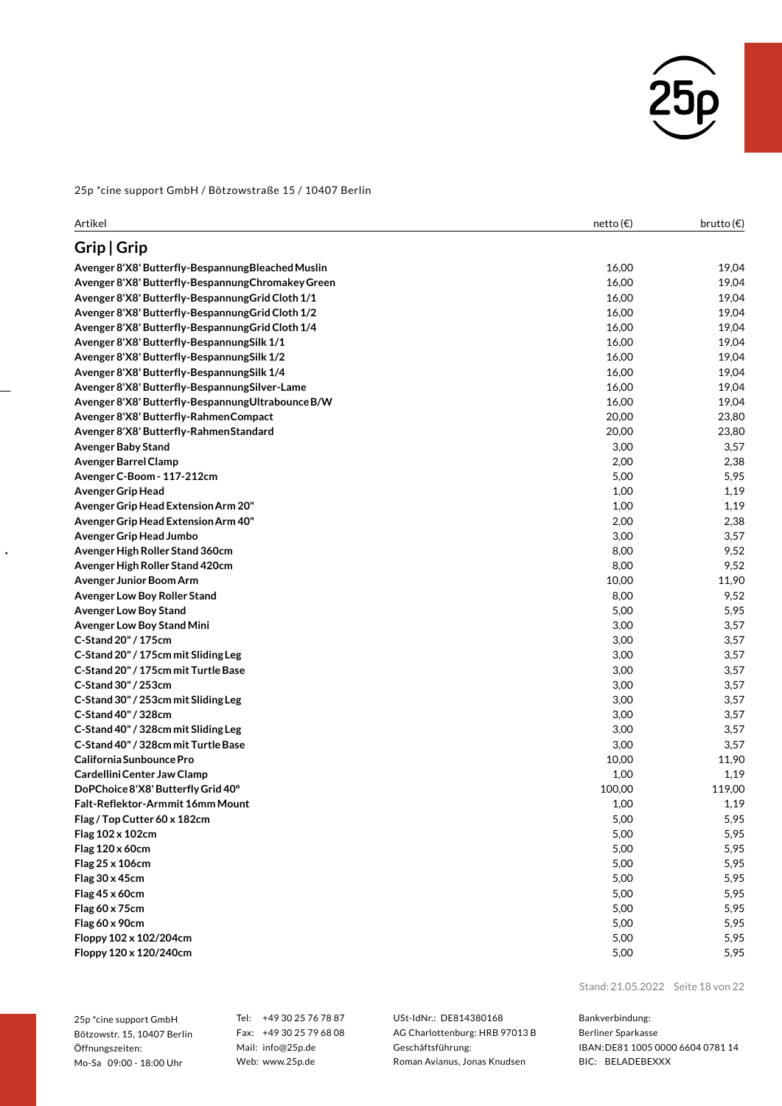

| Artikel                                            | netto (€) | brutto (€) |
|----------------------------------------------------|-----------|------------|
| Grip   Grip                                        |           |            |
| Avenger 8'X8' Butterfly-Bespannung Bleached Muslin | 16,00     | 19,04      |
| Avenger 8'X8' Butterfly-Bespannung Chromakey Green | 16,00     | 19,04      |
| Avenger 8'X8' Butterfly-Bespannung Grid Cloth 1/1  | 16,00     | 19,04      |
| Avenger 8'X8' Butterfly-Bespannung Grid Cloth 1/2  | 16,00     | 19,04      |
| Avenger 8'X8' Butterfly-Bespannung Grid Cloth 1/4  | 16,00     | 19,04      |
| Avenger 8'X8' Butterfly-Bespannung Silk 1/1        | 16,00     | 19,04      |
| Avenger 8'X8' Butterfly-Bespannung Silk 1/2        | 16,00     | 19,04      |
| Avenger 8'X8' Butterfly-Bespannung Silk 1/4        | 16,00     | 19,04      |
| Avenger 8'X8' Butterfly-Bespannung Silver-Lame     | 16,00     | 19,04      |
| Avenger 8'X8' Butterfly-Bespannung Ultrabounce B/W | 16,00     | 19,04      |
| Avenger 8'X8' Butterfly-Rahmen Compact             | 20,00     | 23,80      |
| Avenger 8'X8' Butterfly-Rahmen Standard            | 20,00     | 23,80      |
| <b>Avenger Baby Stand</b>                          | 3,00      | 3,57       |
| Avenger Barrel Clamp                               | 2,00      | 2,38       |
| Avenger C-Boom - 117-212cm                         | 5,00      | 5,95       |
| <b>Avenger Grip Head</b>                           | 1,00      | 1,19       |
| Avenger Grip Head Extension Arm 20"                | 1,00      | 1,19       |
| Avenger Grip Head Extension Arm 40"                | 2,00      | 2,38       |
| Avenger Grip Head Jumbo                            | 3,00      | 3,57       |
| Avenger High Roller Stand 360cm                    | 8,00      | 9,52       |
| Avenger High Roller Stand 420cm                    | 8,00      | 9,52       |
| Avenger Junior Boom Arm                            | 10,00     | 11,90      |
| Avenger Low Boy Roller Stand                       | 8,00      | 9,52       |
| <b>Avenger Low Boy Stand</b>                       | 5,00      | 5,95       |
| Avenger Low Boy Stand Mini                         | 3,00      | 3,57       |
| C-Stand 20" / 175cm                                | 3,00      | 3,57       |
| C-Stand 20" / 175cm mit Sliding Leg                | 3,00      | 3,57       |
| C-Stand 20" / 175cm mit Turtle Base                | 3,00      | 3,57       |
| C-Stand 30" / 253cm                                | 3,00      | 3,57       |
| C-Stand 30" / 253cm mit Sliding Leg                | 3,00      | 3,57       |
| C-Stand 40" / 328cm                                | 3,00      | 3,57       |
| C-Stand 40" / 328cm mit Sliding Leg                | 3,00      | 3,57       |
| C-Stand 40" / 328cm mit Turtle Base                | 3,00      | 3,57       |
| California Sunbounce Pro                           | 10,00     | 11,90      |
| Cardellini Center Jaw Clamp                        | 1,00      | 1,19       |
| DoPChoice 8'X8' Butterfly Grid 40°                 | 100,00    | 119,00     |
| Falt-Reflektor-Armmit 16mm Mount                   | 1,00      | 1,19       |
| Flag / Top Cutter 60 x 182cm                       | 5,00      | 5,95       |
| Flag 102 x 102cm                                   | 5,00      | 5,95       |
| Flag 120 x 60cm                                    | 5,00      | 5,95       |
| Flag 25 x 106cm                                    | 5,00      | 5,95       |
| Flag 30 x 45cm                                     | 5,00      | 5,95       |
| Flag 45 x 60cm                                     | 5,00      | 5,95       |
| Flag 60 x 75cm                                     | 5,00      | 5,95       |
| Flag 60 x 90cm                                     | 5,00      | 5,95       |
| Floppy 102 x 102/204cm                             | 5,00      | 5,95       |
| Floppy 120 x 120/240cm                             | 5,00      | 5,95       |

25p \*cine support GmbH Bötzowstr. 15, 10407 Berlin Öffnungszeiten: Mo-Sa 09:00 - 18:00 Uhr

 $\ddot{\phantom{0}}$ 

Tel: +49 30 25 76 78 87 Fax: +49 30 25 79 68 08 Mail: info@25p.de Web: www.25p.de

USt-IdNr.: DE814380168 AG Charlottenburg: HRB 97013 B Geschäftsführung: Roman Avianus, Jonas Knudsen

Stand: 21.05.2022 Seite 18 von 22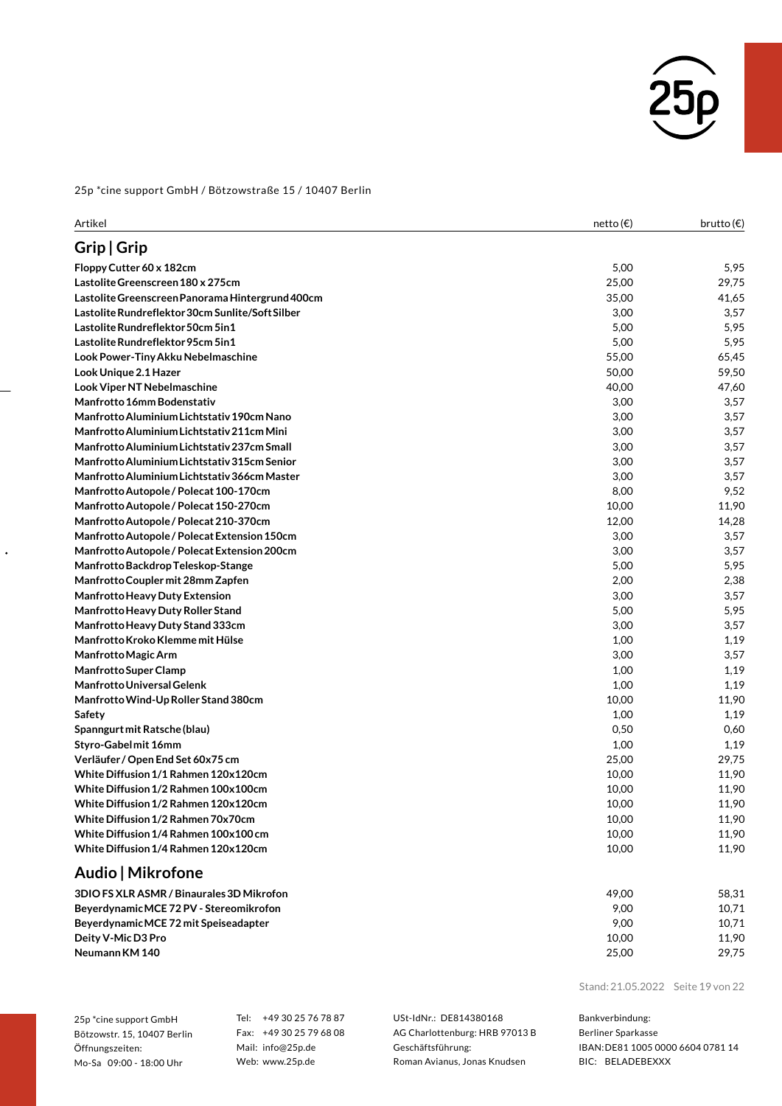

| Grip   Grip<br>5,00<br>5,95<br>Floppy Cutter 60 x 182cm<br>Lastolite Greenscreen 180 x 275cm<br>25,00<br>29,75<br>Lastolite Greenscreen Panorama Hintergrund 400cm<br>35,00<br>41,65<br>Lastolite Rundreflektor 30cm Sunlite/Soft Silber<br>3,00<br>3,57<br>Lastolite Rundreflektor 50cm 5in1<br>5,00<br>5,95<br>5,95<br>Lastolite Rundreflektor 95cm 5in1<br>5,00<br>Look Power-Tiny Akku Nebelmaschine<br>55,00<br>65,45<br>Look Unique 2.1 Hazer<br>50,00<br>59,50<br>Look Viper NT Nebelmaschine<br>40,00<br>47,60<br><b>Manfrotto 16mm Bodenstativ</b><br>3,00<br>Manfrotto Aluminium Lichtstativ 190cm Nano<br>3,00<br>Manfrotto Aluminium Lichtstativ 211cm Mini<br>3,00<br>3,57<br>Manfrotto Aluminium Lichtstativ 237cm Small<br>3,00<br>Manfrotto Aluminium Lichtstativ 315cm Senior<br>3,00<br>Manfrotto Aluminium Lichtstativ 366cm Master<br>3,00<br>Manfrotto Autopole / Polecat 100-170cm<br>8,00<br>10,00<br>11,90<br>Manfrotto Autopole / Polecat 150-270cm<br>Manfrotto Autopole / Polecat 210-370cm<br>12,00<br>14,28<br>Manfrotto Autopole / Polecat Extension 150cm<br>3,57<br>3,00<br>Manfrotto Autopole / Polecat Extension 200cm<br>3,00<br>3,57<br>Manfrotto Backdrop Teleskop-Stange<br>5,00<br>5,95<br>2,00<br>2,38<br>Manfrotto Coupler mit 28mm Zapfen<br><b>Manfrotto Heavy Duty Extension</b><br>3,00<br>3,57<br>5,95<br>Manfrotto Heavy Duty Roller Stand<br>5,00<br>Manfrotto Heavy Duty Stand 333cm<br>3,00<br>Manfrotto Kroko Klemme mit Hülse<br>1,19<br>1,00<br>Manfrotto Magic Arm<br>3,00<br>3,57<br>1,19<br><b>Manfrotto Super Clamp</b><br>1,00<br>1,19<br><b>Manfrotto Universal Gelenk</b><br>1,00<br>Manfrotto Wind-Up Roller Stand 380cm<br>10,00<br>11,90<br>1,00<br>1,19<br>Safety<br>0,50<br>Spanngurt mit Ratsche (blau)<br>0,60<br>1,00<br>Styro-Gabel mit 16mm<br>1,19<br>Verläufer / Open End Set 60x75 cm<br>25,00<br>29,75<br>White Diffusion 1/1 Rahmen 120x120cm<br>10,00<br>11,90<br>White Diffusion 1/2 Rahmen 100x100cm<br>10,00<br>11,90<br>White Diffusion 1/2 Rahmen 120x120cm<br>10,00<br>11,90<br>White Diffusion 1/2 Rahmen 70x70cm<br>10,00<br>11,90<br>White Diffusion 1/4 Rahmen 100x100 cm<br>10,00<br>11,90<br>White Diffusion 1/4 Rahmen 120x120cm<br>10,00<br>Audio   Mikrofone<br>3DIO FS XLR ASMR / Binaurales 3D Mikrofon<br>49,00<br>58,31<br>BeyerdynamicMCE 72 PV - Stereomikrofon<br>9,00<br>10,71<br>BeyerdynamicMCE 72 mit Speiseadapter<br>9,00<br>10,71<br>Deity V-Mic D3 Pro<br>10,00<br>11,90<br>Neumann KM 140<br>25,00<br>29,75 | Artikel | netto (€) | brutto $(\epsilon)$ |
|------------------------------------------------------------------------------------------------------------------------------------------------------------------------------------------------------------------------------------------------------------------------------------------------------------------------------------------------------------------------------------------------------------------------------------------------------------------------------------------------------------------------------------------------------------------------------------------------------------------------------------------------------------------------------------------------------------------------------------------------------------------------------------------------------------------------------------------------------------------------------------------------------------------------------------------------------------------------------------------------------------------------------------------------------------------------------------------------------------------------------------------------------------------------------------------------------------------------------------------------------------------------------------------------------------------------------------------------------------------------------------------------------------------------------------------------------------------------------------------------------------------------------------------------------------------------------------------------------------------------------------------------------------------------------------------------------------------------------------------------------------------------------------------------------------------------------------------------------------------------------------------------------------------------------------------------------------------------------------------------------------------------------------------------------------------------------------------------------------------------------------------------------------------------------------------------------------------------------------------------------------------------------------------------------------------------------------------------------------------------------------------------------------------------------------------------------------------------------------------------------------------------|---------|-----------|---------------------|
|                                                                                                                                                                                                                                                                                                                                                                                                                                                                                                                                                                                                                                                                                                                                                                                                                                                                                                                                                                                                                                                                                                                                                                                                                                                                                                                                                                                                                                                                                                                                                                                                                                                                                                                                                                                                                                                                                                                                                                                                                                                                                                                                                                                                                                                                                                                                                                                                                                                                                                                        |         |           |                     |
|                                                                                                                                                                                                                                                                                                                                                                                                                                                                                                                                                                                                                                                                                                                                                                                                                                                                                                                                                                                                                                                                                                                                                                                                                                                                                                                                                                                                                                                                                                                                                                                                                                                                                                                                                                                                                                                                                                                                                                                                                                                                                                                                                                                                                                                                                                                                                                                                                                                                                                                        |         |           |                     |
|                                                                                                                                                                                                                                                                                                                                                                                                                                                                                                                                                                                                                                                                                                                                                                                                                                                                                                                                                                                                                                                                                                                                                                                                                                                                                                                                                                                                                                                                                                                                                                                                                                                                                                                                                                                                                                                                                                                                                                                                                                                                                                                                                                                                                                                                                                                                                                                                                                                                                                                        |         |           |                     |
|                                                                                                                                                                                                                                                                                                                                                                                                                                                                                                                                                                                                                                                                                                                                                                                                                                                                                                                                                                                                                                                                                                                                                                                                                                                                                                                                                                                                                                                                                                                                                                                                                                                                                                                                                                                                                                                                                                                                                                                                                                                                                                                                                                                                                                                                                                                                                                                                                                                                                                                        |         |           |                     |
|                                                                                                                                                                                                                                                                                                                                                                                                                                                                                                                                                                                                                                                                                                                                                                                                                                                                                                                                                                                                                                                                                                                                                                                                                                                                                                                                                                                                                                                                                                                                                                                                                                                                                                                                                                                                                                                                                                                                                                                                                                                                                                                                                                                                                                                                                                                                                                                                                                                                                                                        |         |           |                     |
|                                                                                                                                                                                                                                                                                                                                                                                                                                                                                                                                                                                                                                                                                                                                                                                                                                                                                                                                                                                                                                                                                                                                                                                                                                                                                                                                                                                                                                                                                                                                                                                                                                                                                                                                                                                                                                                                                                                                                                                                                                                                                                                                                                                                                                                                                                                                                                                                                                                                                                                        |         |           |                     |
|                                                                                                                                                                                                                                                                                                                                                                                                                                                                                                                                                                                                                                                                                                                                                                                                                                                                                                                                                                                                                                                                                                                                                                                                                                                                                                                                                                                                                                                                                                                                                                                                                                                                                                                                                                                                                                                                                                                                                                                                                                                                                                                                                                                                                                                                                                                                                                                                                                                                                                                        |         |           |                     |
|                                                                                                                                                                                                                                                                                                                                                                                                                                                                                                                                                                                                                                                                                                                                                                                                                                                                                                                                                                                                                                                                                                                                                                                                                                                                                                                                                                                                                                                                                                                                                                                                                                                                                                                                                                                                                                                                                                                                                                                                                                                                                                                                                                                                                                                                                                                                                                                                                                                                                                                        |         |           |                     |
|                                                                                                                                                                                                                                                                                                                                                                                                                                                                                                                                                                                                                                                                                                                                                                                                                                                                                                                                                                                                                                                                                                                                                                                                                                                                                                                                                                                                                                                                                                                                                                                                                                                                                                                                                                                                                                                                                                                                                                                                                                                                                                                                                                                                                                                                                                                                                                                                                                                                                                                        |         |           |                     |
|                                                                                                                                                                                                                                                                                                                                                                                                                                                                                                                                                                                                                                                                                                                                                                                                                                                                                                                                                                                                                                                                                                                                                                                                                                                                                                                                                                                                                                                                                                                                                                                                                                                                                                                                                                                                                                                                                                                                                                                                                                                                                                                                                                                                                                                                                                                                                                                                                                                                                                                        |         |           |                     |
|                                                                                                                                                                                                                                                                                                                                                                                                                                                                                                                                                                                                                                                                                                                                                                                                                                                                                                                                                                                                                                                                                                                                                                                                                                                                                                                                                                                                                                                                                                                                                                                                                                                                                                                                                                                                                                                                                                                                                                                                                                                                                                                                                                                                                                                                                                                                                                                                                                                                                                                        |         |           | 3,57                |
|                                                                                                                                                                                                                                                                                                                                                                                                                                                                                                                                                                                                                                                                                                                                                                                                                                                                                                                                                                                                                                                                                                                                                                                                                                                                                                                                                                                                                                                                                                                                                                                                                                                                                                                                                                                                                                                                                                                                                                                                                                                                                                                                                                                                                                                                                                                                                                                                                                                                                                                        |         |           | 3,57                |
|                                                                                                                                                                                                                                                                                                                                                                                                                                                                                                                                                                                                                                                                                                                                                                                                                                                                                                                                                                                                                                                                                                                                                                                                                                                                                                                                                                                                                                                                                                                                                                                                                                                                                                                                                                                                                                                                                                                                                                                                                                                                                                                                                                                                                                                                                                                                                                                                                                                                                                                        |         |           |                     |
|                                                                                                                                                                                                                                                                                                                                                                                                                                                                                                                                                                                                                                                                                                                                                                                                                                                                                                                                                                                                                                                                                                                                                                                                                                                                                                                                                                                                                                                                                                                                                                                                                                                                                                                                                                                                                                                                                                                                                                                                                                                                                                                                                                                                                                                                                                                                                                                                                                                                                                                        |         |           | 3,57                |
|                                                                                                                                                                                                                                                                                                                                                                                                                                                                                                                                                                                                                                                                                                                                                                                                                                                                                                                                                                                                                                                                                                                                                                                                                                                                                                                                                                                                                                                                                                                                                                                                                                                                                                                                                                                                                                                                                                                                                                                                                                                                                                                                                                                                                                                                                                                                                                                                                                                                                                                        |         |           | 3,57                |
|                                                                                                                                                                                                                                                                                                                                                                                                                                                                                                                                                                                                                                                                                                                                                                                                                                                                                                                                                                                                                                                                                                                                                                                                                                                                                                                                                                                                                                                                                                                                                                                                                                                                                                                                                                                                                                                                                                                                                                                                                                                                                                                                                                                                                                                                                                                                                                                                                                                                                                                        |         |           | 3,57                |
|                                                                                                                                                                                                                                                                                                                                                                                                                                                                                                                                                                                                                                                                                                                                                                                                                                                                                                                                                                                                                                                                                                                                                                                                                                                                                                                                                                                                                                                                                                                                                                                                                                                                                                                                                                                                                                                                                                                                                                                                                                                                                                                                                                                                                                                                                                                                                                                                                                                                                                                        |         |           | 9,52                |
|                                                                                                                                                                                                                                                                                                                                                                                                                                                                                                                                                                                                                                                                                                                                                                                                                                                                                                                                                                                                                                                                                                                                                                                                                                                                                                                                                                                                                                                                                                                                                                                                                                                                                                                                                                                                                                                                                                                                                                                                                                                                                                                                                                                                                                                                                                                                                                                                                                                                                                                        |         |           |                     |
|                                                                                                                                                                                                                                                                                                                                                                                                                                                                                                                                                                                                                                                                                                                                                                                                                                                                                                                                                                                                                                                                                                                                                                                                                                                                                                                                                                                                                                                                                                                                                                                                                                                                                                                                                                                                                                                                                                                                                                                                                                                                                                                                                                                                                                                                                                                                                                                                                                                                                                                        |         |           |                     |
|                                                                                                                                                                                                                                                                                                                                                                                                                                                                                                                                                                                                                                                                                                                                                                                                                                                                                                                                                                                                                                                                                                                                                                                                                                                                                                                                                                                                                                                                                                                                                                                                                                                                                                                                                                                                                                                                                                                                                                                                                                                                                                                                                                                                                                                                                                                                                                                                                                                                                                                        |         |           |                     |
|                                                                                                                                                                                                                                                                                                                                                                                                                                                                                                                                                                                                                                                                                                                                                                                                                                                                                                                                                                                                                                                                                                                                                                                                                                                                                                                                                                                                                                                                                                                                                                                                                                                                                                                                                                                                                                                                                                                                                                                                                                                                                                                                                                                                                                                                                                                                                                                                                                                                                                                        |         |           |                     |
|                                                                                                                                                                                                                                                                                                                                                                                                                                                                                                                                                                                                                                                                                                                                                                                                                                                                                                                                                                                                                                                                                                                                                                                                                                                                                                                                                                                                                                                                                                                                                                                                                                                                                                                                                                                                                                                                                                                                                                                                                                                                                                                                                                                                                                                                                                                                                                                                                                                                                                                        |         |           |                     |
|                                                                                                                                                                                                                                                                                                                                                                                                                                                                                                                                                                                                                                                                                                                                                                                                                                                                                                                                                                                                                                                                                                                                                                                                                                                                                                                                                                                                                                                                                                                                                                                                                                                                                                                                                                                                                                                                                                                                                                                                                                                                                                                                                                                                                                                                                                                                                                                                                                                                                                                        |         |           |                     |
|                                                                                                                                                                                                                                                                                                                                                                                                                                                                                                                                                                                                                                                                                                                                                                                                                                                                                                                                                                                                                                                                                                                                                                                                                                                                                                                                                                                                                                                                                                                                                                                                                                                                                                                                                                                                                                                                                                                                                                                                                                                                                                                                                                                                                                                                                                                                                                                                                                                                                                                        |         |           |                     |
|                                                                                                                                                                                                                                                                                                                                                                                                                                                                                                                                                                                                                                                                                                                                                                                                                                                                                                                                                                                                                                                                                                                                                                                                                                                                                                                                                                                                                                                                                                                                                                                                                                                                                                                                                                                                                                                                                                                                                                                                                                                                                                                                                                                                                                                                                                                                                                                                                                                                                                                        |         |           |                     |
|                                                                                                                                                                                                                                                                                                                                                                                                                                                                                                                                                                                                                                                                                                                                                                                                                                                                                                                                                                                                                                                                                                                                                                                                                                                                                                                                                                                                                                                                                                                                                                                                                                                                                                                                                                                                                                                                                                                                                                                                                                                                                                                                                                                                                                                                                                                                                                                                                                                                                                                        |         |           | 3,57                |
|                                                                                                                                                                                                                                                                                                                                                                                                                                                                                                                                                                                                                                                                                                                                                                                                                                                                                                                                                                                                                                                                                                                                                                                                                                                                                                                                                                                                                                                                                                                                                                                                                                                                                                                                                                                                                                                                                                                                                                                                                                                                                                                                                                                                                                                                                                                                                                                                                                                                                                                        |         |           |                     |
|                                                                                                                                                                                                                                                                                                                                                                                                                                                                                                                                                                                                                                                                                                                                                                                                                                                                                                                                                                                                                                                                                                                                                                                                                                                                                                                                                                                                                                                                                                                                                                                                                                                                                                                                                                                                                                                                                                                                                                                                                                                                                                                                                                                                                                                                                                                                                                                                                                                                                                                        |         |           |                     |
|                                                                                                                                                                                                                                                                                                                                                                                                                                                                                                                                                                                                                                                                                                                                                                                                                                                                                                                                                                                                                                                                                                                                                                                                                                                                                                                                                                                                                                                                                                                                                                                                                                                                                                                                                                                                                                                                                                                                                                                                                                                                                                                                                                                                                                                                                                                                                                                                                                                                                                                        |         |           |                     |
|                                                                                                                                                                                                                                                                                                                                                                                                                                                                                                                                                                                                                                                                                                                                                                                                                                                                                                                                                                                                                                                                                                                                                                                                                                                                                                                                                                                                                                                                                                                                                                                                                                                                                                                                                                                                                                                                                                                                                                                                                                                                                                                                                                                                                                                                                                                                                                                                                                                                                                                        |         |           |                     |
|                                                                                                                                                                                                                                                                                                                                                                                                                                                                                                                                                                                                                                                                                                                                                                                                                                                                                                                                                                                                                                                                                                                                                                                                                                                                                                                                                                                                                                                                                                                                                                                                                                                                                                                                                                                                                                                                                                                                                                                                                                                                                                                                                                                                                                                                                                                                                                                                                                                                                                                        |         |           |                     |
|                                                                                                                                                                                                                                                                                                                                                                                                                                                                                                                                                                                                                                                                                                                                                                                                                                                                                                                                                                                                                                                                                                                                                                                                                                                                                                                                                                                                                                                                                                                                                                                                                                                                                                                                                                                                                                                                                                                                                                                                                                                                                                                                                                                                                                                                                                                                                                                                                                                                                                                        |         |           |                     |
|                                                                                                                                                                                                                                                                                                                                                                                                                                                                                                                                                                                                                                                                                                                                                                                                                                                                                                                                                                                                                                                                                                                                                                                                                                                                                                                                                                                                                                                                                                                                                                                                                                                                                                                                                                                                                                                                                                                                                                                                                                                                                                                                                                                                                                                                                                                                                                                                                                                                                                                        |         |           |                     |
|                                                                                                                                                                                                                                                                                                                                                                                                                                                                                                                                                                                                                                                                                                                                                                                                                                                                                                                                                                                                                                                                                                                                                                                                                                                                                                                                                                                                                                                                                                                                                                                                                                                                                                                                                                                                                                                                                                                                                                                                                                                                                                                                                                                                                                                                                                                                                                                                                                                                                                                        |         |           |                     |
|                                                                                                                                                                                                                                                                                                                                                                                                                                                                                                                                                                                                                                                                                                                                                                                                                                                                                                                                                                                                                                                                                                                                                                                                                                                                                                                                                                                                                                                                                                                                                                                                                                                                                                                                                                                                                                                                                                                                                                                                                                                                                                                                                                                                                                                                                                                                                                                                                                                                                                                        |         |           |                     |
|                                                                                                                                                                                                                                                                                                                                                                                                                                                                                                                                                                                                                                                                                                                                                                                                                                                                                                                                                                                                                                                                                                                                                                                                                                                                                                                                                                                                                                                                                                                                                                                                                                                                                                                                                                                                                                                                                                                                                                                                                                                                                                                                                                                                                                                                                                                                                                                                                                                                                                                        |         |           |                     |
|                                                                                                                                                                                                                                                                                                                                                                                                                                                                                                                                                                                                                                                                                                                                                                                                                                                                                                                                                                                                                                                                                                                                                                                                                                                                                                                                                                                                                                                                                                                                                                                                                                                                                                                                                                                                                                                                                                                                                                                                                                                                                                                                                                                                                                                                                                                                                                                                                                                                                                                        |         |           |                     |
|                                                                                                                                                                                                                                                                                                                                                                                                                                                                                                                                                                                                                                                                                                                                                                                                                                                                                                                                                                                                                                                                                                                                                                                                                                                                                                                                                                                                                                                                                                                                                                                                                                                                                                                                                                                                                                                                                                                                                                                                                                                                                                                                                                                                                                                                                                                                                                                                                                                                                                                        |         |           |                     |
|                                                                                                                                                                                                                                                                                                                                                                                                                                                                                                                                                                                                                                                                                                                                                                                                                                                                                                                                                                                                                                                                                                                                                                                                                                                                                                                                                                                                                                                                                                                                                                                                                                                                                                                                                                                                                                                                                                                                                                                                                                                                                                                                                                                                                                                                                                                                                                                                                                                                                                                        |         |           |                     |
|                                                                                                                                                                                                                                                                                                                                                                                                                                                                                                                                                                                                                                                                                                                                                                                                                                                                                                                                                                                                                                                                                                                                                                                                                                                                                                                                                                                                                                                                                                                                                                                                                                                                                                                                                                                                                                                                                                                                                                                                                                                                                                                                                                                                                                                                                                                                                                                                                                                                                                                        |         |           |                     |
|                                                                                                                                                                                                                                                                                                                                                                                                                                                                                                                                                                                                                                                                                                                                                                                                                                                                                                                                                                                                                                                                                                                                                                                                                                                                                                                                                                                                                                                                                                                                                                                                                                                                                                                                                                                                                                                                                                                                                                                                                                                                                                                                                                                                                                                                                                                                                                                                                                                                                                                        |         |           | 11,90               |
|                                                                                                                                                                                                                                                                                                                                                                                                                                                                                                                                                                                                                                                                                                                                                                                                                                                                                                                                                                                                                                                                                                                                                                                                                                                                                                                                                                                                                                                                                                                                                                                                                                                                                                                                                                                                                                                                                                                                                                                                                                                                                                                                                                                                                                                                                                                                                                                                                                                                                                                        |         |           |                     |
|                                                                                                                                                                                                                                                                                                                                                                                                                                                                                                                                                                                                                                                                                                                                                                                                                                                                                                                                                                                                                                                                                                                                                                                                                                                                                                                                                                                                                                                                                                                                                                                                                                                                                                                                                                                                                                                                                                                                                                                                                                                                                                                                                                                                                                                                                                                                                                                                                                                                                                                        |         |           |                     |
|                                                                                                                                                                                                                                                                                                                                                                                                                                                                                                                                                                                                                                                                                                                                                                                                                                                                                                                                                                                                                                                                                                                                                                                                                                                                                                                                                                                                                                                                                                                                                                                                                                                                                                                                                                                                                                                                                                                                                                                                                                                                                                                                                                                                                                                                                                                                                                                                                                                                                                                        |         |           |                     |
|                                                                                                                                                                                                                                                                                                                                                                                                                                                                                                                                                                                                                                                                                                                                                                                                                                                                                                                                                                                                                                                                                                                                                                                                                                                                                                                                                                                                                                                                                                                                                                                                                                                                                                                                                                                                                                                                                                                                                                                                                                                                                                                                                                                                                                                                                                                                                                                                                                                                                                                        |         |           |                     |
|                                                                                                                                                                                                                                                                                                                                                                                                                                                                                                                                                                                                                                                                                                                                                                                                                                                                                                                                                                                                                                                                                                                                                                                                                                                                                                                                                                                                                                                                                                                                                                                                                                                                                                                                                                                                                                                                                                                                                                                                                                                                                                                                                                                                                                                                                                                                                                                                                                                                                                                        |         |           |                     |
|                                                                                                                                                                                                                                                                                                                                                                                                                                                                                                                                                                                                                                                                                                                                                                                                                                                                                                                                                                                                                                                                                                                                                                                                                                                                                                                                                                                                                                                                                                                                                                                                                                                                                                                                                                                                                                                                                                                                                                                                                                                                                                                                                                                                                                                                                                                                                                                                                                                                                                                        |         |           |                     |

25p \*cine support GmbH Bötzowstr. 15, 10407 Berlin Öffnungszeiten: Mo-Sa 09:00 - 18:00 Uhr

 $\ddot{\phantom{0}}$ 

Tel: +49 30 25 76 78 87 Fax: +49 30 25 79 68 08 Mail: info@25p.de Web: www.25p.de

USt-IdNr.: DE814380168 AG Charlottenburg: HRB 97013 B Geschäftsführung: Roman Avianus, Jonas Knudsen

Stand: 21.05.2022 Seite 19 von 22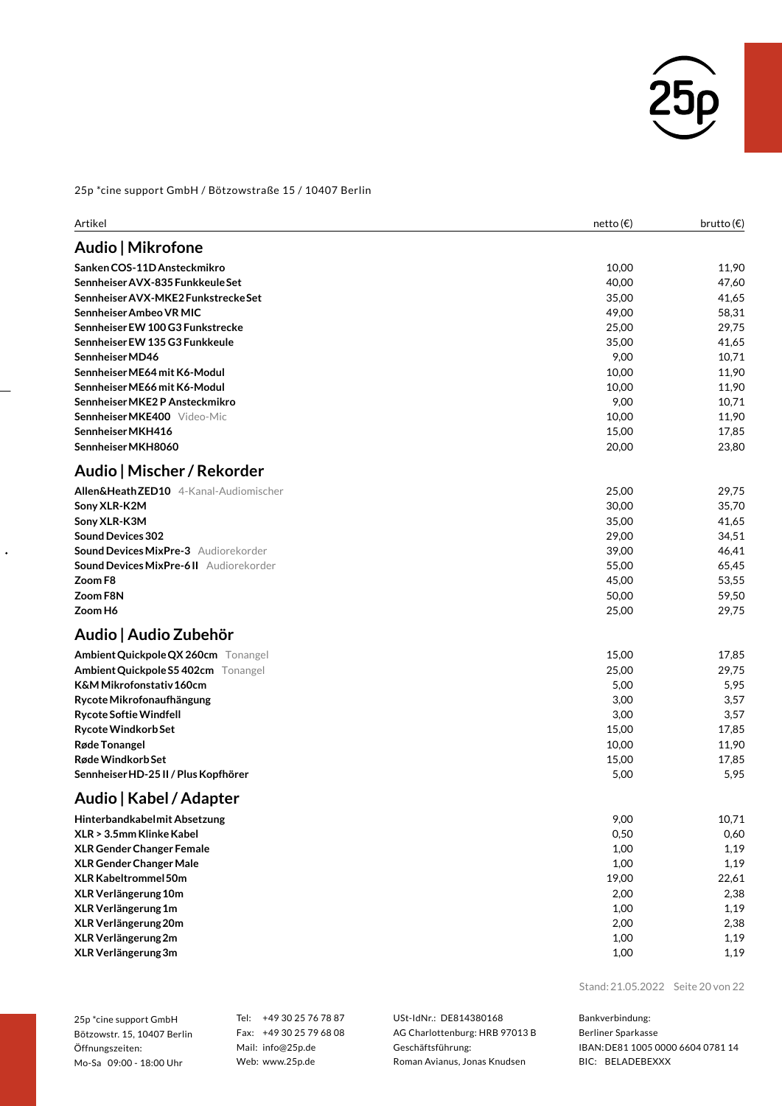

| Artikel                                        | netto(E) | brutto $(\epsilon)$ |
|------------------------------------------------|----------|---------------------|
| Audio   Mikrofone                              |          |                     |
| Sanken COS-11D Ansteckmikro                    | 10,00    | 11,90               |
| Sennheiser AVX-835 Funkkeule Set               | 40,00    | 47,60               |
| Sennheiser AVX-MKE2 Funkstrecke Set            | 35,00    | 41,65               |
| Sennheiser Ambeo VR MIC                        | 49,00    | 58,31               |
| Sennheiser EW 100 G3 Funkstrecke               | 25,00    | 29,75               |
| Sennheiser EW 135 G3 Funkkeule                 | 35,00    | 41,65               |
| Sennheiser MD46                                | 9,00     | 10,71               |
| Sennheiser ME64 mit K6-Modul                   | 10,00    | 11,90               |
| Sennheiser ME66 mit K6-Modul                   | 10,00    | 11,90               |
| Sennheiser MKE2 P Ansteckmikro                 | 9,00     | 10,71               |
| Sennheiser MKE400 Video-Mic                    | 10,00    | 11,90               |
| Sennheiser MKH416                              | 15,00    | 17,85               |
| Sennheiser MKH8060                             | 20,00    | 23,80               |
| Audio   Mischer / Rekorder                     |          |                     |
| Allen&HeathZED10 4-Kanal-Audiomischer          | 25,00    | 29,75               |
| Sony XLR-K2M                                   | 30,00    | 35,70               |
| Sony XLR-K3M                                   | 35,00    | 41,65               |
| <b>Sound Devices 302</b>                       | 29,00    | 34,51               |
| <b>Sound Devices MixPre-3</b> Audiorekorder    | 39,00    | 46,41               |
| <b>Sound Devices MixPre-6 II</b> Audiorekorder | 55,00    | 65,45               |
| Zoom F8                                        | 45,00    | 53,55               |
| Zoom F8N                                       | 50,00    | 59,50               |
| Zoom H6                                        | 25,00    | 29,75               |
| Audio   Audio Zubehör                          |          |                     |
| Ambient Quickpole QX 260cm Tonangel            | 15,00    | 17,85               |
| Ambient Quickpole S5 402cm Tonangel            | 25,00    | 29,75               |
| K&M Mikrofonstativ 160cm                       | 5,00     | 5,95                |
| Rycote Mikrofonaufhängung                      | 3,00     | 3,57                |
| <b>Rycote Softie Windfell</b>                  | 3,00     | 3,57                |
| <b>Rycote Windkorb Set</b>                     | 15,00    | 17,85               |
| Røde Tonangel                                  | 10,00    | 11,90               |
| Røde Windkorb Set                              | 15,00    | 17,85               |
| Sennheiser HD-25 II / Plus Kopfhörer           | 5,00     | 5,95                |
| Audio   Kabel / Adapter                        |          |                     |
| Hinterbandkabelmit Absetzung                   | 9,00     | 10,71               |
| XLR > 3.5mm Klinke Kabel                       | 0,50     | 0,60                |
| <b>XLR Gender Changer Female</b>               | 1,00     | 1,19                |
| <b>XLR Gender Changer Male</b>                 | 1,00     | 1,19                |
| XLR Kabeltrommel 50m                           | 19,00    | 22,61               |
| XLR Verlängerung 10m                           | 2,00     | 2,38                |
| XLR Verlängerung 1m                            | 1,00     | 1,19                |
| XLR Verlängerung 20m                           | 2,00     | 2,38                |
| XLR Verlängerung 2m                            | 1,00     | 1,19                |
| XLR Verlängerung 3m                            | 1,00     | 1,19                |

25p \*cine support GmbH Bötzowstr. 15, 10407 Berlin Öffnungszeiten: Mo-Sa 09:00 - 18:00 Uhr

 $\ddot{\phantom{0}}$ 

Tel: +49 30 25 76 78 87 Fax: +49 30 25 79 68 08 Mail: info@25p.de Web: www.25p.de

USt-IdNr.: DE814380168 AG Charlottenburg: HRB 97013 B Geschäftsführung: Roman Avianus, Jonas Knudsen

Stand: 21.05.2022 Seite 20 von 22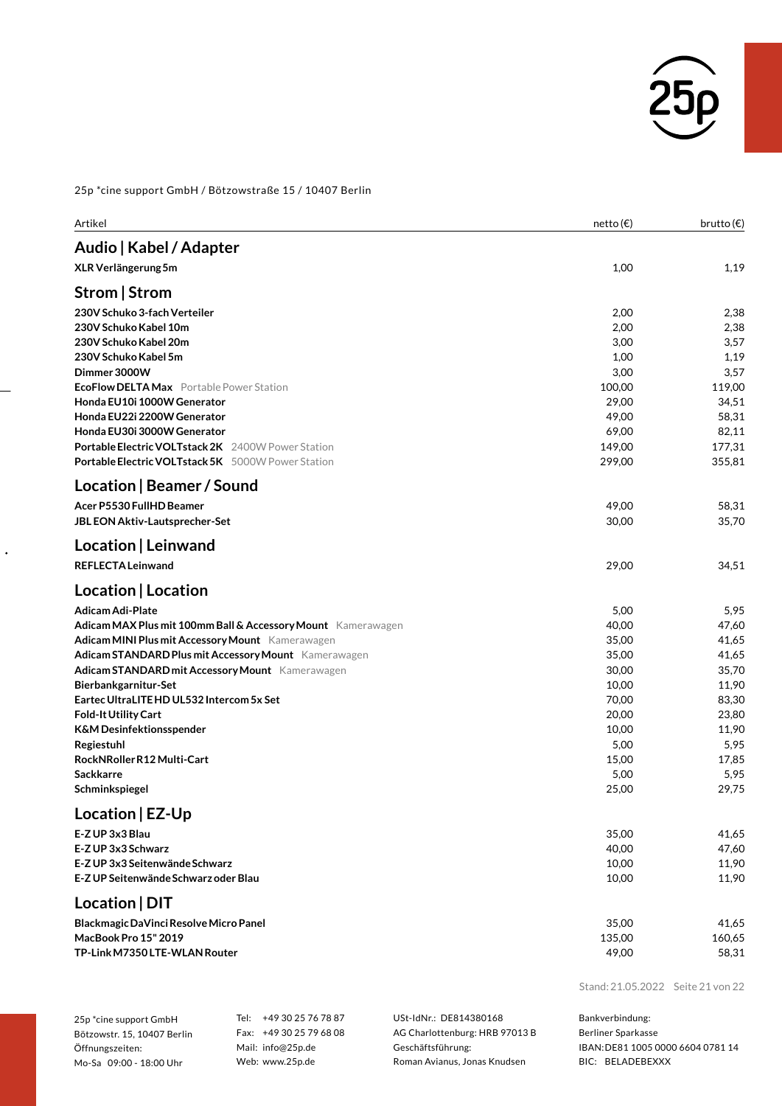

| Artikel                                                        | netto (€)       | brutto $(\epsilon)$ |
|----------------------------------------------------------------|-----------------|---------------------|
| Audio   Kabel / Adapter                                        |                 |                     |
| XLR Verlängerung 5m                                            | 1,00            | 1,19                |
| Strom   Strom                                                  |                 |                     |
| 230V Schuko 3-fach Verteiler                                   | 2,00            | 2,38                |
| 230V Schuko Kabel 10m                                          | 2,00            | 2,38                |
| 230V Schuko Kabel 20m                                          | 3,00            | 3,57                |
| 230V Schuko Kabel 5m                                           | 1,00            | 1,19                |
| Dimmer 3000W                                                   | 3,00            | 3,57                |
| <b>EcoFlow DELTA Max</b> Portable Power Station                | 100,00          | 119,00              |
| Honda EU10i 1000W Generator                                    | 29,00           | 34,51               |
| Honda EU22i 2200W Generator<br>Honda EU30i 3000W Generator     | 49,00<br>69,00  | 58,31<br>82,11      |
| <b>Portable Electric VOLTstack 2K</b> 2400W Power Station      | 149,00          | 177,31              |
| <b>Portable Electric VOLTstack 5K</b> 5000W Power Station      | 299,00          | 355,81              |
| Location   Beamer / Sound                                      |                 |                     |
|                                                                |                 |                     |
| Acer P5530 FullHD Beamer<br>JBL EON Aktiv-Lautsprecher-Set     | 49,00<br>30,00  | 58,31<br>35,70      |
|                                                                |                 |                     |
| Location   Leinwand                                            |                 |                     |
| <b>REFLECTALeinwand</b>                                        | 29,00           | 34,51               |
| Location   Location                                            |                 |                     |
| <b>Adicam Adi-Plate</b>                                        | 5,00            | 5,95                |
| Adicam MAX Plus mit 100mm Ball & Accessory Mount Kamerawagen   | 40,00           | 47,60               |
| Adicam MINI Plus mit Accessory Mount Kamerawagen               | 35,00           | 41,65               |
| Adicam STANDARD Plus mit Accessory Mount Kamerawagen           | 35,00           | 41,65               |
| Adicam STANDARD mit Accessory Mount Kamerawagen                | 30,00           | 35,70               |
| Bierbankgarnitur-Set                                           | 10,00           | 11,90               |
| Eartec UltraLITE HD UL532 Intercom 5x Set                      | 70,00           | 83,30               |
| <b>Fold-It Utility Cart</b>                                    | 20,00           | 23,80               |
| <b>K&amp;M Desinfektionsspender</b>                            | 10,00           | 11,90               |
| Regiestuhl<br>RockNRollerR12 Multi-Cart                        | 5,00            | 5,95                |
| <b>Sackkarre</b>                                               | 15,00<br>5,00   | 17,85<br>5,95       |
| Schminkspiegel                                                 | 25,00           | 29,75               |
|                                                                |                 |                     |
| Location   EZ-Up                                               |                 |                     |
| E-Z UP 3x3 Blau                                                | 35,00           | 41,65               |
| E-Z UP 3x3 Schwarz<br>E-Z UP 3x3 Seitenwände Schwarz           | 40,00<br>10,00  | 47,60<br>11,90      |
| E-Z UP Seitenwände Schwarz oder Blau                           | 10,00           | 11,90               |
|                                                                |                 |                     |
| Location   DIT                                                 |                 |                     |
| Blackmagic DaVinci Resolve Micro Panel<br>MacBook Pro 15" 2019 | 35,00<br>135,00 | 41,65<br>160,65     |
| TP-Link M7350 LTE-WLAN Router                                  | 49,00           | 58,31               |
|                                                                |                 |                     |

25p \*cine support GmbH Bötzowstr. 15, 10407 Berlin Öffnungszeiten: Mo-Sa 09:00 - 18:00 Uhr

 $\ddot{\phantom{0}}$ 

Tel: +49 30 25 76 78 87 Fax: +49 30 25 79 68 08 Mail: info@25p.de Web: www.25p.de

USt-IdNr.: DE814380168 AG Charlottenburg: HRB 97013 B Geschäftsführung: Roman Avianus, Jonas Knudsen

Stand: 21.05.2022 Seite 21 von 22